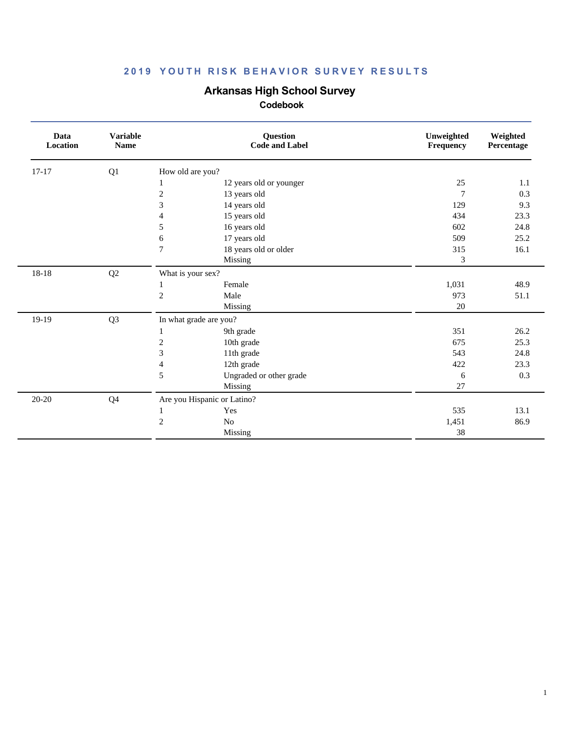# **Arkansas High School Survey**

| Data<br>Location | <b>Variable</b><br><b>Name</b> | Question<br><b>Code and Label</b>       | Unweighted<br>Frequency | Weighted<br>Percentage |
|------------------|--------------------------------|-----------------------------------------|-------------------------|------------------------|
| $17 - 17$        | Q1                             | How old are you?                        |                         |                        |
|                  |                                | 12 years old or younger<br>1            | 25                      | 1.1                    |
|                  |                                | $\overline{c}$<br>13 years old          | $\overline{7}$          | 0.3                    |
|                  |                                | 3<br>14 years old                       | 129                     | 9.3                    |
|                  |                                | 15 years old<br>4                       | 434                     | 23.3                   |
|                  |                                | 5<br>16 years old                       | 602                     | 24.8                   |
|                  |                                | 17 years old<br>6                       | 509                     | 25.2                   |
|                  |                                | 18 years old or older<br>$\overline{7}$ | 315                     | 16.1                   |
|                  |                                | Missing                                 | 3                       |                        |
| 18-18            | Q2                             | What is your sex?                       |                         |                        |
|                  |                                | Female<br>1                             | 1,031                   | 48.9                   |
|                  |                                | $\overline{c}$<br>Male                  | 973                     | 51.1                   |
|                  |                                | Missing                                 | 20                      |                        |
| 19-19            | Q <sub>3</sub>                 | In what grade are you?                  |                         |                        |
|                  |                                | 9th grade<br>1                          | 351                     | 26.2                   |
|                  |                                | $\overline{c}$<br>10th grade            | 675                     | 25.3                   |
|                  |                                | 3<br>11th grade                         | 543                     | 24.8                   |
|                  |                                | 12th grade<br>4                         | 422                     | 23.3                   |
|                  |                                | 5<br>Ungraded or other grade            | 6                       | 0.3                    |
|                  |                                | Missing                                 | 27                      |                        |
| 20-20            | Q4                             | Are you Hispanic or Latino?             |                         |                        |
|                  |                                | Yes<br>$\mathbf{1}$                     | 535                     | 13.1                   |
|                  |                                | $\overline{c}$<br>No                    | 1,451                   | 86.9                   |
|                  |                                | Missing                                 | 38                      |                        |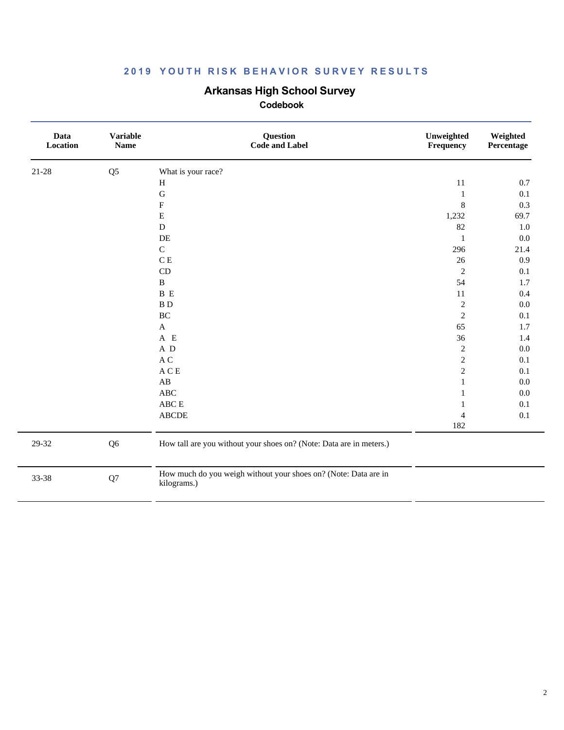# **Arkansas High School Survey**

| Data<br>Location | <b>Variable</b><br><b>Name</b> | Question<br><b>Code and Label</b>                                              | Unweighted<br>Frequency | Weighted<br>Percentage |
|------------------|--------------------------------|--------------------------------------------------------------------------------|-------------------------|------------------------|
| 21-28            | Q <sub>5</sub>                 | What is your race?                                                             |                         |                        |
|                  |                                | $\, {\rm H}$                                                                   | 11                      | 0.7                    |
|                  |                                | $\mathbf G$                                                                    | $\mathbf{1}$            | 0.1                    |
|                  |                                | ${\bf F}$                                                                      | $\,8\,$                 | 0.3                    |
|                  |                                | ${\bf E}$                                                                      | 1,232                   | 69.7                   |
|                  |                                | $\mathbf D$                                                                    | 82                      | 1.0                    |
|                  |                                | DE                                                                             | $\mathbf{1}$            | 0.0                    |
|                  |                                | ${\bf C}$                                                                      | 296                     | 21.4                   |
|                  |                                | C E                                                                            | 26                      | 0.9                    |
|                  |                                | CD                                                                             | $\sqrt{2}$              | 0.1                    |
|                  |                                | $\, {\bf B}$                                                                   | 54                      | 1.7                    |
|                  |                                | B E                                                                            | 11                      | 0.4                    |
|                  |                                | $\, {\bf B} \, {\bf D}$                                                        | $\sqrt{2}$              | $0.0\,$                |
|                  |                                | $\rm BC$                                                                       | $\mathbf{2}$            | 0.1                    |
|                  |                                | $\mathbf{A}$                                                                   | 65                      | 1.7                    |
|                  |                                | $A$ E                                                                          | 36                      | 1.4                    |
|                  |                                | A D                                                                            | $\sqrt{2}$              | $0.0\,$                |
|                  |                                | A C                                                                            | $\mathbf{2}$            | 0.1                    |
|                  |                                | $\mathbf A \mathbf C \mathbf E$                                                | $\sqrt{2}$              | 0.1                    |
|                  |                                | $\mathbf{A}\mathbf{B}$                                                         | $\mathbf{1}$            | 0.0                    |
|                  |                                | ABC                                                                            |                         | $0.0\,$                |
|                  |                                | ABC E                                                                          | 1                       | 0.1                    |
|                  |                                | <b>ABCDE</b>                                                                   | 4                       | 0.1                    |
|                  |                                |                                                                                | 182                     |                        |
| 29-32            | Q <sub>6</sub>                 | How tall are you without your shoes on? (Note: Data are in meters.)            |                         |                        |
| 33-38            | ${\bf Q}7$                     | How much do you weigh without your shoes on? (Note: Data are in<br>kilograms.) |                         |                        |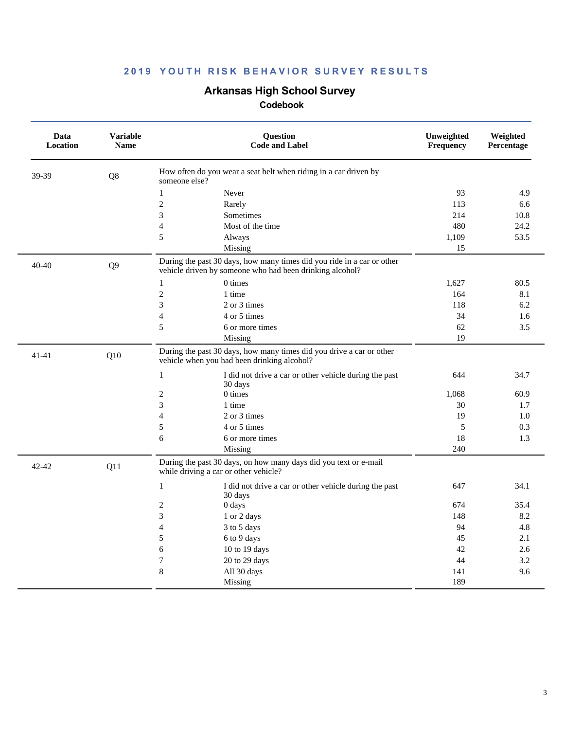# **Arkansas High School Survey**

| Data<br><b>Location</b> | <b>Variable</b><br><b>Name</b> | <b>Ouestion</b><br><b>Code and Label</b>                                                                                           | Unweighted<br>Frequency | Weighted<br>Percentage |
|-------------------------|--------------------------------|------------------------------------------------------------------------------------------------------------------------------------|-------------------------|------------------------|
| 39-39                   | Q8                             | How often do you wear a seat belt when riding in a car driven by<br>someone else?                                                  |                         |                        |
|                         |                                | $\mathbf{1}$<br>Never                                                                                                              | 93                      | 4.9                    |
|                         |                                | $\overline{c}$<br>Rarely                                                                                                           | 113                     | 6.6                    |
|                         |                                | 3<br>Sometimes                                                                                                                     | 214                     | 10.8                   |
|                         |                                | $\overline{4}$<br>Most of the time                                                                                                 | 480                     | 24.2                   |
|                         |                                | 5<br>Always                                                                                                                        | 1,109                   | 53.5                   |
|                         |                                | Missing                                                                                                                            | 15                      |                        |
| 40-40                   | Q <sub>9</sub>                 | During the past 30 days, how many times did you ride in a car or other<br>vehicle driven by someone who had been drinking alcohol? |                         |                        |
|                         |                                | 0 times<br>$\mathbf{1}$                                                                                                            | 1,627                   | 80.5                   |
|                         |                                | $\overline{c}$<br>1 time                                                                                                           | 164                     | 8.1                    |
|                         |                                | 3<br>2 or 3 times                                                                                                                  | 118                     | 6.2                    |
|                         |                                | $\overline{4}$<br>4 or 5 times                                                                                                     | 34                      | 1.6                    |
|                         |                                | 5<br>6 or more times                                                                                                               | 62                      | 3.5                    |
|                         |                                | Missing                                                                                                                            | 19                      |                        |
| $41 - 41$               | Q10                            | During the past 30 days, how many times did you drive a car or other<br>vehicle when you had been drinking alcohol?                |                         |                        |
|                         |                                | $\mathbf{1}$<br>I did not drive a car or other vehicle during the past<br>30 days                                                  | 644                     | 34.7                   |
|                         |                                | $0 \times$<br>$\mathfrak{2}$                                                                                                       | 1,068                   | 60.9                   |
|                         |                                | 3<br>1 time                                                                                                                        | 30                      | 1.7                    |
|                         |                                | $\overline{4}$<br>2 or 3 times                                                                                                     | 19                      | 1.0                    |
|                         |                                | 5<br>4 or 5 times                                                                                                                  | 5                       | 0.3                    |
|                         |                                | 6<br>6 or more times                                                                                                               | 18                      | 1.3                    |
|                         |                                | Missing                                                                                                                            | 240                     |                        |
| 42-42                   | Q11                            | During the past 30 days, on how many days did you text or e-mail<br>while driving a car or other vehicle?                          |                         |                        |
|                         |                                | 1<br>I did not drive a car or other vehicle during the past<br>30 days                                                             | 647                     | 34.1                   |
|                         |                                | $\mathfrak{2}$<br>$0 \, \text{days}$                                                                                               | 674                     | 35.4                   |
|                         |                                | 3<br>1 or 2 days                                                                                                                   | 148                     | 8.2                    |
|                         |                                | $\overline{4}$<br>3 to 5 days                                                                                                      | 94                      | 4.8                    |
|                         |                                | 5<br>6 to 9 days                                                                                                                   | 45                      | 2.1                    |
|                         |                                | 6<br>10 to 19 days                                                                                                                 | 42                      | 2.6                    |
|                         |                                | $\boldsymbol{7}$<br>20 to 29 days                                                                                                  | 44                      | 3.2                    |
|                         |                                | 8<br>All 30 days                                                                                                                   | 141                     | 9.6                    |
|                         |                                | Missing                                                                                                                            | 189                     |                        |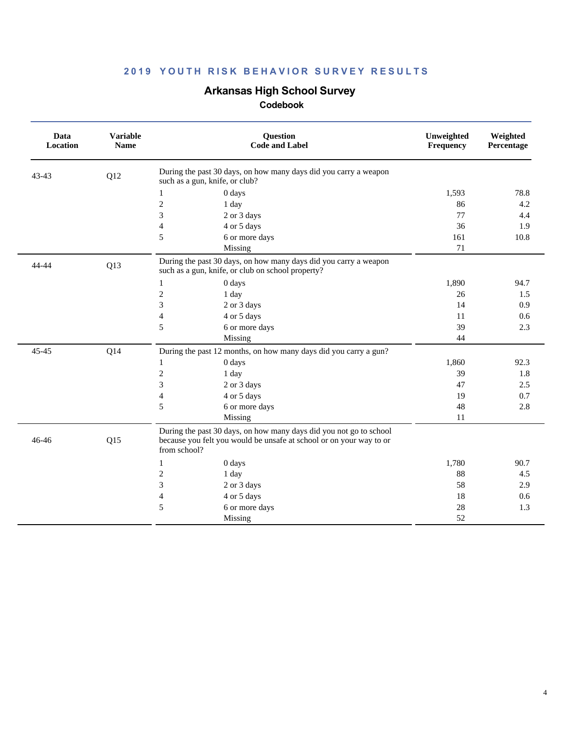# **Arkansas High School Survey**

| Data<br>Location | <b>Variable</b><br><b>Name</b> | <b>Question</b><br><b>Code and Label</b>                                                                                                                  | Unweighted<br><b>Frequency</b> | Weighted<br>Percentage |
|------------------|--------------------------------|-----------------------------------------------------------------------------------------------------------------------------------------------------------|--------------------------------|------------------------|
| $43 - 43$        | Q12                            | During the past 30 days, on how many days did you carry a weapon<br>such as a gun, knife, or club?                                                        |                                |                        |
|                  |                                | 0 days<br>1                                                                                                                                               | 1,593                          | 78.8                   |
|                  |                                | $\overline{c}$<br>1 day                                                                                                                                   | 86                             | 4.2                    |
|                  |                                | 3<br>2 or 3 days                                                                                                                                          | 77                             | 4.4                    |
|                  |                                | $\overline{\mathcal{L}}$<br>4 or 5 days                                                                                                                   | 36                             | 1.9                    |
|                  |                                | 5<br>6 or more days                                                                                                                                       | 161                            | 10.8                   |
|                  |                                | Missing                                                                                                                                                   | 71                             |                        |
| 44-44            | Q13                            | During the past 30 days, on how many days did you carry a weapon<br>such as a gun, knife, or club on school property?                                     |                                |                        |
|                  |                                | $\mathbf{1}$<br>0 days                                                                                                                                    | 1,890                          | 94.7                   |
|                  |                                | $\overline{c}$<br>1 day                                                                                                                                   | 26                             | 1.5                    |
|                  |                                | 3<br>2 or 3 days                                                                                                                                          | 14                             | 0.9                    |
|                  |                                | $\overline{\mathcal{L}}$<br>4 or 5 days                                                                                                                   | 11                             | 0.6                    |
|                  |                                | 5<br>6 or more days                                                                                                                                       | 39                             | 2.3                    |
|                  |                                | Missing                                                                                                                                                   | 44                             |                        |
| 45-45            | Q14                            | During the past 12 months, on how many days did you carry a gun?                                                                                          |                                |                        |
|                  |                                | 0 days<br>1                                                                                                                                               | 1,860                          | 92.3                   |
|                  |                                | $\overline{c}$<br>1 day                                                                                                                                   | 39                             | 1.8                    |
|                  |                                | 3<br>2 or 3 days                                                                                                                                          | 47                             | 2.5                    |
|                  |                                | $\overline{\mathcal{L}}$<br>4 or 5 days                                                                                                                   | 19                             | 0.7                    |
|                  |                                | 5<br>6 or more days                                                                                                                                       | 48                             | 2.8                    |
|                  |                                | Missing                                                                                                                                                   | 11                             |                        |
| $46 - 46$        | Q15                            | During the past 30 days, on how many days did you not go to school<br>because you felt you would be unsafe at school or on your way to or<br>from school? |                                |                        |
|                  |                                | 0 days<br>1                                                                                                                                               | 1,780                          | 90.7                   |
|                  |                                | $\mathfrak{2}$<br>1 day                                                                                                                                   | 88                             | 4.5                    |
|                  |                                | 3<br>2 or 3 days                                                                                                                                          | 58                             | 2.9                    |
|                  |                                | 4 or 5 days<br>4                                                                                                                                          | 18                             | 0.6                    |
|                  |                                | 6 or more days<br>5                                                                                                                                       | 28                             | 1.3                    |
|                  |                                | Missing                                                                                                                                                   | 52                             |                        |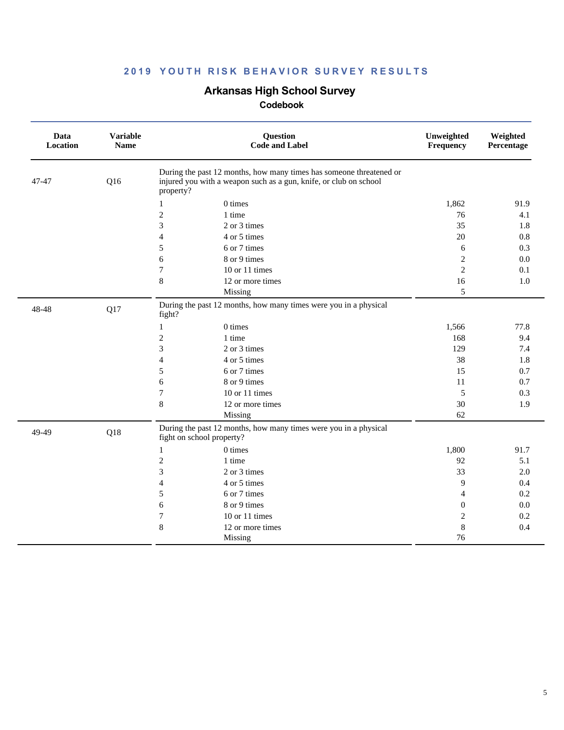# **Arkansas High School Survey**

| Data<br>Location | <b>Variable</b><br><b>Name</b> | Question<br><b>Code and Label</b>                                                                                                                     | Unweighted<br>Frequency | Weighted<br>Percentage |
|------------------|--------------------------------|-------------------------------------------------------------------------------------------------------------------------------------------------------|-------------------------|------------------------|
| 47-47            | Q16                            | During the past 12 months, how many times has someone threatened or<br>injured you with a weapon such as a gun, knife, or club on school<br>property? |                         |                        |
|                  |                                | $0 \times$<br>1                                                                                                                                       | 1,862                   | 91.9                   |
|                  |                                | $\overline{c}$<br>1 time                                                                                                                              | 76                      | 4.1                    |
|                  |                                | 3<br>2 or 3 times                                                                                                                                     | 35                      | 1.8                    |
|                  |                                | 4 or 5 times<br>$\overline{4}$                                                                                                                        | 20                      | 0.8                    |
|                  |                                | 6 or 7 times<br>5                                                                                                                                     | 6                       | 0.3                    |
|                  |                                | 8 or 9 times<br>6                                                                                                                                     | $\overline{c}$          | 0.0                    |
|                  |                                | $\tau$<br>10 or 11 times                                                                                                                              | $\overline{2}$          | 0.1                    |
|                  |                                | 8<br>12 or more times                                                                                                                                 | 16                      | 1.0                    |
|                  |                                | Missing                                                                                                                                               | 5                       |                        |
| 48-48            | Q17                            | During the past 12 months, how many times were you in a physical<br>fight?                                                                            |                         |                        |
|                  |                                | 0 times<br>1                                                                                                                                          | 1,566                   | 77.8                   |
|                  |                                | $\overline{c}$<br>1 time                                                                                                                              | 168                     | 9.4                    |
|                  |                                | 3<br>2 or 3 times                                                                                                                                     | 129                     | 7.4                    |
|                  |                                | $\overline{4}$<br>4 or 5 times                                                                                                                        | 38                      | 1.8                    |
|                  |                                | 5<br>6 or 7 times                                                                                                                                     | 15                      | 0.7                    |
|                  |                                | 6<br>8 or 9 times                                                                                                                                     | 11                      | 0.7                    |
|                  |                                | $\tau$<br>10 or 11 times                                                                                                                              | 5                       | 0.3                    |
|                  |                                | 8<br>12 or more times                                                                                                                                 | 30                      | 1.9                    |
|                  |                                | Missing                                                                                                                                               | 62                      |                        |
| 49-49            | Q18                            | During the past 12 months, how many times were you in a physical<br>fight on school property?                                                         |                         |                        |
|                  |                                | 0 times<br>$\mathbf{1}$                                                                                                                               | 1,800                   | 91.7                   |
|                  |                                | $\mathfrak{2}$<br>1 time                                                                                                                              | 92                      | 5.1                    |
|                  |                                | 3<br>2 or 3 times                                                                                                                                     | 33                      | 2.0                    |
|                  |                                | 4 or 5 times<br>$\overline{4}$                                                                                                                        | 9                       | 0.4                    |
|                  |                                | 5<br>6 or 7 times                                                                                                                                     | 4                       | 0.2                    |
|                  |                                | 8 or 9 times<br>6                                                                                                                                     | $\mathbf{0}$            | 0.0                    |
|                  |                                | 10 or 11 times<br>7                                                                                                                                   | $\mathbf 2$             | 0.2                    |
|                  |                                | 8<br>12 or more times                                                                                                                                 | 8                       | 0.4                    |
|                  |                                | Missing                                                                                                                                               | 76                      |                        |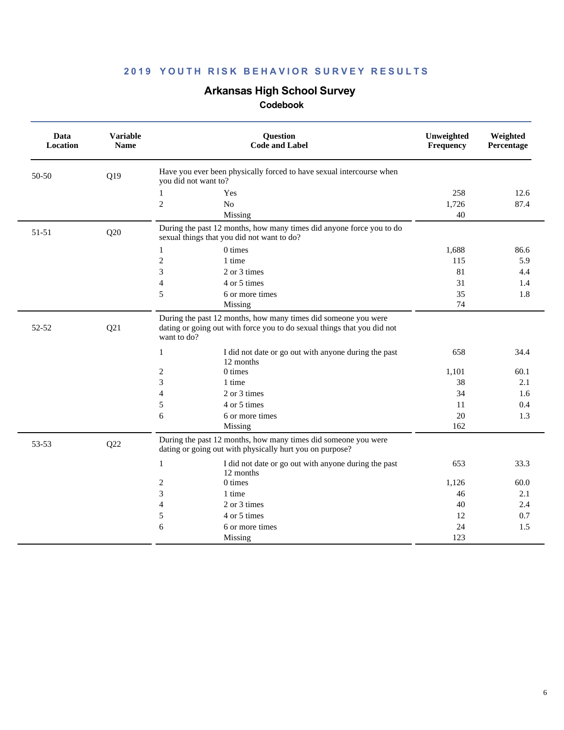# **Arkansas High School Survey**

| Data<br>Location | <b>Variable</b><br><b>Name</b> | Question<br><b>Code and Label</b>                                                                                                                        | Unweighted<br>Frequency | Weighted<br>Percentage |
|------------------|--------------------------------|----------------------------------------------------------------------------------------------------------------------------------------------------------|-------------------------|------------------------|
| 50-50            | Q19                            | Have you ever been physically forced to have sexual intercourse when<br>you did not want to?                                                             |                         |                        |
|                  |                                | 1<br>Yes                                                                                                                                                 | 258                     | 12.6                   |
|                  |                                | $\overline{c}$<br>N <sub>o</sub>                                                                                                                         | 1,726                   | 87.4                   |
|                  |                                | Missing                                                                                                                                                  | 40                      |                        |
| 51-51            | Q20                            | During the past 12 months, how many times did anyone force you to do<br>sexual things that you did not want to do?                                       |                         |                        |
|                  |                                | 0 times<br>$\mathbf{1}$                                                                                                                                  | 1,688                   | 86.6                   |
|                  |                                | $\mathfrak{2}$<br>1 time                                                                                                                                 | 115                     | 5.9                    |
|                  |                                | 3<br>2 or 3 times                                                                                                                                        | 81                      | 4.4                    |
|                  |                                | 4 or 5 times<br>4                                                                                                                                        | 31                      | 1.4                    |
|                  |                                | 5<br>6 or more times                                                                                                                                     | 35                      | 1.8                    |
|                  |                                | Missing                                                                                                                                                  | 74                      |                        |
| 52-52            | Q21                            | During the past 12 months, how many times did someone you were<br>dating or going out with force you to do sexual things that you did not<br>want to do? |                         |                        |
|                  |                                | $\mathbf{1}$<br>I did not date or go out with anyone during the past<br>12 months                                                                        | 658                     | 34.4                   |
|                  |                                | 0 times<br>2                                                                                                                                             | 1,101                   | 60.1                   |
|                  |                                | 3<br>1 time                                                                                                                                              | 38                      | 2.1                    |
|                  |                                | $\overline{4}$<br>2 or 3 times                                                                                                                           | 34                      | 1.6                    |
|                  |                                | 5<br>4 or 5 times                                                                                                                                        | 11                      | 0.4                    |
|                  |                                | 6<br>6 or more times                                                                                                                                     | 20                      | 1.3                    |
|                  |                                | Missing                                                                                                                                                  | 162                     |                        |
| 53-53            | Q22                            | During the past 12 months, how many times did someone you were<br>dating or going out with physically hurt you on purpose?                               |                         |                        |
|                  |                                | $\mathbf{1}$<br>I did not date or go out with anyone during the past<br>12 months                                                                        | 653                     | 33.3                   |
|                  |                                | 2<br>0 times                                                                                                                                             | 1,126                   | 60.0                   |
|                  |                                | 3<br>1 time                                                                                                                                              | 46                      | 2.1                    |
|                  |                                | 2 or 3 times<br>4                                                                                                                                        | 40                      | 2.4                    |
|                  |                                | 5<br>4 or 5 times                                                                                                                                        | 12                      | 0.7                    |
|                  |                                | 6<br>6 or more times                                                                                                                                     | 24                      | 1.5                    |
|                  |                                | Missing                                                                                                                                                  | 123                     |                        |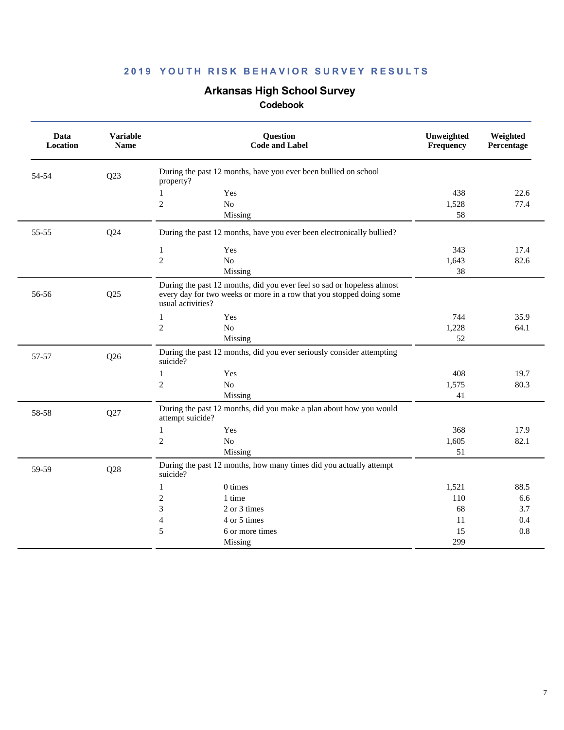### **Arkansas High School Survey**

| Data<br>Location | <b>Variable</b><br><b>Name</b> |                   | Question<br><b>Code and Label</b>                                                                                                              | Unweighted<br>Frequency | Weighted<br>Percentage |
|------------------|--------------------------------|-------------------|------------------------------------------------------------------------------------------------------------------------------------------------|-------------------------|------------------------|
| 54-54            | Q23                            | property?         | During the past 12 months, have you ever been bullied on school                                                                                |                         |                        |
|                  |                                | $\mathbf{1}$      | Yes                                                                                                                                            | 438                     | 22.6                   |
|                  |                                | $\overline{c}$    | No                                                                                                                                             | 1,528                   | 77.4                   |
|                  |                                |                   | Missing                                                                                                                                        | 58                      |                        |
| 55-55            | Q24                            |                   | During the past 12 months, have you ever been electronically bullied?                                                                          |                         |                        |
|                  |                                | $\mathbf{1}$      | Yes                                                                                                                                            | 343                     | 17.4                   |
|                  |                                | $\overline{c}$    | N <sub>o</sub>                                                                                                                                 | 1,643                   | 82.6                   |
|                  |                                |                   | Missing                                                                                                                                        | 38                      |                        |
| 56-56            | Q25                            | usual activities? | During the past 12 months, did you ever feel so sad or hopeless almost<br>every day for two weeks or more in a row that you stopped doing some |                         |                        |
|                  |                                | 1                 | Yes                                                                                                                                            | 744                     | 35.9                   |
|                  |                                | $\overline{2}$    | No                                                                                                                                             | 1,228                   | 64.1                   |
|                  |                                |                   | Missing                                                                                                                                        | 52                      |                        |
| 57-57            | Q26                            | suicide?          | During the past 12 months, did you ever seriously consider attempting                                                                          |                         |                        |
|                  |                                | $\mathbf{1}$      | Yes                                                                                                                                            | 408                     | 19.7                   |
|                  |                                | $\mathfrak{2}$    | $\rm No$                                                                                                                                       | 1,575                   | 80.3                   |
|                  |                                |                   | Missing                                                                                                                                        | 41                      |                        |
| 58-58            | Q27                            | attempt suicide?  | During the past 12 months, did you make a plan about how you would                                                                             |                         |                        |
|                  |                                | $\mathbf{1}$      | Yes                                                                                                                                            | 368                     | 17.9                   |
|                  |                                | $\overline{c}$    | No                                                                                                                                             | 1,605                   | 82.1                   |
|                  |                                |                   | Missing                                                                                                                                        | 51                      |                        |
| 59-59            | Q28                            | suicide?          | During the past 12 months, how many times did you actually attempt                                                                             |                         |                        |
|                  |                                | $\mathbf{1}$      | 0 times                                                                                                                                        | 1,521                   | 88.5                   |
|                  |                                | $\mathfrak{2}$    | 1 time                                                                                                                                         | 110                     | 6.6                    |
|                  |                                | 3                 | 2 or 3 times                                                                                                                                   | 68                      | 3.7                    |
|                  |                                | $\overline{4}$    | 4 or 5 times                                                                                                                                   | 11                      | 0.4                    |
|                  |                                | 5                 | 6 or more times                                                                                                                                | 15                      | 0.8                    |
|                  |                                |                   | Missing                                                                                                                                        | 299                     |                        |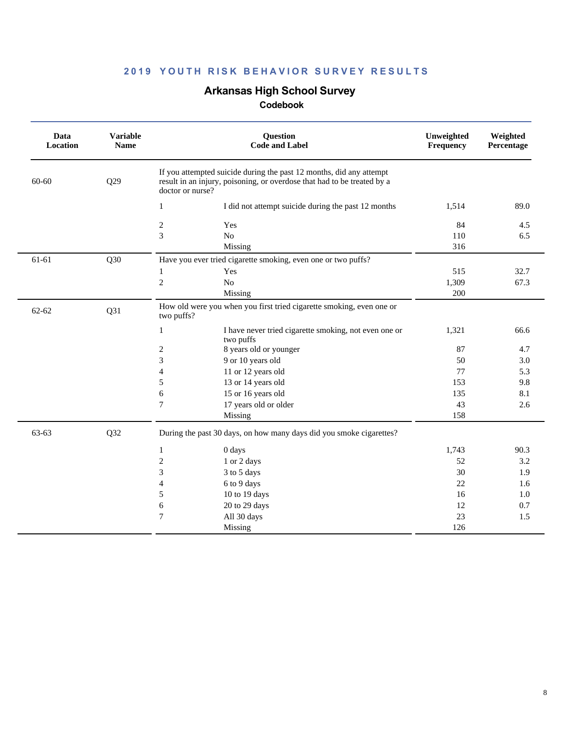### **Arkansas High School Survey**

| Data<br>Location | <b>Variable</b><br><b>Name</b> | <b>Question</b><br><b>Code and Label</b>                                                                                                                           | Unweighted<br>Frequency | Weighted<br>Percentage |
|------------------|--------------------------------|--------------------------------------------------------------------------------------------------------------------------------------------------------------------|-------------------------|------------------------|
| 60-60            | Q29                            | If you attempted suicide during the past 12 months, did any attempt<br>result in an injury, poisoning, or overdose that had to be treated by a<br>doctor or nurse? |                         |                        |
|                  |                                | I did not attempt suicide during the past 12 months<br>$\mathbf{1}$                                                                                                | 1,514                   | 89.0                   |
|                  |                                | $\boldsymbol{2}$<br>Yes                                                                                                                                            | 84                      | 4.5                    |
|                  |                                | 3<br>$\rm No$                                                                                                                                                      | 110                     | 6.5                    |
|                  |                                | Missing                                                                                                                                                            | 316                     |                        |
| 61-61            | Q30                            | Have you ever tried cigarette smoking, even one or two puffs?                                                                                                      |                         |                        |
|                  |                                | Yes<br>1                                                                                                                                                           | 515                     | 32.7                   |
|                  |                                | $\overline{c}$<br>$\rm No$                                                                                                                                         | 1,309                   | 67.3                   |
|                  |                                | Missing                                                                                                                                                            | 200                     |                        |
| 62-62            | Q31                            | How old were you when you first tried cigarette smoking, even one or<br>two puffs?                                                                                 |                         |                        |
|                  |                                | $\mathbf{1}$<br>I have never tried cigarette smoking, not even one or<br>two puffs                                                                                 | 1,321                   | 66.6                   |
|                  |                                | 8 years old or younger<br>2                                                                                                                                        | 87                      | 4.7                    |
|                  |                                | 3<br>9 or 10 years old                                                                                                                                             | 50                      | 3.0                    |
|                  |                                | 11 or 12 years old<br>$\overline{4}$                                                                                                                               | 77                      | 5.3                    |
|                  |                                | 13 or 14 years old<br>5                                                                                                                                            | 153                     | 9.8                    |
|                  |                                | 6<br>15 or 16 years old                                                                                                                                            | 135                     | 8.1                    |
|                  |                                | $\tau$<br>17 years old or older                                                                                                                                    | 43                      | 2.6                    |
|                  |                                | Missing                                                                                                                                                            | 158                     |                        |
| 63-63            | Q32                            | During the past 30 days, on how many days did you smoke cigarettes?                                                                                                |                         |                        |
|                  |                                | 0 days<br>1                                                                                                                                                        | 1,743                   | 90.3                   |
|                  |                                | $\mathbf{2}$<br>1 or 2 days                                                                                                                                        | 52                      | 3.2                    |
|                  |                                | 3<br>3 to 5 days                                                                                                                                                   | 30                      | 1.9                    |
|                  |                                | 6 to 9 days<br>4                                                                                                                                                   | 22                      | 1.6                    |
|                  |                                | 5<br>10 to 19 days                                                                                                                                                 | 16                      | 1.0                    |
|                  |                                | 6<br>20 to 29 days                                                                                                                                                 | 12                      | 0.7                    |
|                  |                                | $\boldsymbol{7}$<br>All 30 days                                                                                                                                    | 23                      | 1.5                    |
|                  |                                | Missing                                                                                                                                                            | 126                     |                        |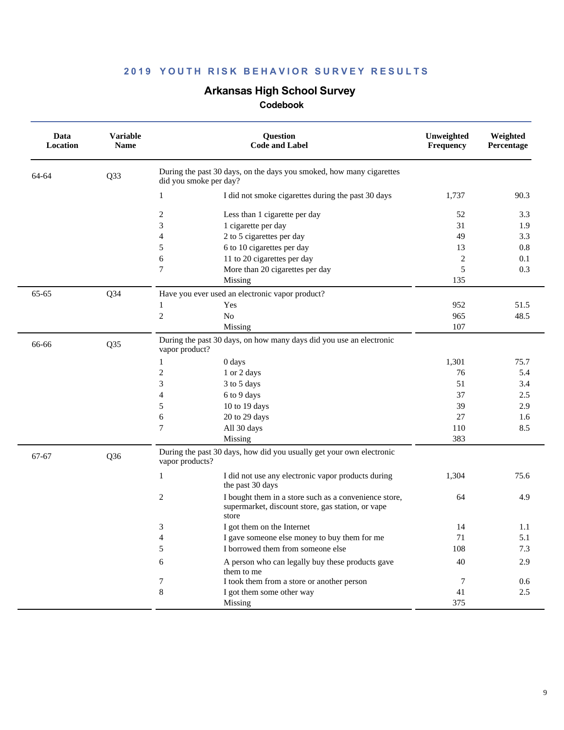### **Arkansas High School Survey**

| Data<br>Location | <b>Variable</b><br><b>Name</b> | Question<br><b>Code and Label</b>                                                                                        | Unweighted<br>Frequency | Weighted<br>Percentage |
|------------------|--------------------------------|--------------------------------------------------------------------------------------------------------------------------|-------------------------|------------------------|
| 64-64            | Q33                            | During the past 30 days, on the days you smoked, how many cigarettes<br>did you smoke per day?                           |                         |                        |
|                  |                                | I did not smoke cigarettes during the past 30 days<br>1                                                                  | 1,737                   | 90.3                   |
|                  |                                | $\boldsymbol{2}$<br>Less than 1 cigarette per day                                                                        | 52                      | 3.3                    |
|                  |                                | 3<br>1 cigarette per day                                                                                                 | 31                      | 1.9                    |
|                  |                                | 2 to 5 cigarettes per day<br>4                                                                                           | 49                      | 3.3                    |
|                  |                                | 5<br>6 to 10 cigarettes per day                                                                                          | 13                      | 0.8                    |
|                  |                                | 6<br>11 to 20 cigarettes per day                                                                                         | 2                       | 0.1                    |
|                  |                                | 7<br>More than 20 cigarettes per day                                                                                     | 5                       | 0.3                    |
|                  |                                | Missing                                                                                                                  | 135                     |                        |
| 65-65            | $Q$ 34                         | Have you ever used an electronic vapor product?                                                                          |                         |                        |
|                  |                                | Yes<br>1                                                                                                                 | 952                     | 51.5                   |
|                  |                                | $\mathbf{2}$<br>No                                                                                                       | 965                     | 48.5                   |
|                  |                                | Missing                                                                                                                  | 107                     |                        |
| 66-66            | Q35                            | During the past 30 days, on how many days did you use an electronic<br>vapor product?                                    |                         |                        |
|                  |                                | 0 days<br>1                                                                                                              | 1,301                   | 75.7                   |
|                  |                                | $\overline{c}$<br>1 or 2 days                                                                                            | 76                      | 5.4                    |
|                  |                                | 3<br>3 to 5 days                                                                                                         | 51                      | 3.4                    |
|                  |                                | 4<br>6 to 9 days                                                                                                         | 37                      | 2.5                    |
|                  |                                | 10 to 19 days<br>5                                                                                                       | 39                      | 2.9                    |
|                  |                                | 20 to 29 days<br>6                                                                                                       | 27                      | 1.6                    |
|                  |                                | 7<br>All 30 days                                                                                                         | 110                     | 8.5                    |
|                  |                                | Missing                                                                                                                  | 383                     |                        |
| 67-67            | Q <sub>36</sub>                | During the past 30 days, how did you usually get your own electronic<br>vapor products?                                  |                         |                        |
|                  |                                | 1<br>I did not use any electronic vapor products during<br>the past 30 days                                              | 1,304                   | 75.6                   |
|                  |                                | 2<br>I bought them in a store such as a convenience store,<br>supermarket, discount store, gas station, or vape<br>store | 64                      | 4.9                    |
|                  |                                | 3<br>I got them on the Internet                                                                                          | 14                      | 1.1                    |
|                  |                                | 4<br>I gave someone else money to buy them for me                                                                        | 71                      | 5.1                    |
|                  |                                | 5<br>I borrowed them from someone else                                                                                   | 108                     | 7.3                    |
|                  |                                | A person who can legally buy these products gave<br>6<br>them to me                                                      | 40                      | 2.9                    |
|                  |                                | I took them from a store or another person<br>7                                                                          | 7                       | 0.6                    |
|                  |                                | $\,8\,$<br>I got them some other way                                                                                     | 41                      | 2.5                    |
|                  |                                | Missing                                                                                                                  | 375                     |                        |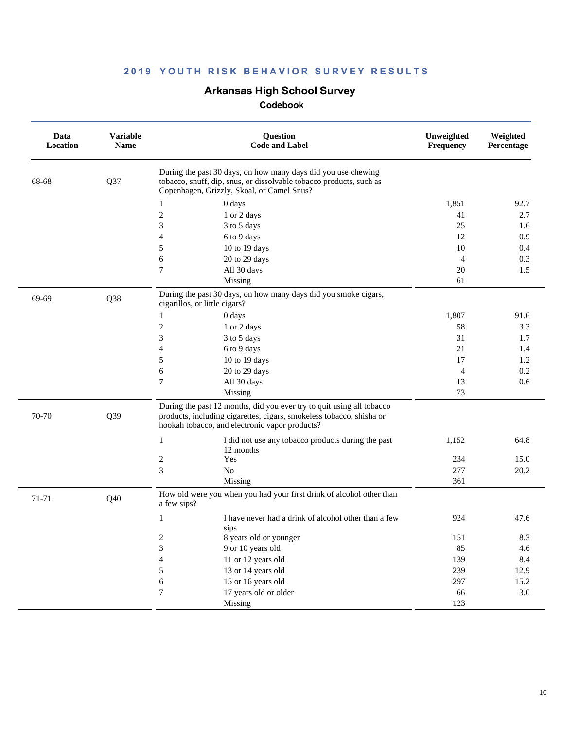### **Arkansas High School Survey**

| Data<br>Location | <b>Variable</b><br>Name | Question<br><b>Code and Label</b>                                                                                                                                                               | Unweighted<br>Frequency | Weighted<br>Percentage |
|------------------|-------------------------|-------------------------------------------------------------------------------------------------------------------------------------------------------------------------------------------------|-------------------------|------------------------|
| 68-68            | Q37                     | During the past 30 days, on how many days did you use chewing<br>tobacco, snuff, dip, snus, or dissolvable tobacco products, such as<br>Copenhagen, Grizzly, Skoal, or Camel Snus?              |                         |                        |
|                  |                         | 0 days<br>1                                                                                                                                                                                     | 1,851                   | 92.7                   |
|                  |                         | $\overline{c}$<br>1 or 2 days                                                                                                                                                                   | 41                      | 2.7                    |
|                  |                         | 3<br>3 to 5 days                                                                                                                                                                                | 25                      | 1.6                    |
|                  |                         | 4<br>6 to 9 days                                                                                                                                                                                | 12                      | 0.9                    |
|                  |                         | 5<br>10 to 19 days                                                                                                                                                                              | 10                      | 0.4                    |
|                  |                         | 6<br>20 to 29 days                                                                                                                                                                              | 4                       | 0.3                    |
|                  |                         | 7<br>All 30 days                                                                                                                                                                                | 20                      | 1.5                    |
|                  |                         | Missing                                                                                                                                                                                         | 61                      |                        |
| 69-69            | Q38                     | During the past 30 days, on how many days did you smoke cigars,<br>cigarillos, or little cigars?                                                                                                |                         |                        |
|                  |                         | 0 days                                                                                                                                                                                          | 1,807                   | 91.6                   |
|                  |                         | $\sqrt{2}$<br>1 or 2 days                                                                                                                                                                       | 58                      | 3.3                    |
|                  |                         | 3<br>3 to 5 days                                                                                                                                                                                | 31                      | 1.7                    |
|                  |                         | 4<br>6 to 9 days                                                                                                                                                                                | 21                      | 1.4                    |
|                  |                         | 5<br>10 to 19 days                                                                                                                                                                              | 17                      | 1.2                    |
|                  |                         | 6<br>20 to 29 days                                                                                                                                                                              | $\overline{4}$          | 0.2                    |
|                  |                         | $\tau$<br>All 30 days                                                                                                                                                                           | 13                      | 0.6                    |
|                  |                         | Missing                                                                                                                                                                                         | 73                      |                        |
| 70-70            | Q39                     | During the past 12 months, did you ever try to quit using all tobacco<br>products, including cigarettes, cigars, smokeless tobacco, shisha or<br>hookah tobacco, and electronic vapor products? |                         |                        |
|                  |                         | I did not use any tobacco products during the past<br>1<br>12 months                                                                                                                            | 1,152                   | 64.8                   |
|                  |                         | Yes<br>2                                                                                                                                                                                        | 234                     | 15.0                   |
|                  |                         | 3<br>$\rm No$                                                                                                                                                                                   | 277                     | 20.2                   |
|                  |                         | Missing                                                                                                                                                                                         | 361                     |                        |
| 71-71            | Q40                     | How old were you when you had your first drink of alcohol other than<br>a few sips?                                                                                                             |                         |                        |
|                  |                         | I have never had a drink of alcohol other than a few<br>1<br>sips                                                                                                                               | 924                     | 47.6                   |
|                  |                         | 2<br>8 years old or younger                                                                                                                                                                     | 151                     | 8.3                    |
|                  |                         | 3<br>9 or 10 years old                                                                                                                                                                          | 85                      | 4.6                    |
|                  |                         | $\overline{4}$<br>11 or 12 years old                                                                                                                                                            | 139                     | 8.4                    |
|                  |                         | 5<br>13 or 14 years old                                                                                                                                                                         | 239                     | 12.9                   |
|                  |                         | $\epsilon$<br>15 or 16 years old                                                                                                                                                                | 297                     | 15.2                   |
|                  |                         | $\boldsymbol{7}$<br>17 years old or older                                                                                                                                                       | 66                      | $3.0\,$                |
|                  |                         | Missing                                                                                                                                                                                         | 123                     |                        |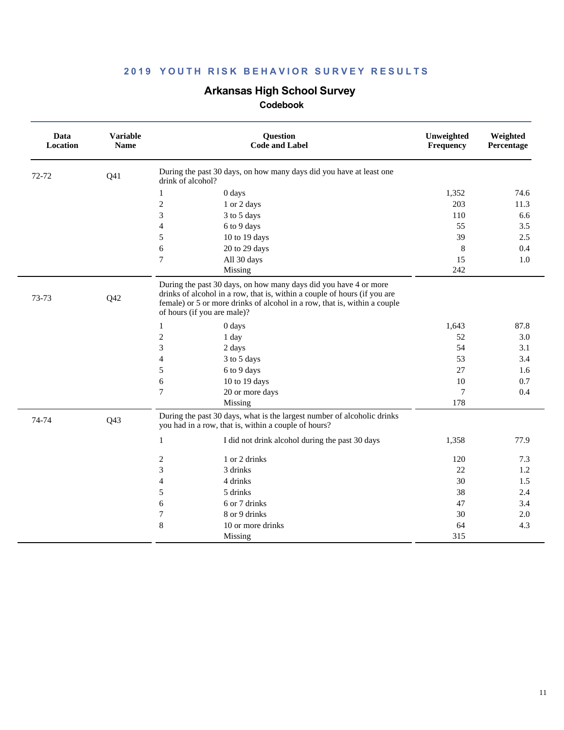### **Arkansas High School Survey**

| Data<br>Location | <b>Variable</b><br><b>Name</b> | <b>Question</b><br><b>Code and Label</b>                                                                                                                                                                                                                  | Unweighted<br>Frequency | Weighted<br>Percentage |
|------------------|--------------------------------|-----------------------------------------------------------------------------------------------------------------------------------------------------------------------------------------------------------------------------------------------------------|-------------------------|------------------------|
| 72-72            | Q <sub>41</sub>                | During the past 30 days, on how many days did you have at least one<br>drink of alcohol?                                                                                                                                                                  |                         |                        |
|                  |                                | 0 days<br>1                                                                                                                                                                                                                                               | 1,352                   | 74.6                   |
|                  |                                | 2<br>1 or 2 days                                                                                                                                                                                                                                          | 203                     | 11.3                   |
|                  |                                | 3<br>3 to 5 days                                                                                                                                                                                                                                          | 110                     | 6.6                    |
|                  |                                | $\overline{4}$<br>6 to 9 days                                                                                                                                                                                                                             | 55                      | 3.5                    |
|                  |                                | 10 to 19 days<br>5                                                                                                                                                                                                                                        | 39                      | 2.5                    |
|                  |                                | 20 to 29 days<br>6                                                                                                                                                                                                                                        | 8                       | 0.4                    |
|                  |                                | 7<br>All 30 days                                                                                                                                                                                                                                          | 15                      | 1.0                    |
|                  |                                | Missing                                                                                                                                                                                                                                                   | 242                     |                        |
| 73-73            | Q <sub>42</sub>                | During the past 30 days, on how many days did you have 4 or more<br>drinks of alcohol in a row, that is, within a couple of hours (if you are<br>female) or 5 or more drinks of alcohol in a row, that is, within a couple<br>of hours (if you are male)? |                         |                        |
|                  |                                | $\mathbf{1}$<br>0 days                                                                                                                                                                                                                                    | 1,643                   | 87.8                   |
|                  |                                | $\mathfrak{2}$<br>1 day                                                                                                                                                                                                                                   | 52                      | 3.0                    |
|                  |                                | 3<br>2 days                                                                                                                                                                                                                                               | 54                      | 3.1                    |
|                  |                                | $\overline{4}$<br>3 to 5 days                                                                                                                                                                                                                             | 53                      | 3.4                    |
|                  |                                | 5<br>6 to 9 days                                                                                                                                                                                                                                          | 27                      | 1.6                    |
|                  |                                | 6<br>10 to 19 days                                                                                                                                                                                                                                        | 10                      | 0.7                    |
|                  |                                | $\tau$<br>20 or more days                                                                                                                                                                                                                                 | $\tau$                  | 0.4                    |
|                  |                                | Missing                                                                                                                                                                                                                                                   | 178                     |                        |
| 74-74            | Q <sub>43</sub>                | During the past 30 days, what is the largest number of alcoholic drinks<br>you had in a row, that is, within a couple of hours?                                                                                                                           |                         |                        |
|                  |                                | $\mathbf{1}$<br>I did not drink alcohol during the past 30 days                                                                                                                                                                                           | 1,358                   | 77.9                   |
|                  |                                | 2<br>1 or 2 drinks                                                                                                                                                                                                                                        | 120                     | 7.3                    |
|                  |                                | 3<br>3 drinks                                                                                                                                                                                                                                             | 22                      | $1.2\,$                |
|                  |                                | $\overline{4}$<br>4 drinks                                                                                                                                                                                                                                | 30                      | 1.5                    |
|                  |                                | 5<br>5 drinks                                                                                                                                                                                                                                             | 38                      | 2.4                    |
|                  |                                | 6<br>6 or 7 drinks                                                                                                                                                                                                                                        | 47                      | 3.4                    |
|                  |                                | 7<br>8 or 9 drinks                                                                                                                                                                                                                                        | 30                      | 2.0                    |
|                  |                                | $\,8\,$<br>10 or more drinks                                                                                                                                                                                                                              | 64                      | 4.3                    |
|                  |                                | Missing                                                                                                                                                                                                                                                   | 315                     |                        |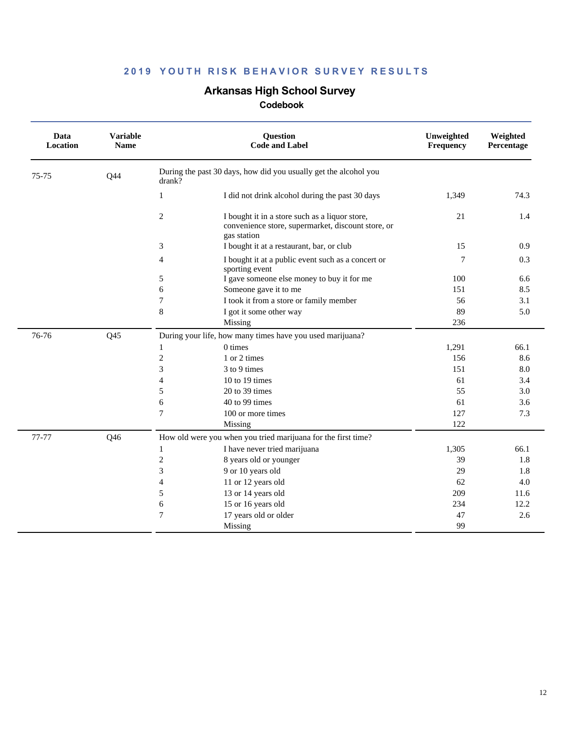### **Arkansas High School Survey**

| Data<br>Location | <b>Variable</b><br><b>Name</b> |                | <b>Question</b><br><b>Code and Label</b>                                                                            | Unweighted<br>Frequency | Weighted<br>Percentage |
|------------------|--------------------------------|----------------|---------------------------------------------------------------------------------------------------------------------|-------------------------|------------------------|
| 75-75            | Q44                            | drank?         | During the past 30 days, how did you usually get the alcohol you                                                    |                         |                        |
|                  |                                | 1              | I did not drink alcohol during the past 30 days                                                                     | 1,349                   | 74.3                   |
|                  |                                | $\overline{c}$ | I bought it in a store such as a liquor store,<br>convenience store, supermarket, discount store, or<br>gas station | 21                      | 1.4                    |
|                  |                                | 3              | I bought it at a restaurant, bar, or club                                                                           | 15                      | 0.9                    |
|                  |                                | $\overline{4}$ | I bought it at a public event such as a concert or<br>sporting event                                                | 7                       | 0.3                    |
|                  |                                | 5              | I gave someone else money to buy it for me                                                                          | 100                     | 6.6                    |
|                  |                                | 6              | Someone gave it to me                                                                                               | 151                     | 8.5                    |
|                  |                                | $\overline{7}$ | I took it from a store or family member                                                                             | 56                      | 3.1                    |
|                  |                                | 8              | I got it some other way                                                                                             | 89                      | 5.0                    |
|                  |                                |                | Missing                                                                                                             | 236                     |                        |
| 76-76            | Q <sub>45</sub>                |                | During your life, how many times have you used marijuana?                                                           |                         |                        |
|                  |                                | 1              | $0 \times$                                                                                                          | 1,291                   | 66.1                   |
|                  |                                | $\overline{c}$ | 1 or 2 times                                                                                                        | 156                     | 8.6                    |
|                  |                                | 3              | 3 to 9 times                                                                                                        | 151                     | 8.0                    |
|                  |                                | $\overline{4}$ | 10 to 19 times                                                                                                      | 61                      | 3.4                    |
|                  |                                | 5              | 20 to 39 times                                                                                                      | 55                      | 3.0                    |
|                  |                                | 6              | 40 to 99 times                                                                                                      | 61                      | 3.6                    |
|                  |                                | $\overline{7}$ | 100 or more times                                                                                                   | 127                     | 7.3                    |
|                  |                                |                | Missing                                                                                                             | 122                     |                        |
| 77-77            | Q46                            |                | How old were you when you tried marijuana for the first time?                                                       |                         |                        |
|                  |                                | 1              | I have never tried marijuana                                                                                        | 1,305                   | 66.1                   |
|                  |                                | $\overline{c}$ | 8 years old or younger                                                                                              | 39                      | 1.8                    |
|                  |                                | 3              | 9 or 10 years old                                                                                                   | 29                      | 1.8                    |
|                  |                                | 4              | 11 or 12 years old                                                                                                  | 62                      | 4.0                    |
|                  |                                | 5              | 13 or 14 years old                                                                                                  | 209                     | 11.6                   |
|                  |                                | 6              | 15 or 16 years old                                                                                                  | 234                     | 12.2                   |
|                  |                                | 7              | 17 years old or older                                                                                               | 47                      | 2.6                    |
|                  |                                |                | Missing                                                                                                             | 99                      |                        |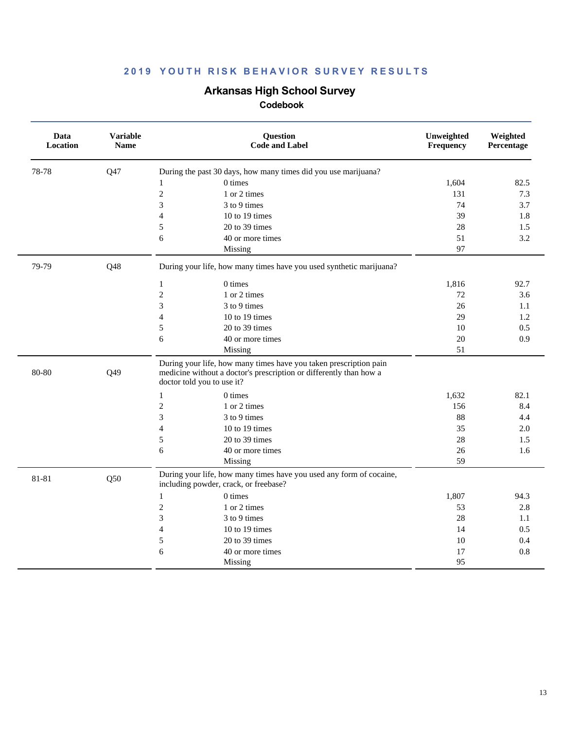### **Arkansas High School Survey**

| Data<br>Location | <b>Variable</b><br><b>Name</b> | Question<br><b>Code and Label</b>                                                                                                                                     | Unweighted<br>Frequency | Weighted<br>Percentage |
|------------------|--------------------------------|-----------------------------------------------------------------------------------------------------------------------------------------------------------------------|-------------------------|------------------------|
| 78-78            | Q47                            | During the past 30 days, how many times did you use marijuana?                                                                                                        |                         |                        |
|                  |                                | 0 times<br>$\mathbf{1}$                                                                                                                                               | 1,604                   | 82.5                   |
|                  |                                | $\overline{c}$<br>1 or 2 times                                                                                                                                        | 131                     | 7.3                    |
|                  |                                | 3<br>3 to 9 times                                                                                                                                                     | 74                      | 3.7                    |
|                  |                                | 10 to 19 times<br>4                                                                                                                                                   | 39                      | 1.8                    |
|                  |                                | 20 to 39 times<br>5                                                                                                                                                   | 28                      | 1.5                    |
|                  |                                | 6<br>40 or more times                                                                                                                                                 | 51                      | 3.2                    |
|                  |                                | Missing                                                                                                                                                               | 97                      |                        |
| 79-79            | Q48                            | During your life, how many times have you used synthetic marijuana?                                                                                                   |                         |                        |
|                  |                                | 0 times<br>$\mathbf{1}$                                                                                                                                               | 1,816                   | 92.7                   |
|                  |                                | $\overline{c}$<br>1 or 2 times                                                                                                                                        | 72                      | 3.6                    |
|                  |                                | 3<br>3 to 9 times                                                                                                                                                     | 26                      | 1.1                    |
|                  |                                | 10 to 19 times<br>4                                                                                                                                                   | 29                      | 1.2                    |
|                  |                                | 5<br>20 to 39 times                                                                                                                                                   | 10                      | 0.5                    |
|                  |                                | 6<br>40 or more times                                                                                                                                                 | 20                      | 0.9                    |
|                  |                                | Missing                                                                                                                                                               | 51                      |                        |
| 80-80            | Q49                            | During your life, how many times have you taken prescription pain<br>medicine without a doctor's prescription or differently than how a<br>doctor told you to use it? |                         |                        |
|                  |                                | 0 times<br>$\mathbf{1}$                                                                                                                                               | 1,632                   | 82.1                   |
|                  |                                | $\overline{c}$<br>1 or 2 times                                                                                                                                        | 156                     | 8.4                    |
|                  |                                | 3<br>3 to 9 times                                                                                                                                                     | 88                      | 4.4                    |
|                  |                                | $\overline{4}$<br>10 to 19 times                                                                                                                                      | 35                      | 2.0                    |
|                  |                                | 5<br>20 to 39 times                                                                                                                                                   | 28                      | 1.5                    |
|                  |                                | 6<br>40 or more times                                                                                                                                                 | 26                      | 1.6                    |
|                  |                                | Missing                                                                                                                                                               | 59                      |                        |
| 81-81            | Q50                            | During your life, how many times have you used any form of cocaine,<br>including powder, crack, or freebase?                                                          |                         |                        |
|                  |                                | 0 times<br>$\mathbf{1}$                                                                                                                                               | 1,807                   | 94.3                   |
|                  |                                | $\overline{c}$<br>1 or 2 times                                                                                                                                        | 53                      | 2.8                    |
|                  |                                | 3<br>3 to 9 times                                                                                                                                                     | 28                      | 1.1                    |
|                  |                                | $\overline{\mathbf{4}}$<br>10 to 19 times                                                                                                                             | 14                      | 0.5                    |
|                  |                                | 5<br>20 to 39 times                                                                                                                                                   | 10                      | 0.4                    |
|                  |                                | 6<br>40 or more times                                                                                                                                                 | 17                      | 0.8                    |
|                  |                                | Missing                                                                                                                                                               | 95                      |                        |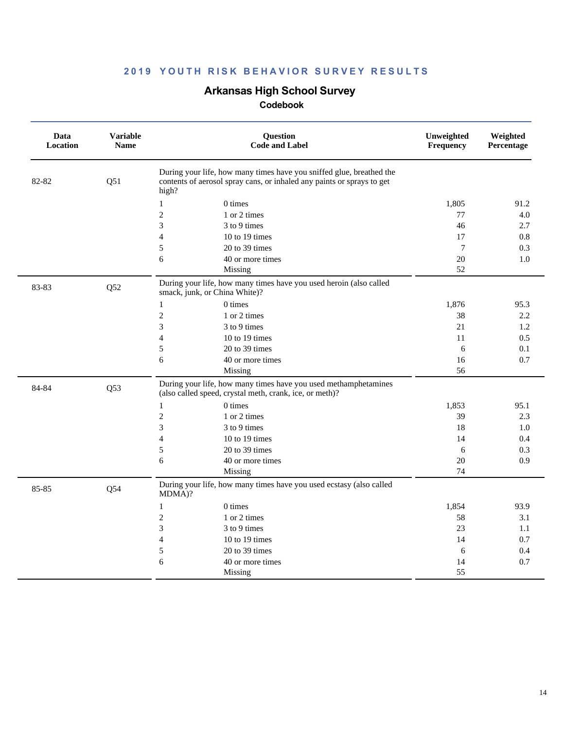# **Arkansas High School Survey**

| Data<br><b>Location</b> | <b>Variable</b><br><b>Name</b> | Question<br><b>Code and Label</b>                                                                                                                       | Unweighted<br>Frequency | Weighted<br>Percentage |
|-------------------------|--------------------------------|---------------------------------------------------------------------------------------------------------------------------------------------------------|-------------------------|------------------------|
| 82-82                   | Q51                            | During your life, how many times have you sniffed glue, breathed the<br>contents of aerosol spray cans, or inhaled any paints or sprays to get<br>high? |                         |                        |
|                         |                                | 0 times<br>$\mathbf{1}$                                                                                                                                 | 1,805                   | 91.2                   |
|                         |                                | $\overline{c}$<br>1 or 2 times                                                                                                                          | 77                      | 4.0                    |
|                         |                                | 3<br>3 to 9 times                                                                                                                                       | 46                      | 2.7                    |
|                         |                                | $\overline{4}$<br>10 to 19 times                                                                                                                        | 17                      | 0.8                    |
|                         |                                | 5<br>20 to 39 times                                                                                                                                     | $\overline{7}$          | 0.3                    |
|                         |                                | 6<br>40 or more times                                                                                                                                   | 20                      | 1.0                    |
|                         |                                | Missing                                                                                                                                                 | 52                      |                        |
| 83-83                   | Q52                            | During your life, how many times have you used heroin (also called<br>smack, junk, or China White)?                                                     |                         |                        |
|                         |                                | $\mathbf{1}$<br>0 times                                                                                                                                 | 1,876                   | 95.3                   |
|                         |                                | $\overline{2}$<br>1 or 2 times                                                                                                                          | 38                      | 2.2                    |
|                         |                                | 3<br>3 to 9 times                                                                                                                                       | 21                      | 1.2                    |
|                         |                                | $\overline{4}$<br>10 to 19 times                                                                                                                        | 11                      | 0.5                    |
|                         |                                | 5<br>20 to 39 times                                                                                                                                     | 6                       | 0.1                    |
|                         |                                | 6<br>40 or more times                                                                                                                                   | 16                      | 0.7                    |
|                         |                                | Missing                                                                                                                                                 | 56                      |                        |
| 84-84                   | Q53                            | During your life, how many times have you used methamphetamines<br>(also called speed, crystal meth, crank, ice, or meth)?                              |                         |                        |
|                         |                                | 0 times<br>$\mathbf{1}$                                                                                                                                 | 1,853                   | 95.1                   |
|                         |                                | $\overline{c}$<br>1 or 2 times                                                                                                                          | 39                      | 2.3                    |
|                         |                                | 3<br>3 to 9 times                                                                                                                                       | 18                      | 1.0                    |
|                         |                                | $\overline{4}$<br>10 to 19 times                                                                                                                        | 14                      | 0.4                    |
|                         |                                | 5<br>20 to 39 times                                                                                                                                     | 6                       | 0.3                    |
|                         |                                | 6<br>40 or more times                                                                                                                                   | 20                      | 0.9                    |
|                         |                                | Missing                                                                                                                                                 | 74                      |                        |
| 85-85                   | Q54                            | During your life, how many times have you used ecstasy (also called<br>MDMA)?                                                                           |                         |                        |
|                         |                                | 0 times<br>1                                                                                                                                            | 1,854                   | 93.9                   |
|                         |                                | $\overline{2}$<br>1 or 2 times                                                                                                                          | 58                      | 3.1                    |
|                         |                                | 3<br>3 to 9 times                                                                                                                                       | 23                      | 1.1                    |
|                         |                                | $\overline{4}$<br>$10$ to $19$ times                                                                                                                    | 14                      | 0.7                    |
|                         |                                | 5<br>20 to 39 times                                                                                                                                     | 6                       | 0.4                    |
|                         |                                | 6<br>40 or more times                                                                                                                                   | 14                      | 0.7                    |
|                         |                                | Missing                                                                                                                                                 | 55                      |                        |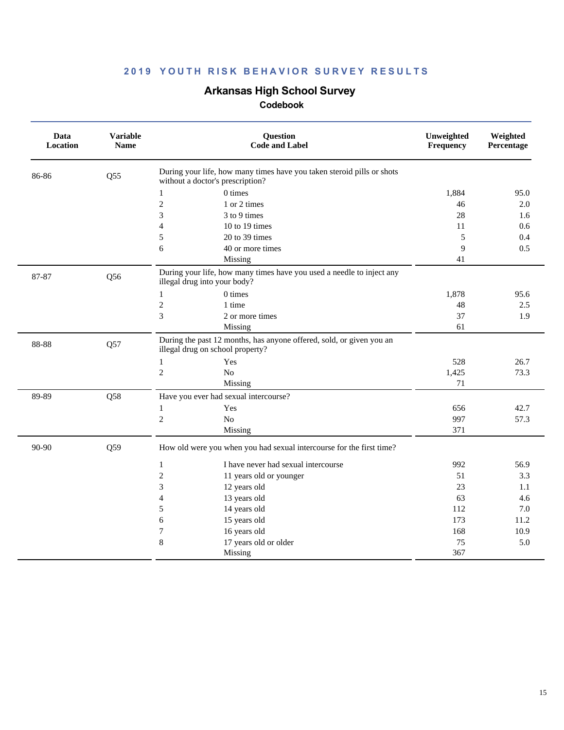# **Arkansas High School Survey**

| Data<br><b>Location</b> | <b>Variable</b><br><b>Name</b> | <b>Question</b><br><b>Code and Label</b>                                                                   | Unweighted<br>Frequency | Weighted<br>Percentage |
|-------------------------|--------------------------------|------------------------------------------------------------------------------------------------------------|-------------------------|------------------------|
| 86-86                   | Q55                            | During your life, how many times have you taken steroid pills or shots<br>without a doctor's prescription? |                         |                        |
|                         |                                | 0 times<br>1                                                                                               | 1,884                   | 95.0                   |
|                         |                                | $\overline{c}$<br>1 or 2 times                                                                             | 46                      | 2.0                    |
|                         |                                | 3<br>3 to 9 times                                                                                          | 28                      | 1.6                    |
|                         |                                | $\overline{4}$<br>10 to 19 times                                                                           | 11                      | 0.6                    |
|                         |                                | 5<br>20 to 39 times                                                                                        | 5                       | 0.4                    |
|                         |                                | 6<br>40 or more times                                                                                      | 9                       | 0.5                    |
|                         |                                | Missing                                                                                                    | 41                      |                        |
| 87-87                   | Q56                            | During your life, how many times have you used a needle to inject any<br>illegal drug into your body?      |                         |                        |
|                         |                                | 0 times<br>1                                                                                               | 1,878                   | 95.6                   |
|                         |                                | $\overline{c}$<br>1 time                                                                                   | 48                      | 2.5                    |
|                         |                                | 3<br>2 or more times                                                                                       | 37                      | 1.9                    |
|                         |                                | Missing                                                                                                    | 61                      |                        |
| 88-88                   | Q57                            | During the past 12 months, has anyone offered, sold, or given you an<br>illegal drug on school property?   |                         |                        |
|                         |                                | Yes<br>1                                                                                                   | 528                     | 26.7                   |
|                         |                                | $\overline{c}$<br>No                                                                                       | 1,425                   | 73.3                   |
|                         |                                | Missing                                                                                                    | 71                      |                        |
| 89-89                   | Q58                            | Have you ever had sexual intercourse?                                                                      |                         |                        |
|                         |                                | Yes<br>1                                                                                                   | 656                     | 42.7                   |
|                         |                                | $\sqrt{2}$<br>No                                                                                           | 997                     | 57.3                   |
|                         |                                | Missing                                                                                                    | 371                     |                        |
| 90-90                   | Q59                            | How old were you when you had sexual intercourse for the first time?                                       |                         |                        |
|                         |                                | $\mathbf{1}$<br>I have never had sexual intercourse                                                        | 992                     | 56.9                   |
|                         |                                | $\sqrt{2}$<br>11 years old or younger                                                                      | 51                      | 3.3                    |
|                         |                                | 3<br>12 years old                                                                                          | 23                      | 1.1                    |
|                         |                                | 13 years old<br>$\overline{4}$                                                                             | 63                      | 4.6                    |
|                         |                                | 5<br>14 years old                                                                                          | 112                     | 7.0                    |
|                         |                                | 6<br>15 years old                                                                                          | 173                     | 11.2                   |
|                         |                                | 7<br>16 years old                                                                                          | 168                     | 10.9                   |
|                         |                                | $\bf 8$<br>17 years old or older                                                                           | 75                      | 5.0                    |
|                         |                                | Missing                                                                                                    | 367                     |                        |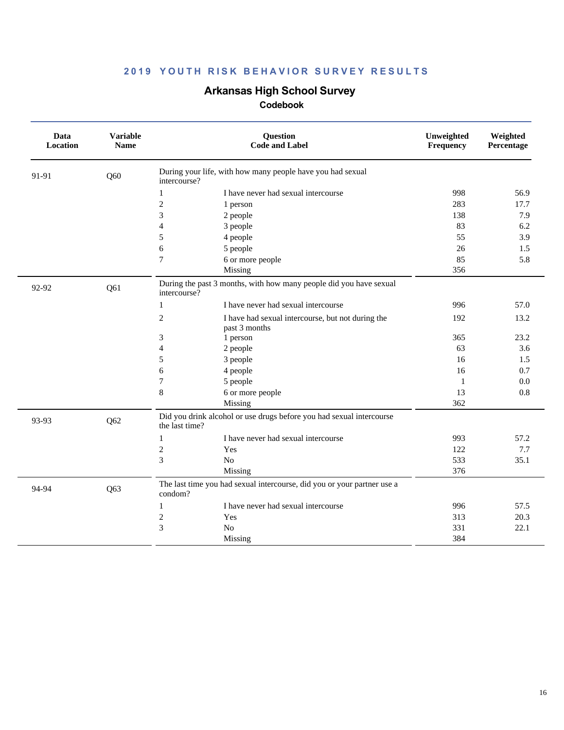# **Arkansas High School Survey**

| Data<br>Location | <b>Variable</b><br><b>Name</b> | Question<br><b>Code and Label</b>                                                      | Unweighted<br>Frequency | Weighted<br>Percentage |
|------------------|--------------------------------|----------------------------------------------------------------------------------------|-------------------------|------------------------|
| 91-91            | Q60                            | During your life, with how many people have you had sexual<br>intercourse?             |                         |                        |
|                  |                                | I have never had sexual intercourse<br>1                                               | 998                     | 56.9                   |
|                  |                                | $\mathfrak{2}$<br>1 person                                                             | 283                     | 17.7                   |
|                  |                                | 3<br>2 people                                                                          | 138                     | 7.9                    |
|                  |                                | $\overline{4}$<br>3 people                                                             | 83                      | 6.2                    |
|                  |                                | 5<br>4 people                                                                          | 55                      | 3.9                    |
|                  |                                | 6<br>5 people                                                                          | 26                      | 1.5                    |
|                  |                                | 6 or more people<br>7                                                                  | 85                      | 5.8                    |
|                  |                                | Missing                                                                                | 356                     |                        |
| 92-92            | Q61                            | During the past 3 months, with how many people did you have sexual<br>intercourse?     |                         |                        |
|                  |                                | $\mathbf{1}$<br>I have never had sexual intercourse                                    | 996                     | 57.0                   |
|                  |                                | $\overline{c}$<br>I have had sexual intercourse, but not during the<br>past 3 months   | 192                     | 13.2                   |
|                  |                                | 3<br>1 person                                                                          | 365                     | 23.2                   |
|                  |                                | $\overline{4}$<br>2 people                                                             | 63                      | 3.6                    |
|                  |                                | 5<br>3 people                                                                          | 16                      | 1.5                    |
|                  |                                | 6<br>4 people                                                                          | 16                      | 0.7                    |
|                  |                                | $\tau$<br>5 people                                                                     | 1                       | 0.0                    |
|                  |                                | 8<br>6 or more people                                                                  | 13                      | 0.8                    |
|                  |                                | Missing                                                                                | 362                     |                        |
| 93-93            | Q62                            | Did you drink alcohol or use drugs before you had sexual intercourse<br>the last time? |                         |                        |
|                  |                                | I have never had sexual intercourse<br>$\mathbf{1}$                                    | 993                     | 57.2                   |
|                  |                                | $\sqrt{2}$<br>Yes                                                                      | 122                     | 7.7                    |
|                  |                                | 3<br>N <sub>o</sub>                                                                    | 533                     | 35.1                   |
|                  |                                | Missing                                                                                | 376                     |                        |
| 94-94            | Q63                            | The last time you had sexual intercourse, did you or your partner use a<br>condom?     |                         |                        |
|                  |                                | I have never had sexual intercourse<br>1                                               | 996                     | 57.5                   |
|                  |                                | $\mathfrak{2}$<br>Yes                                                                  | 313                     | 20.3                   |
|                  |                                | 3<br>N <sub>o</sub>                                                                    | 331                     | 22.1                   |
|                  |                                | Missing                                                                                | 384                     |                        |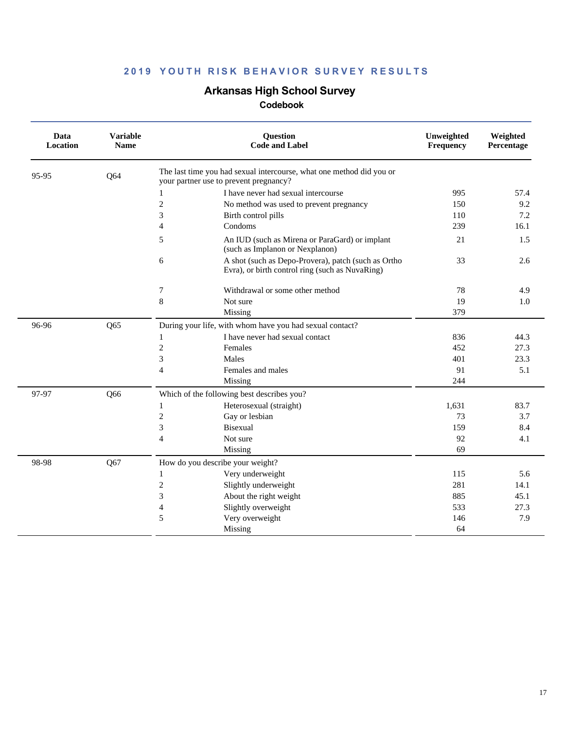# **Arkansas High School Survey**

| Data<br><b>Location</b> | <b>Variable</b><br><b>Name</b> | <b>Question</b><br><b>Code and Label</b>                                                                       | Unweighted<br>Frequency | Weighted<br>Percentage |
|-------------------------|--------------------------------|----------------------------------------------------------------------------------------------------------------|-------------------------|------------------------|
| 95-95                   | Q64                            | The last time you had sexual intercourse, what one method did you or<br>your partner use to prevent pregnancy? |                         |                        |
|                         |                                | I have never had sexual intercourse<br>$\mathbf{1}$                                                            | 995                     | 57.4                   |
|                         |                                | $\boldsymbol{2}$<br>No method was used to prevent pregnancy                                                    | 150                     | 9.2                    |
|                         |                                | 3<br>Birth control pills                                                                                       | 110                     | 7.2                    |
|                         |                                | Condoms<br>$\overline{4}$                                                                                      | 239                     | 16.1                   |
|                         |                                | 5<br>An IUD (such as Mirena or ParaGard) or implant<br>(such as Implanon or Nexplanon)                         | 21                      | 1.5                    |
|                         |                                | 6<br>A shot (such as Depo-Provera), patch (such as Ortho<br>Evra), or birth control ring (such as NuvaRing)    | 33                      | 2.6                    |
|                         |                                | 7<br>Withdrawal or some other method                                                                           | 78                      | 4.9                    |
|                         |                                | 8<br>Not sure                                                                                                  | 19                      | 1.0                    |
|                         |                                | Missing                                                                                                        | 379                     |                        |
| 96-96                   | Q65                            | During your life, with whom have you had sexual contact?                                                       |                         |                        |
|                         |                                | I have never had sexual contact<br>1                                                                           | 836                     | 44.3                   |
|                         |                                | $\mathfrak{2}$<br>Females                                                                                      | 452                     | 27.3                   |
|                         |                                | 3<br>Males                                                                                                     | 401                     | 23.3                   |
|                         |                                | $\overline{4}$<br>Females and males                                                                            | 91                      | 5.1                    |
|                         |                                | Missing                                                                                                        | 244                     |                        |
| 97-97                   | Q66                            | Which of the following best describes you?                                                                     |                         |                        |
|                         |                                | Heterosexual (straight)<br>1                                                                                   | 1,631                   | 83.7                   |
|                         |                                | $\boldsymbol{2}$<br>Gay or lesbian                                                                             | 73                      | 3.7                    |
|                         |                                | 3<br><b>Bisexual</b>                                                                                           | 159                     | 8.4                    |
|                         |                                | Not sure<br>$\overline{4}$                                                                                     | 92                      | 4.1                    |
|                         |                                | Missing                                                                                                        | 69                      |                        |
| 98-98                   | Q67                            | How do you describe your weight?                                                                               |                         |                        |
|                         |                                | Very underweight<br>$\mathbf{1}$                                                                               | 115                     | 5.6                    |
|                         |                                | $\mathfrak{2}$<br>Slightly underweight                                                                         | 281                     | 14.1                   |
|                         |                                | 3<br>About the right weight                                                                                    | 885                     | 45.1                   |
|                         |                                | Slightly overweight<br>$\overline{4}$                                                                          | 533                     | 27.3                   |
|                         |                                | 5<br>Very overweight                                                                                           | 146                     | 7.9                    |
|                         |                                | Missing                                                                                                        | 64                      |                        |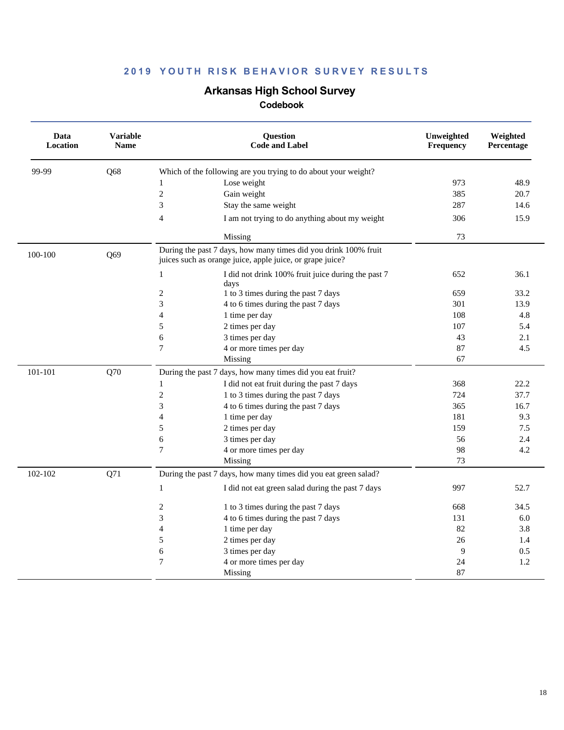# **Arkansas High School Survey**

| Data<br>Location | <b>Variable</b><br><b>Name</b> | Question<br><b>Code and Label</b>                                                                                            | Unweighted<br>Frequency | Weighted<br>Percentage |
|------------------|--------------------------------|------------------------------------------------------------------------------------------------------------------------------|-------------------------|------------------------|
| 99-99            | Q68                            | Which of the following are you trying to do about your weight?                                                               |                         |                        |
|                  |                                | Lose weight<br>1                                                                                                             | 973                     | 48.9                   |
|                  |                                | $\overline{c}$<br>Gain weight                                                                                                | 385                     | 20.7                   |
|                  |                                | 3<br>Stay the same weight                                                                                                    | 287                     | 14.6                   |
|                  |                                | 4<br>I am not trying to do anything about my weight                                                                          | 306                     | 15.9                   |
|                  |                                | Missing                                                                                                                      | 73                      |                        |
| 100-100          | Q69                            | During the past 7 days, how many times did you drink 100% fruit<br>juices such as orange juice, apple juice, or grape juice? |                         |                        |
|                  |                                | $\mathbf{1}$<br>I did not drink 100% fruit juice during the past 7<br>days                                                   | 652                     | 36.1                   |
|                  |                                | $\overline{c}$<br>1 to 3 times during the past 7 days                                                                        | 659                     | 33.2                   |
|                  |                                | 3<br>4 to 6 times during the past 7 days                                                                                     | 301                     | 13.9                   |
|                  |                                | $\overline{4}$<br>1 time per day                                                                                             | 108                     | 4.8                    |
|                  |                                | 5<br>2 times per day                                                                                                         | 107                     | 5.4                    |
|                  |                                | 6<br>3 times per day                                                                                                         | 43                      | 2.1                    |
|                  |                                | 7<br>4 or more times per day                                                                                                 | 87                      | 4.5                    |
|                  |                                | Missing                                                                                                                      | 67                      |                        |
| 101-101          | Q70                            | During the past 7 days, how many times did you eat fruit?                                                                    |                         |                        |
|                  |                                | I did not eat fruit during the past 7 days<br>$\mathbf{1}$                                                                   | 368                     | 22.2                   |
|                  |                                | $\overline{c}$<br>1 to 3 times during the past 7 days                                                                        | 724                     | 37.7                   |
|                  |                                | 3<br>4 to 6 times during the past 7 days                                                                                     | 365                     | 16.7                   |
|                  |                                | 4<br>1 time per day                                                                                                          | 181                     | 9.3                    |
|                  |                                | 2 times per day<br>5                                                                                                         | 159                     | 7.5                    |
|                  |                                | 6<br>3 times per day                                                                                                         | 56                      | 2.4                    |
|                  |                                | $\boldsymbol{7}$<br>4 or more times per day                                                                                  | 98                      | 4.2                    |
|                  |                                | Missing                                                                                                                      | 73                      |                        |
| 102-102          | Q71                            | During the past 7 days, how many times did you eat green salad?                                                              |                         |                        |
|                  |                                | $\,1$<br>I did not eat green salad during the past 7 days                                                                    | 997                     | 52.7                   |
|                  |                                | 2<br>1 to 3 times during the past 7 days                                                                                     | 668                     | 34.5                   |
|                  |                                | 3<br>4 to 6 times during the past 7 days                                                                                     | 131                     | 6.0                    |
|                  |                                | $\overline{\mathcal{A}}$<br>1 time per day                                                                                   | 82                      | 3.8                    |
|                  |                                | 5<br>2 times per day                                                                                                         | 26                      | 1.4                    |
|                  |                                | 6<br>3 times per day                                                                                                         | 9                       | 0.5                    |
|                  |                                | 7<br>4 or more times per day                                                                                                 | 24                      | 1.2                    |
|                  |                                | Missing                                                                                                                      | 87                      |                        |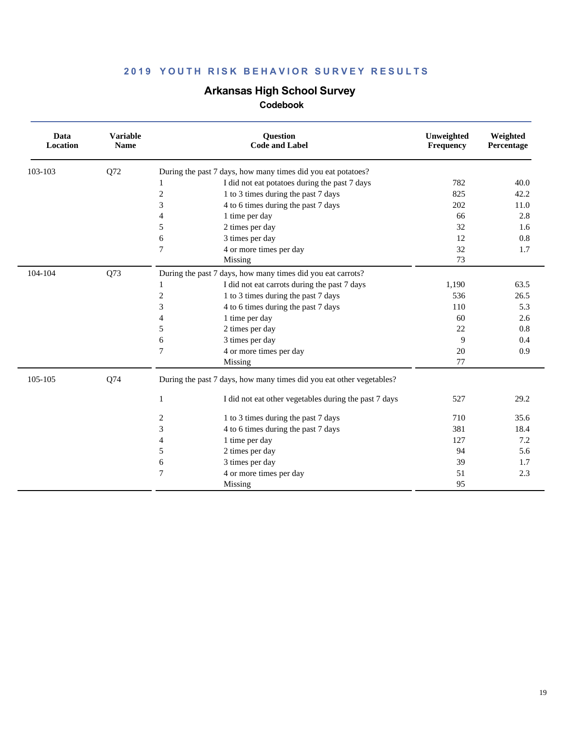# **Arkansas High School Survey**

| Data<br>Location | <b>Variable</b><br><b>Name</b> | <b>Question</b><br><b>Code and Label</b>                             | Unweighted<br>Frequency | Weighted<br>Percentage |
|------------------|--------------------------------|----------------------------------------------------------------------|-------------------------|------------------------|
| 103-103          | Q72                            | During the past 7 days, how many times did you eat potatoes?         |                         |                        |
|                  |                                | I did not eat potatoes during the past 7 days<br>1                   | 782                     | 40.0                   |
|                  |                                | 1 to 3 times during the past 7 days<br>2                             | 825                     | 42.2                   |
|                  |                                | 3<br>4 to 6 times during the past 7 days                             | 202                     | 11.0                   |
|                  |                                | $\overline{4}$<br>1 time per day                                     | 66                      | 2.8                    |
|                  |                                | 5<br>2 times per day                                                 | 32                      | 1.6                    |
|                  |                                | 3 times per day<br>6                                                 | 12                      | 0.8                    |
|                  |                                | 7<br>4 or more times per day                                         | 32                      | 1.7                    |
|                  |                                | Missing                                                              | 73                      |                        |
| 104-104          | Q73                            | During the past 7 days, how many times did you eat carrots?          |                         |                        |
|                  |                                | I did not eat carrots during the past 7 days                         | 1,190                   | 63.5                   |
|                  |                                | $\mathfrak{2}$<br>1 to 3 times during the past 7 days                | 536                     | 26.5                   |
|                  |                                | 3<br>4 to 6 times during the past 7 days                             | 110                     | 5.3                    |
|                  |                                | 1 time per day<br>4                                                  | 60                      | 2.6                    |
|                  |                                | 5<br>2 times per day                                                 | 22                      | 0.8                    |
|                  |                                | 3 times per day<br>6                                                 | 9                       | 0.4                    |
|                  |                                | $\overline{7}$<br>4 or more times per day                            | 20                      | 0.9                    |
|                  |                                | Missing                                                              | 77                      |                        |
| 105-105          | Q74                            | During the past 7 days, how many times did you eat other vegetables? |                         |                        |
|                  |                                | I did not eat other vegetables during the past 7 days<br>1           | 527                     | 29.2                   |
|                  |                                | 1 to 3 times during the past 7 days<br>2                             | 710                     | 35.6                   |
|                  |                                | 3<br>4 to 6 times during the past 7 days                             | 381                     | 18.4                   |
|                  |                                | 1 time per day<br>4                                                  | 127                     | 7.2                    |
|                  |                                | 5<br>2 times per day                                                 | 94                      | 5.6                    |
|                  |                                | 3 times per day<br>6                                                 | 39                      | 1.7                    |
|                  |                                | 7<br>4 or more times per day                                         | 51                      | 2.3                    |
|                  |                                | Missing                                                              | 95                      |                        |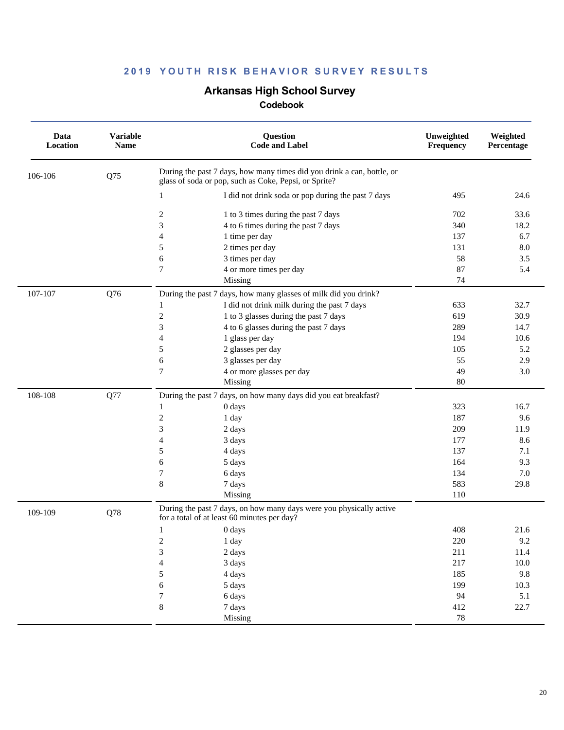### **Arkansas High School Survey**

| Data<br>Location | <b>Variable</b><br><b>Name</b> | <b>Question</b><br><b>Code and Label</b>                                                                                                                                                                                                                                                                              | Unweighted<br>Frequency                                       | Weighted<br>Percentage                                        |
|------------------|--------------------------------|-----------------------------------------------------------------------------------------------------------------------------------------------------------------------------------------------------------------------------------------------------------------------------------------------------------------------|---------------------------------------------------------------|---------------------------------------------------------------|
| 106-106          | Q75                            | During the past 7 days, how many times did you drink a can, bottle, or<br>glass of soda or pop, such as Coke, Pepsi, or Sprite?                                                                                                                                                                                       |                                                               |                                                               |
|                  |                                | I did not drink soda or pop during the past 7 days<br>1                                                                                                                                                                                                                                                               | 495                                                           | 24.6                                                          |
|                  |                                | $\boldsymbol{2}$<br>1 to 3 times during the past 7 days<br>3<br>4 to 6 times during the past 7 days                                                                                                                                                                                                                   | 702<br>340                                                    | 33.6<br>18.2                                                  |
|                  |                                | $\overline{4}$<br>1 time per day<br>2 times per day<br>5<br>6<br>3 times per day<br>$\tau$<br>4 or more times per day                                                                                                                                                                                                 | 137<br>131<br>58<br>87<br>74                                  | 6.7<br>8.0<br>3.5<br>5.4                                      |
| 107-107          | Q76                            | Missing<br>During the past 7 days, how many glasses of milk did you drink?<br>I did not drink milk during the past 7 days<br>1                                                                                                                                                                                        | 633                                                           | 32.7                                                          |
|                  |                                | $\mathbf{2}$<br>1 to 3 glasses during the past 7 days<br>4 to 6 glasses during the past 7 days<br>3<br>1 glass per day<br>$\overline{4}$                                                                                                                                                                              | 619<br>289<br>194                                             | 30.9<br>14.7<br>10.6                                          |
|                  |                                | 2 glasses per day<br>5<br>3 glasses per day<br>6<br>7<br>4 or more glasses per day                                                                                                                                                                                                                                    | 105<br>55<br>49                                               | 5.2<br>2.9<br>3.0                                             |
|                  |                                | Missing                                                                                                                                                                                                                                                                                                               | 80                                                            |                                                               |
| 108-108          | Q77                            | During the past 7 days, on how many days did you eat breakfast?<br>0 days<br>1<br>$\mathfrak{2}$<br>1 day<br>3<br>2 days<br>4<br>3 days<br>5<br>4 days<br>6<br>5 days<br>7<br>6 days<br>$\,8\,$<br>7 days<br>Missing                                                                                                  | 323<br>187<br>209<br>177<br>137<br>164<br>134<br>583<br>110   | 16.7<br>9.6<br>11.9<br>8.6<br>7.1<br>9.3<br>7.0<br>29.8       |
| 109-109          | Q78                            | During the past 7 days, on how many days were you physically active<br>for a total of at least 60 minutes per day?<br>0 days<br>1<br>$\boldsymbol{2}$<br>1 day<br>3<br>2 days<br>$\overline{\mathbf{4}}$<br>3 days<br>5<br>4 days<br>$\epsilon$<br>5 days<br>$\boldsymbol{7}$<br>6 days<br>$8\,$<br>7 days<br>Missing | 408<br>220<br>211<br>217<br>185<br>199<br>94<br>412<br>$78\,$ | 21.6<br>9.2<br>11.4<br>$10.0\,$<br>9.8<br>10.3<br>5.1<br>22.7 |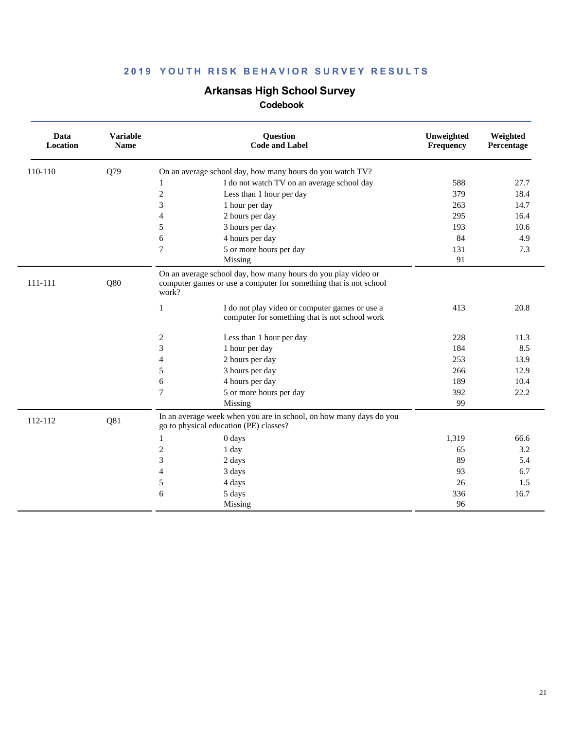# **Arkansas High School Survey**

| Data<br>Location | <b>Variable</b><br><b>Name</b> | <b>Question</b><br><b>Code and Label</b>                                                                                                    | Unweighted<br>Frequency | Weighted<br>Percentage |
|------------------|--------------------------------|---------------------------------------------------------------------------------------------------------------------------------------------|-------------------------|------------------------|
| 110-110          | Q79                            | On an average school day, how many hours do you watch TV?                                                                                   |                         |                        |
|                  |                                | I do not watch TV on an average school day<br>1                                                                                             | 588                     | 27.7                   |
|                  |                                | $\mathfrak{2}$<br>Less than 1 hour per day                                                                                                  | 379                     | 18.4                   |
|                  |                                | 3<br>1 hour per day                                                                                                                         | 263                     | 14.7                   |
|                  |                                | 2 hours per day<br>$\overline{4}$                                                                                                           | 295                     | 16.4                   |
|                  |                                | 5<br>3 hours per day                                                                                                                        | 193                     | 10.6                   |
|                  |                                | 6<br>4 hours per day                                                                                                                        | 84                      | 4.9                    |
|                  |                                | 5 or more hours per day<br>7                                                                                                                | 131                     | 7.3                    |
|                  |                                | Missing                                                                                                                                     | 91                      |                        |
| 111-111          | Q80                            | On an average school day, how many hours do you play video or<br>computer games or use a computer for something that is not school<br>work? |                         |                        |
|                  |                                | $\mathbf{1}$<br>I do not play video or computer games or use a<br>computer for something that is not school work                            | 413                     | 20.8                   |
|                  |                                | 2<br>Less than 1 hour per day                                                                                                               | 228                     | 11.3                   |
|                  |                                | 3<br>1 hour per day                                                                                                                         | 184                     | 8.5                    |
|                  |                                | 2 hours per day<br>$\overline{4}$                                                                                                           | 253                     | 13.9                   |
|                  |                                | 5<br>3 hours per day                                                                                                                        | 266                     | 12.9                   |
|                  |                                | 6<br>4 hours per day                                                                                                                        | 189                     | 10.4                   |
|                  |                                | 7<br>5 or more hours per day                                                                                                                | 392                     | 22.2                   |
|                  |                                | Missing                                                                                                                                     | 99                      |                        |
| 112-112          | Q81                            | In an average week when you are in school, on how many days do you<br>go to physical education (PE) classes?                                |                         |                        |
|                  |                                | 0 days<br>1                                                                                                                                 | 1,319                   | 66.6                   |
|                  |                                | $\overline{c}$<br>1 day                                                                                                                     | 65                      | 3.2                    |
|                  |                                | 3<br>2 days                                                                                                                                 | 89                      | 5.4                    |
|                  |                                | $\overline{4}$<br>3 days                                                                                                                    | 93                      | 6.7                    |
|                  |                                | 5<br>4 days                                                                                                                                 | 26                      | 1.5                    |
|                  |                                | 6<br>5 days                                                                                                                                 | 336                     | 16.7                   |
|                  |                                | Missing                                                                                                                                     | 96                      |                        |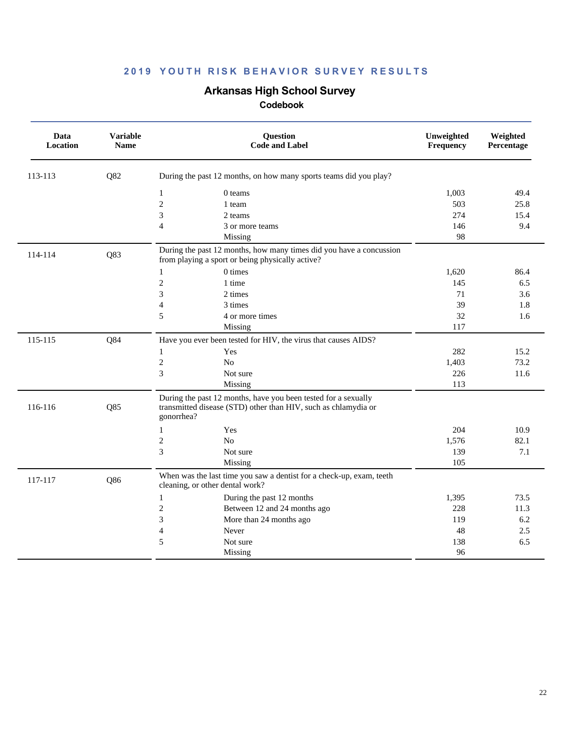# **Arkansas High School Survey**

| Data<br>Location | <b>Variable</b><br><b>Name</b> | <b>Question</b><br><b>Code and Label</b>                                                                                                       | Unweighted<br>Frequency | Weighted<br>Percentage |
|------------------|--------------------------------|------------------------------------------------------------------------------------------------------------------------------------------------|-------------------------|------------------------|
| 113-113          | Q82                            | During the past 12 months, on how many sports teams did you play?                                                                              |                         |                        |
|                  |                                | $\mathbf{1}$<br>0 teams                                                                                                                        | 1,003                   | 49.4                   |
|                  |                                | $\overline{c}$<br>1 team                                                                                                                       | 503                     | 25.8                   |
|                  |                                | 3<br>2 teams                                                                                                                                   | 274                     | 15.4                   |
|                  |                                | $\overline{\mathcal{L}}$<br>3 or more teams                                                                                                    | 146                     | 9.4                    |
|                  |                                | Missing                                                                                                                                        | 98                      |                        |
| 114-114          | Q83                            | During the past 12 months, how many times did you have a concussion<br>from playing a sport or being physically active?                        |                         |                        |
|                  |                                | 0 times<br>$\mathbf{1}$                                                                                                                        | 1,620                   | 86.4                   |
|                  |                                | $\overline{c}$<br>1 time                                                                                                                       | 145                     | 6.5                    |
|                  |                                | 3<br>2 times                                                                                                                                   | 71                      | 3.6                    |
|                  |                                | $\overline{4}$<br>3 times                                                                                                                      | 39                      | 1.8                    |
|                  |                                | 5<br>4 or more times                                                                                                                           | 32                      | 1.6                    |
|                  |                                | Missing                                                                                                                                        | 117                     |                        |
| 115-115          | Q84                            | Have you ever been tested for HIV, the virus that causes AIDS?                                                                                 |                         |                        |
|                  |                                | Yes<br>$\mathbf{1}$                                                                                                                            | 282                     | 15.2                   |
|                  |                                | $\overline{c}$<br>N <sub>0</sub>                                                                                                               | 1,403                   | 73.2                   |
|                  |                                | 3<br>Not sure                                                                                                                                  | 226                     | 11.6                   |
|                  |                                | Missing                                                                                                                                        | 113                     |                        |
| 116-116          | Q85                            | During the past 12 months, have you been tested for a sexually<br>transmitted disease (STD) other than HIV, such as chlamydia or<br>gonorrhea? |                         |                        |
|                  |                                | $\mathbf{1}$<br>Yes                                                                                                                            | 204                     | 10.9                   |
|                  |                                | $\mathfrak{2}$<br>N <sub>o</sub>                                                                                                               | 1,576                   | 82.1                   |
|                  |                                | 3<br>Not sure                                                                                                                                  | 139                     | 7.1                    |
|                  |                                | Missing                                                                                                                                        | 105                     |                        |
| 117-117          | Q86                            | When was the last time you saw a dentist for a check-up, exam, teeth<br>cleaning, or other dental work?                                        |                         |                        |
|                  |                                | $\mathbf{1}$<br>During the past 12 months                                                                                                      | 1,395                   | 73.5                   |
|                  |                                | $\mathfrak{2}$<br>Between 12 and 24 months ago                                                                                                 | 228                     | 11.3                   |
|                  |                                | 3<br>More than 24 months ago                                                                                                                   | 119                     | 6.2                    |
|                  |                                | $\overline{\mathcal{L}}$<br>Never                                                                                                              | 48                      | 2.5                    |
|                  |                                | 5<br>Not sure                                                                                                                                  | 138                     | 6.5                    |
|                  |                                | Missing                                                                                                                                        | 96                      |                        |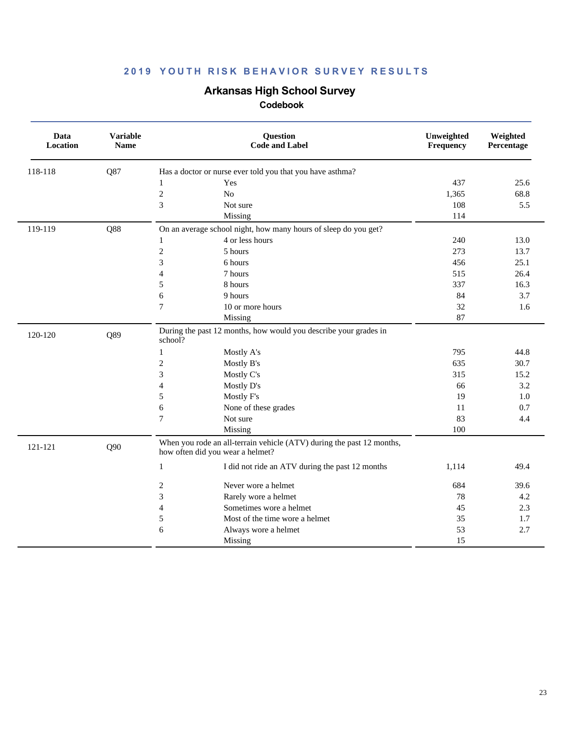# **Arkansas High School Survey**

| Data<br>Location | <b>Variable</b><br>Name | Question<br><b>Code and Label</b>                                                                         |                                                 | Unweighted<br>Frequency | Weighted<br>Percentage |
|------------------|-------------------------|-----------------------------------------------------------------------------------------------------------|-------------------------------------------------|-------------------------|------------------------|
| 118-118          | Q87                     | Has a doctor or nurse ever told you that you have asthma?                                                 |                                                 |                         |                        |
|                  |                         | $\mathbf{1}$<br>Yes                                                                                       |                                                 | 437                     | 25.6                   |
|                  |                         | $\sqrt{2}$<br>$\rm No$                                                                                    |                                                 | 1,365                   | 68.8                   |
|                  |                         | 3<br>Not sure                                                                                             |                                                 | 108                     | 5.5                    |
|                  |                         | Missing                                                                                                   |                                                 | 114                     |                        |
| 119-119          | Q88                     | On an average school night, how many hours of sleep do you get?                                           |                                                 |                         |                        |
|                  |                         | 4 or less hours<br>$\mathbf{1}$                                                                           |                                                 | 240                     | 13.0                   |
|                  |                         | $\mathfrak{2}$<br>5 hours                                                                                 |                                                 | 273                     | 13.7                   |
|                  |                         | 3<br>6 hours                                                                                              |                                                 | 456                     | 25.1                   |
|                  |                         | 7 hours<br>$\overline{4}$                                                                                 |                                                 | 515                     | 26.4                   |
|                  |                         | 5<br>8 hours                                                                                              |                                                 | 337                     | 16.3                   |
|                  |                         | 9 hours<br>6                                                                                              |                                                 | 84                      | 3.7                    |
|                  |                         | $\overline{7}$<br>10 or more hours                                                                        |                                                 | 32                      | 1.6                    |
|                  |                         | Missing                                                                                                   |                                                 | 87                      |                        |
| 120-120          | Q89                     | During the past 12 months, how would you describe your grades in<br>school?                               |                                                 |                         |                        |
|                  |                         | Mostly A's<br>1                                                                                           |                                                 | 795                     | 44.8                   |
|                  |                         | $\overline{c}$<br>Mostly B's                                                                              |                                                 | 635                     | 30.7                   |
|                  |                         | 3<br>Mostly C's                                                                                           |                                                 | 315                     | 15.2                   |
|                  |                         | $\overline{4}$<br>Mostly D's                                                                              |                                                 | 66                      | 3.2                    |
|                  |                         | 5<br>Mostly F's                                                                                           |                                                 | 19                      | 1.0                    |
|                  |                         | 6<br>None of these grades                                                                                 |                                                 | 11                      | 0.7                    |
|                  |                         | 7<br>Not sure                                                                                             |                                                 | 83                      | 4.4                    |
|                  |                         | Missing                                                                                                   |                                                 | 100                     |                        |
| 121-121          | Q90                     | When you rode an all-terrain vehicle (ATV) during the past 12 months,<br>how often did you wear a helmet? |                                                 |                         |                        |
|                  |                         | $\mathbf{1}$                                                                                              | I did not ride an ATV during the past 12 months | 1,114                   | 49.4                   |
|                  |                         | $\sqrt{2}$<br>Never wore a helmet                                                                         |                                                 | 684                     | 39.6                   |
|                  |                         | $\ensuremath{\mathfrak{Z}}$<br>Rarely wore a helmet                                                       |                                                 | 78                      | 4.2                    |
|                  |                         | Sometimes wore a helmet<br>$\overline{4}$                                                                 |                                                 | 45                      | 2.3                    |
|                  |                         | $\mathfrak s$<br>Most of the time wore a helmet                                                           |                                                 | 35                      | 1.7                    |
|                  |                         | 6<br>Always wore a helmet                                                                                 |                                                 | 53                      | 2.7                    |
|                  |                         | Missing                                                                                                   |                                                 | 15                      |                        |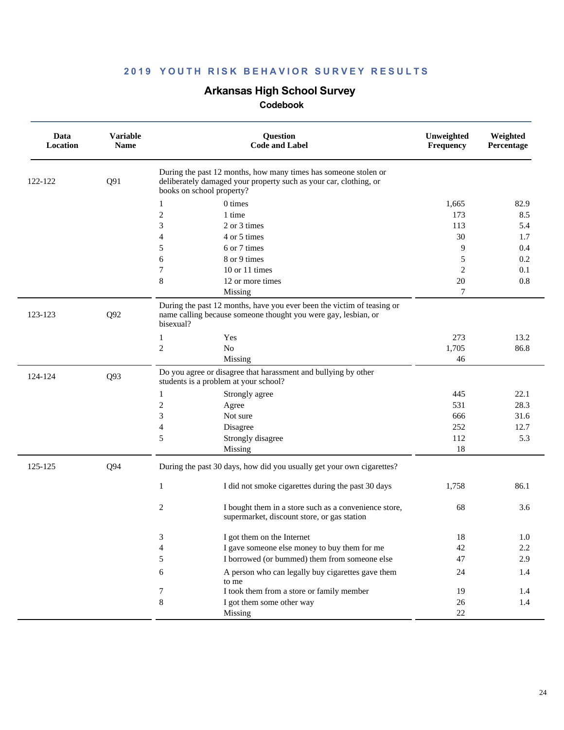### **Arkansas High School Survey**

| Data<br>Location | <b>Variable</b><br><b>Name</b> | Question<br><b>Code and Label</b>                                                                                                                                 | Unweighted<br>Frequency | Weighted<br>Percentage |
|------------------|--------------------------------|-------------------------------------------------------------------------------------------------------------------------------------------------------------------|-------------------------|------------------------|
| 122-122          | Q91                            | During the past 12 months, how many times has someone stolen or<br>deliberately damaged your property such as your car, clothing, or<br>books on school property? |                         |                        |
|                  |                                | 0 times<br>$\mathbf{1}$                                                                                                                                           | 1,665                   | 82.9                   |
|                  |                                | $\mathfrak{2}$<br>1 time                                                                                                                                          | 173                     | 8.5                    |
|                  |                                | 3<br>2 or 3 times                                                                                                                                                 | 113                     | 5.4                    |
|                  |                                | $\overline{\mathcal{L}}$<br>4 or 5 times                                                                                                                          | 30                      | 1.7                    |
|                  |                                | 5<br>6 or 7 times                                                                                                                                                 | 9                       | 0.4                    |
|                  |                                | 6<br>8 or 9 times                                                                                                                                                 | 5                       | 0.2                    |
|                  |                                | 7<br>10 or 11 times                                                                                                                                               | 2                       | 0.1                    |
|                  |                                | $\,8\,$<br>12 or more times                                                                                                                                       | 20                      | 0.8                    |
|                  |                                | Missing                                                                                                                                                           | 7                       |                        |
| 123-123          | Q92                            | During the past 12 months, have you ever been the victim of teasing or<br>name calling because someone thought you were gay, lesbian, or<br>bisexual?             |                         |                        |
|                  |                                | $\mathbf{1}$<br>Yes                                                                                                                                               | 273                     | 13.2                   |
|                  |                                | $\boldsymbol{2}$<br>${\rm No}$                                                                                                                                    | 1,705                   | 86.8                   |
|                  |                                | Missing                                                                                                                                                           | 46                      |                        |
| 124-124          | Q93                            | Do you agree or disagree that harassment and bullying by other<br>students is a problem at your school?                                                           |                         |                        |
|                  |                                | Strongly agree<br>1                                                                                                                                               | 445                     | 22.1                   |
|                  |                                | 2<br>Agree                                                                                                                                                        | 531                     | 28.3                   |
|                  |                                | 3<br>Not sure                                                                                                                                                     | 666                     | 31.6                   |
|                  |                                | $\overline{\mathcal{L}}$<br>Disagree                                                                                                                              | 252                     | 12.7                   |
|                  |                                | 5<br>Strongly disagree                                                                                                                                            | 112                     | 5.3                    |
|                  |                                | Missing                                                                                                                                                           | 18                      |                        |
| 125-125          | Q94                            | During the past 30 days, how did you usually get your own cigarettes?                                                                                             |                         |                        |
|                  |                                | $\mathbf{1}$<br>I did not smoke cigarettes during the past 30 days                                                                                                | 1,758                   | 86.1                   |
|                  |                                | 2<br>I bought them in a store such as a convenience store,<br>supermarket, discount store, or gas station                                                         | 68                      | 3.6                    |
|                  |                                | I got them on the Internet<br>3                                                                                                                                   | 18                      | 1.0                    |
|                  |                                | $\overline{\mathcal{L}}$<br>I gave someone else money to buy them for me                                                                                          | 42                      | $2.2\,$                |
|                  |                                | I borrowed (or bummed) them from someone else<br>5                                                                                                                | 47                      | 2.9                    |
|                  |                                | A person who can legally buy cigarettes gave them<br>6<br>to me                                                                                                   | 24                      | 1.4                    |
|                  |                                | 7<br>I took them from a store or family member                                                                                                                    | 19                      | 1.4                    |
|                  |                                | 8<br>I got them some other way                                                                                                                                    | 26                      | 1.4                    |
|                  |                                | Missing                                                                                                                                                           | 22                      |                        |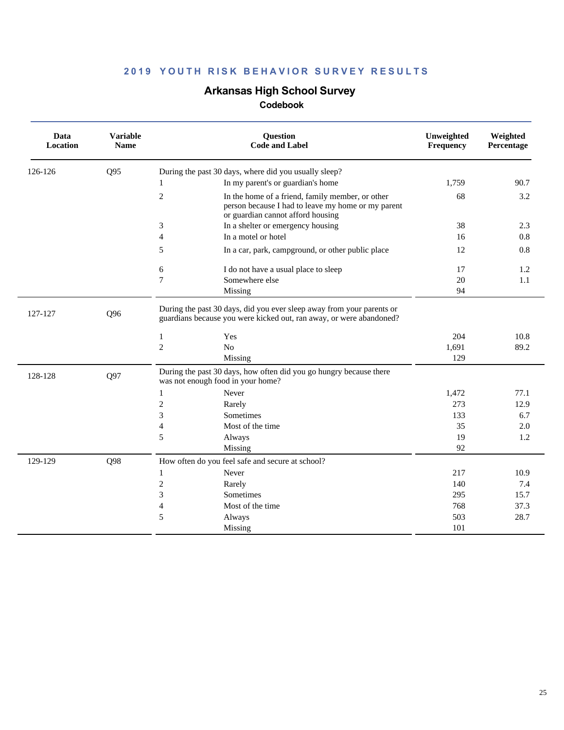### **Arkansas High School Survey**

| Data<br>Location | <b>Variable</b><br><b>Name</b> | <b>Question</b><br><b>Code and Label</b>                                                                                                                      | Unweighted<br>Frequency | Weighted<br>Percentage |
|------------------|--------------------------------|---------------------------------------------------------------------------------------------------------------------------------------------------------------|-------------------------|------------------------|
| 126-126          | Q95                            | During the past 30 days, where did you usually sleep?                                                                                                         |                         |                        |
|                  |                                | In my parent's or guardian's home                                                                                                                             | 1,759                   | 90.7                   |
|                  |                                | $\overline{c}$<br>In the home of a friend, family member, or other<br>person because I had to leave my home or my parent<br>or guardian cannot afford housing | 68                      | 3.2                    |
|                  |                                | 3<br>In a shelter or emergency housing                                                                                                                        | 38                      | 2.3                    |
|                  |                                | $\overline{4}$<br>In a motel or hotel                                                                                                                         | 16                      | 0.8                    |
|                  |                                | 5<br>In a car, park, campground, or other public place                                                                                                        | 12                      | 0.8                    |
|                  |                                | 6<br>I do not have a usual place to sleep                                                                                                                     | 17                      | 1.2                    |
|                  |                                | $\overline{7}$<br>Somewhere else                                                                                                                              | 20                      | 1.1                    |
|                  |                                | Missing                                                                                                                                                       | 94                      |                        |
| 127-127          | Q96                            | During the past 30 days, did you ever sleep away from your parents or<br>guardians because you were kicked out, ran away, or were abandoned?                  |                         |                        |
|                  |                                | Yes<br>1                                                                                                                                                      | 204                     | 10.8                   |
|                  |                                | $\overline{c}$<br>$\rm No$                                                                                                                                    | 1,691                   | 89.2                   |
|                  |                                | Missing                                                                                                                                                       | 129                     |                        |
| 128-128          | Q97                            | During the past 30 days, how often did you go hungry because there<br>was not enough food in your home?                                                       |                         |                        |
|                  |                                | Never<br>1                                                                                                                                                    | 1,472                   | 77.1                   |
|                  |                                | $\mathfrak{2}$<br>Rarely                                                                                                                                      | 273                     | 12.9                   |
|                  |                                | 3<br><b>Sometimes</b>                                                                                                                                         | 133                     | 6.7                    |
|                  |                                | $\overline{4}$<br>Most of the time                                                                                                                            | 35                      | 2.0                    |
|                  |                                | 5<br>Always                                                                                                                                                   | 19                      | 1.2                    |
|                  |                                | Missing                                                                                                                                                       | 92                      |                        |
| 129-129          | Q98                            | How often do you feel safe and secure at school?                                                                                                              |                         |                        |
|                  |                                | $\mathbf{1}$<br>Never                                                                                                                                         | 217                     | 10.9                   |
|                  |                                | $\mathfrak{2}$<br>Rarely                                                                                                                                      | 140                     | 7.4                    |
|                  |                                | 3<br>Sometimes                                                                                                                                                | 295                     | 15.7                   |
|                  |                                | $\overline{4}$<br>Most of the time                                                                                                                            | 768                     | 37.3                   |
|                  |                                | 5<br>Always                                                                                                                                                   | 503                     | 28.7                   |
|                  |                                | Missing                                                                                                                                                       | 101                     |                        |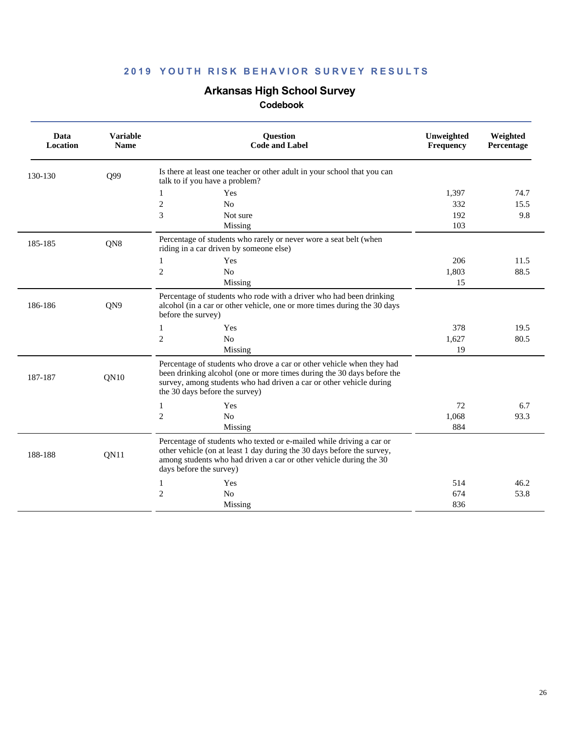# **Arkansas High School Survey**

| Data<br>Location | <b>Variable</b><br><b>Name</b> | <b>Ouestion</b><br><b>Code and Label</b>                                                                                                                                                                                                                 | Unweighted<br><b>Frequency</b> | Weighted<br>Percentage |
|------------------|--------------------------------|----------------------------------------------------------------------------------------------------------------------------------------------------------------------------------------------------------------------------------------------------------|--------------------------------|------------------------|
| 130-130          | Q99                            | Is there at least one teacher or other adult in your school that you can<br>talk to if you have a problem?                                                                                                                                               |                                |                        |
|                  |                                | Yes<br>1                                                                                                                                                                                                                                                 | 1,397                          | 74.7                   |
|                  |                                | $\overline{c}$<br>N <sub>o</sub>                                                                                                                                                                                                                         | 332                            | 15.5                   |
|                  |                                | 3<br>Not sure                                                                                                                                                                                                                                            | 192                            | 9.8                    |
|                  |                                | Missing                                                                                                                                                                                                                                                  | 103                            |                        |
| 185-185          | QN8                            | Percentage of students who rarely or never wore a seat belt (when<br>riding in a car driven by someone else)                                                                                                                                             |                                |                        |
|                  |                                | Yes<br>1                                                                                                                                                                                                                                                 | 206                            | 11.5                   |
|                  |                                | $\overline{c}$<br>N <sub>o</sub>                                                                                                                                                                                                                         | 1,803                          | 88.5                   |
|                  |                                | Missing                                                                                                                                                                                                                                                  | 15                             |                        |
| 186-186          | QN9                            | Percentage of students who rode with a driver who had been drinking<br>alcohol (in a car or other vehicle, one or more times during the 30 days<br>before the survey)                                                                                    |                                |                        |
|                  |                                | Yes<br>1                                                                                                                                                                                                                                                 | 378                            | 19.5                   |
|                  |                                | $\mathfrak{2}$<br>N <sub>o</sub>                                                                                                                                                                                                                         | 1,627                          | 80.5                   |
|                  |                                | Missing                                                                                                                                                                                                                                                  | 19                             |                        |
| 187-187          | QN10                           | Percentage of students who drove a car or other vehicle when they had<br>been drinking alcohol (one or more times during the 30 days before the<br>survey, among students who had driven a car or other vehicle during<br>the 30 days before the survey) |                                |                        |
|                  |                                | Yes<br>1                                                                                                                                                                                                                                                 | 72                             | 6.7                    |
|                  |                                | $\overline{c}$<br>No                                                                                                                                                                                                                                     | 1,068                          | 93.3                   |
|                  |                                | Missing                                                                                                                                                                                                                                                  | 884                            |                        |
| 188-188          | QN11                           | Percentage of students who texted or e-mailed while driving a car or<br>other vehicle (on at least 1 day during the 30 days before the survey,<br>among students who had driven a car or other vehicle during the 30<br>days before the survey)          |                                |                        |
|                  |                                | Yes<br>1                                                                                                                                                                                                                                                 | 514                            | 46.2                   |
|                  |                                | 2<br>N <sub>0</sub>                                                                                                                                                                                                                                      | 674                            | 53.8                   |
|                  |                                | Missing                                                                                                                                                                                                                                                  | 836                            |                        |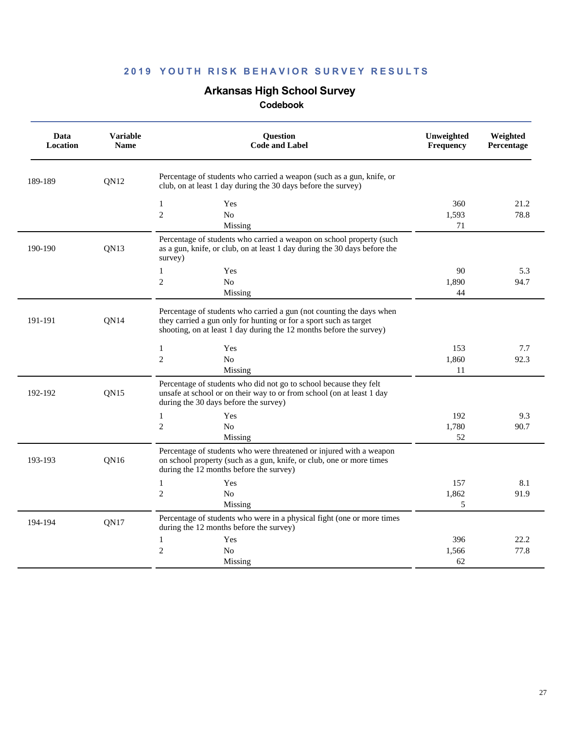# **Arkansas High School Survey**

| Data<br>Location | <b>Variable</b><br><b>Name</b> | <b>Question</b><br><b>Code and Label</b>                                                                                                                                                                         | Unweighted<br>Frequency | Weighted<br>Percentage |
|------------------|--------------------------------|------------------------------------------------------------------------------------------------------------------------------------------------------------------------------------------------------------------|-------------------------|------------------------|
| 189-189          | QN12                           | Percentage of students who carried a weapon (such as a gun, knife, or<br>club, on at least 1 day during the 30 days before the survey)                                                                           |                         |                        |
|                  |                                | $\mathbf{1}$<br>Yes<br>$\overline{c}$<br>N <sub>o</sub><br>Missing                                                                                                                                               | 360<br>1,593<br>71      | 21.2<br>78.8           |
| 190-190          | QN13                           | Percentage of students who carried a weapon on school property (such<br>as a gun, knife, or club, on at least 1 day during the 30 days before the<br>survey)                                                     |                         |                        |
|                  |                                | $\mathbf{1}$<br>Yes<br>$\overline{c}$<br>$\rm No$<br>Missing                                                                                                                                                     | 90<br>1,890<br>44       | 5.3<br>94.7            |
| 191-191          | <b>ON14</b>                    | Percentage of students who carried a gun (not counting the days when<br>they carried a gun only for hunting or for a sport such as target<br>shooting, on at least 1 day during the 12 months before the survey) |                         |                        |
|                  |                                | $\mathbf{1}$<br>Yes<br>$\overline{c}$<br>No<br>Missing                                                                                                                                                           | 153<br>1,860<br>11      | 7.7<br>92.3            |
| 192-192          | ON15                           | Percentage of students who did not go to school because they felt<br>unsafe at school or on their way to or from school (on at least 1 day<br>during the 30 days before the survey)                              |                         |                        |
|                  |                                | 1<br>Yes<br>$\overline{c}$<br>$\rm No$<br>Missing                                                                                                                                                                | 192<br>1,780<br>52      | 9.3<br>90.7            |
| 193-193          | ON16                           | Percentage of students who were threatened or injured with a weapon<br>on school property (such as a gun, knife, or club, one or more times<br>during the 12 months before the survey)                           |                         |                        |
|                  |                                | $\mathbf{1}$<br>Yes<br>$\overline{2}$<br>N <sub>0</sub><br>Missing                                                                                                                                               | 157<br>1,862<br>5       | 8.1<br>91.9            |
| 194-194          | QN17                           | Percentage of students who were in a physical fight (one or more times<br>during the 12 months before the survey)                                                                                                |                         |                        |
|                  |                                | 1<br>Yes<br>$\overline{c}$<br>N <sub>0</sub><br>Missing                                                                                                                                                          | 396<br>1,566<br>62      | 22.2<br>77.8           |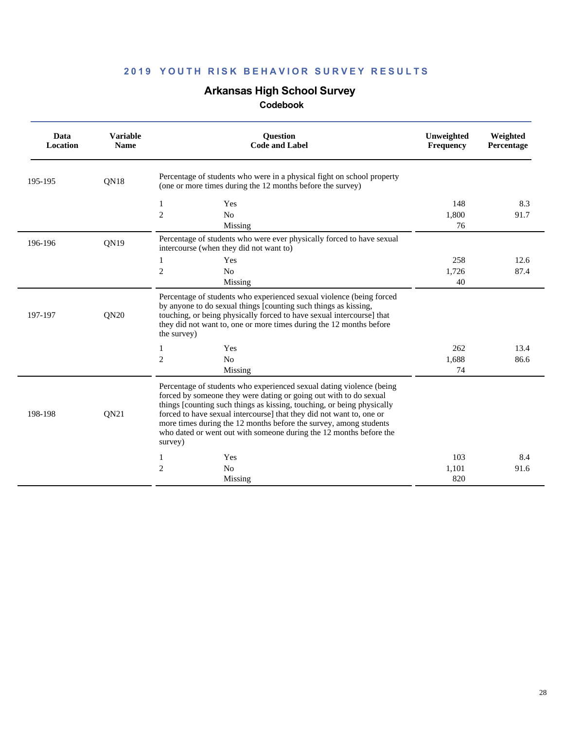# **Arkansas High School Survey**

| Data<br>Location | <b>Variable</b><br><b>Name</b> | <b>Ouestion</b><br><b>Code and Label</b>                                                                                                                                                                                                                                                                                                                                                                                                          | Unweighted<br><b>Frequency</b> | Weighted<br>Percentage |
|------------------|--------------------------------|---------------------------------------------------------------------------------------------------------------------------------------------------------------------------------------------------------------------------------------------------------------------------------------------------------------------------------------------------------------------------------------------------------------------------------------------------|--------------------------------|------------------------|
| 195-195          | QN18                           | Percentage of students who were in a physical fight on school property<br>(one or more times during the 12 months before the survey)                                                                                                                                                                                                                                                                                                              |                                |                        |
|                  |                                | 1<br>Yes<br>$\overline{c}$<br>No<br>Missing                                                                                                                                                                                                                                                                                                                                                                                                       | 148<br>1,800<br>76             | 8.3<br>91.7            |
| 196-196          | QN <sub>19</sub>               | Percentage of students who were ever physically forced to have sexual<br>intercourse (when they did not want to)                                                                                                                                                                                                                                                                                                                                  |                                |                        |
|                  |                                | 1<br>Yes<br>$\overline{c}$<br>No<br>Missing                                                                                                                                                                                                                                                                                                                                                                                                       | 258<br>1,726<br>40             | 12.6<br>87.4           |
| 197-197          | QN20                           | Percentage of students who experienced sexual violence (being forced<br>by anyone to do sexual things [counting such things as kissing,<br>touching, or being physically forced to have sexual intercourse] that<br>they did not want to, one or more times during the 12 months before<br>the survey)                                                                                                                                            |                                |                        |
|                  |                                | 1<br>Yes                                                                                                                                                                                                                                                                                                                                                                                                                                          | 262                            | 13.4                   |
|                  |                                | 2<br>No<br>Missing                                                                                                                                                                                                                                                                                                                                                                                                                                | 1,688<br>74                    | 86.6                   |
| 198-198          | QN21                           | Percentage of students who experienced sexual dating violence (being<br>forced by someone they were dating or going out with to do sexual<br>things [counting such things as kissing, touching, or being physically<br>forced to have sexual intercourse] that they did not want to, one or<br>more times during the 12 months before the survey, among students<br>who dated or went out with someone during the 12 months before the<br>survey) |                                |                        |
|                  |                                | Yes<br>1                                                                                                                                                                                                                                                                                                                                                                                                                                          | 103                            | 8.4                    |
|                  |                                | 2<br>No                                                                                                                                                                                                                                                                                                                                                                                                                                           | 1,101                          | 91.6                   |
|                  |                                | Missing                                                                                                                                                                                                                                                                                                                                                                                                                                           | 820                            |                        |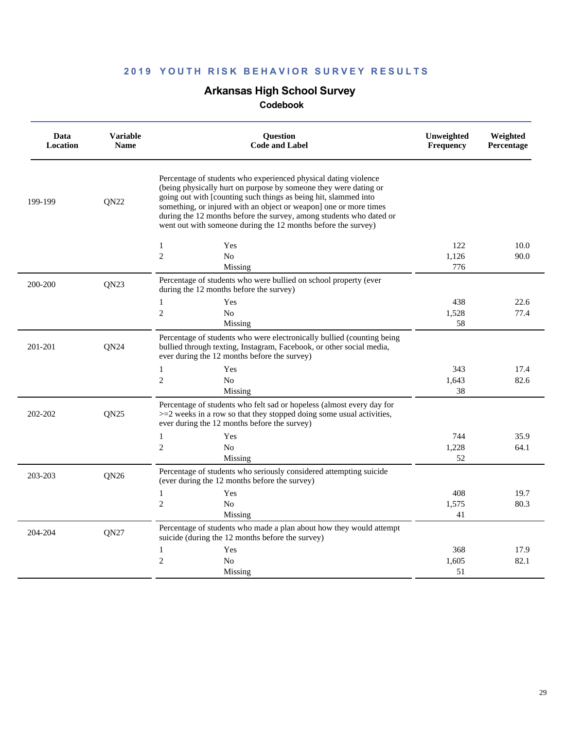### **Arkansas High School Survey**

| Percentage of students who experienced physical dating violence<br>(being physically hurt on purpose by someone they were dating or<br>going out with [counting such things as being hit, slammed into<br>199-199<br><b>ON22</b><br>something, or injured with an object or weapon] one or more times<br>during the 12 months before the survey, among students who dated or<br>went out with someone during the 12 months before the survey)<br>122<br>10.0<br>1<br>Yes<br>$\overline{c}$<br>N <sub>o</sub><br>1,126<br>90.0<br>Missing<br>776<br>Percentage of students who were bullied on school property (ever<br>QN23<br>200-200<br>during the 12 months before the survey)<br>1<br>Yes<br>438<br>22.6<br>$\overline{c}$<br>No<br>77.4<br>1,528<br>Missing<br>58<br>Percentage of students who were electronically bullied (counting being<br>QN24<br>bullied through texting, Instagram, Facebook, or other social media,<br>201-201<br>ever during the 12 months before the survey)<br>$\mathbf{1}$<br>Yes<br>343<br>17.4<br>$\overline{c}$<br>No<br>82.6<br>1,643<br>38<br>Missing<br>Percentage of students who felt sad or hopeless (almost every day for<br>QN25<br>202-202<br>$>=$ 2 weeks in a row so that they stopped doing some usual activities,<br>ever during the 12 months before the survey)<br>744<br>35.9<br>$\mathbf{1}$<br>Yes<br>$\overline{c}$<br>N <sub>o</sub><br>1,228<br>64.1<br>52<br>Missing<br>Percentage of students who seriously considered attempting suicide<br>203-203<br>QN26<br>(ever during the 12 months before the survey)<br>$\mathbf{1}$<br>Yes<br>408<br>19.7<br>2<br>N <sub>0</sub><br>80.3<br>1,575<br>41<br>Missing<br>Percentage of students who made a plan about how they would attempt<br>204-204<br><b>ON27</b><br>suicide (during the 12 months before the survey)<br>17.9<br>$\mathbf{1}$<br>Yes<br>368<br>$\overline{c}$<br>82.1<br>N <sub>0</sub><br>1,605<br>51<br>Missing | Data<br>Location | <b>Variable</b><br><b>Name</b> | <b>Ouestion</b><br><b>Code and Label</b> | Unweighted<br>Frequency | Weighted<br>Percentage |
|------------------------------------------------------------------------------------------------------------------------------------------------------------------------------------------------------------------------------------------------------------------------------------------------------------------------------------------------------------------------------------------------------------------------------------------------------------------------------------------------------------------------------------------------------------------------------------------------------------------------------------------------------------------------------------------------------------------------------------------------------------------------------------------------------------------------------------------------------------------------------------------------------------------------------------------------------------------------------------------------------------------------------------------------------------------------------------------------------------------------------------------------------------------------------------------------------------------------------------------------------------------------------------------------------------------------------------------------------------------------------------------------------------------------------------------------------------------------------------------------------------------------------------------------------------------------------------------------------------------------------------------------------------------------------------------------------------------------------------------------------------------------------------------------------------------------------------------------------------------------------------------------------------------------------------------|------------------|--------------------------------|------------------------------------------|-------------------------|------------------------|
|                                                                                                                                                                                                                                                                                                                                                                                                                                                                                                                                                                                                                                                                                                                                                                                                                                                                                                                                                                                                                                                                                                                                                                                                                                                                                                                                                                                                                                                                                                                                                                                                                                                                                                                                                                                                                                                                                                                                          |                  |                                |                                          |                         |                        |
|                                                                                                                                                                                                                                                                                                                                                                                                                                                                                                                                                                                                                                                                                                                                                                                                                                                                                                                                                                                                                                                                                                                                                                                                                                                                                                                                                                                                                                                                                                                                                                                                                                                                                                                                                                                                                                                                                                                                          |                  |                                |                                          |                         |                        |
|                                                                                                                                                                                                                                                                                                                                                                                                                                                                                                                                                                                                                                                                                                                                                                                                                                                                                                                                                                                                                                                                                                                                                                                                                                                                                                                                                                                                                                                                                                                                                                                                                                                                                                                                                                                                                                                                                                                                          |                  |                                |                                          |                         |                        |
|                                                                                                                                                                                                                                                                                                                                                                                                                                                                                                                                                                                                                                                                                                                                                                                                                                                                                                                                                                                                                                                                                                                                                                                                                                                                                                                                                                                                                                                                                                                                                                                                                                                                                                                                                                                                                                                                                                                                          |                  |                                |                                          |                         |                        |
|                                                                                                                                                                                                                                                                                                                                                                                                                                                                                                                                                                                                                                                                                                                                                                                                                                                                                                                                                                                                                                                                                                                                                                                                                                                                                                                                                                                                                                                                                                                                                                                                                                                                                                                                                                                                                                                                                                                                          |                  |                                |                                          |                         |                        |
|                                                                                                                                                                                                                                                                                                                                                                                                                                                                                                                                                                                                                                                                                                                                                                                                                                                                                                                                                                                                                                                                                                                                                                                                                                                                                                                                                                                                                                                                                                                                                                                                                                                                                                                                                                                                                                                                                                                                          |                  |                                |                                          |                         |                        |
|                                                                                                                                                                                                                                                                                                                                                                                                                                                                                                                                                                                                                                                                                                                                                                                                                                                                                                                                                                                                                                                                                                                                                                                                                                                                                                                                                                                                                                                                                                                                                                                                                                                                                                                                                                                                                                                                                                                                          |                  |                                |                                          |                         |                        |
|                                                                                                                                                                                                                                                                                                                                                                                                                                                                                                                                                                                                                                                                                                                                                                                                                                                                                                                                                                                                                                                                                                                                                                                                                                                                                                                                                                                                                                                                                                                                                                                                                                                                                                                                                                                                                                                                                                                                          |                  |                                |                                          |                         |                        |
|                                                                                                                                                                                                                                                                                                                                                                                                                                                                                                                                                                                                                                                                                                                                                                                                                                                                                                                                                                                                                                                                                                                                                                                                                                                                                                                                                                                                                                                                                                                                                                                                                                                                                                                                                                                                                                                                                                                                          |                  |                                |                                          |                         |                        |
|                                                                                                                                                                                                                                                                                                                                                                                                                                                                                                                                                                                                                                                                                                                                                                                                                                                                                                                                                                                                                                                                                                                                                                                                                                                                                                                                                                                                                                                                                                                                                                                                                                                                                                                                                                                                                                                                                                                                          |                  |                                |                                          |                         |                        |
|                                                                                                                                                                                                                                                                                                                                                                                                                                                                                                                                                                                                                                                                                                                                                                                                                                                                                                                                                                                                                                                                                                                                                                                                                                                                                                                                                                                                                                                                                                                                                                                                                                                                                                                                                                                                                                                                                                                                          |                  |                                |                                          |                         |                        |
|                                                                                                                                                                                                                                                                                                                                                                                                                                                                                                                                                                                                                                                                                                                                                                                                                                                                                                                                                                                                                                                                                                                                                                                                                                                                                                                                                                                                                                                                                                                                                                                                                                                                                                                                                                                                                                                                                                                                          |                  |                                |                                          |                         |                        |
|                                                                                                                                                                                                                                                                                                                                                                                                                                                                                                                                                                                                                                                                                                                                                                                                                                                                                                                                                                                                                                                                                                                                                                                                                                                                                                                                                                                                                                                                                                                                                                                                                                                                                                                                                                                                                                                                                                                                          |                  |                                |                                          |                         |                        |
|                                                                                                                                                                                                                                                                                                                                                                                                                                                                                                                                                                                                                                                                                                                                                                                                                                                                                                                                                                                                                                                                                                                                                                                                                                                                                                                                                                                                                                                                                                                                                                                                                                                                                                                                                                                                                                                                                                                                          |                  |                                |                                          |                         |                        |
|                                                                                                                                                                                                                                                                                                                                                                                                                                                                                                                                                                                                                                                                                                                                                                                                                                                                                                                                                                                                                                                                                                                                                                                                                                                                                                                                                                                                                                                                                                                                                                                                                                                                                                                                                                                                                                                                                                                                          |                  |                                |                                          |                         |                        |
|                                                                                                                                                                                                                                                                                                                                                                                                                                                                                                                                                                                                                                                                                                                                                                                                                                                                                                                                                                                                                                                                                                                                                                                                                                                                                                                                                                                                                                                                                                                                                                                                                                                                                                                                                                                                                                                                                                                                          |                  |                                |                                          |                         |                        |
|                                                                                                                                                                                                                                                                                                                                                                                                                                                                                                                                                                                                                                                                                                                                                                                                                                                                                                                                                                                                                                                                                                                                                                                                                                                                                                                                                                                                                                                                                                                                                                                                                                                                                                                                                                                                                                                                                                                                          |                  |                                |                                          |                         |                        |
|                                                                                                                                                                                                                                                                                                                                                                                                                                                                                                                                                                                                                                                                                                                                                                                                                                                                                                                                                                                                                                                                                                                                                                                                                                                                                                                                                                                                                                                                                                                                                                                                                                                                                                                                                                                                                                                                                                                                          |                  |                                |                                          |                         |                        |
|                                                                                                                                                                                                                                                                                                                                                                                                                                                                                                                                                                                                                                                                                                                                                                                                                                                                                                                                                                                                                                                                                                                                                                                                                                                                                                                                                                                                                                                                                                                                                                                                                                                                                                                                                                                                                                                                                                                                          |                  |                                |                                          |                         |                        |
|                                                                                                                                                                                                                                                                                                                                                                                                                                                                                                                                                                                                                                                                                                                                                                                                                                                                                                                                                                                                                                                                                                                                                                                                                                                                                                                                                                                                                                                                                                                                                                                                                                                                                                                                                                                                                                                                                                                                          |                  |                                |                                          |                         |                        |
|                                                                                                                                                                                                                                                                                                                                                                                                                                                                                                                                                                                                                                                                                                                                                                                                                                                                                                                                                                                                                                                                                                                                                                                                                                                                                                                                                                                                                                                                                                                                                                                                                                                                                                                                                                                                                                                                                                                                          |                  |                                |                                          |                         |                        |
|                                                                                                                                                                                                                                                                                                                                                                                                                                                                                                                                                                                                                                                                                                                                                                                                                                                                                                                                                                                                                                                                                                                                                                                                                                                                                                                                                                                                                                                                                                                                                                                                                                                                                                                                                                                                                                                                                                                                          |                  |                                |                                          |                         |                        |
|                                                                                                                                                                                                                                                                                                                                                                                                                                                                                                                                                                                                                                                                                                                                                                                                                                                                                                                                                                                                                                                                                                                                                                                                                                                                                                                                                                                                                                                                                                                                                                                                                                                                                                                                                                                                                                                                                                                                          |                  |                                |                                          |                         |                        |
|                                                                                                                                                                                                                                                                                                                                                                                                                                                                                                                                                                                                                                                                                                                                                                                                                                                                                                                                                                                                                                                                                                                                                                                                                                                                                                                                                                                                                                                                                                                                                                                                                                                                                                                                                                                                                                                                                                                                          |                  |                                |                                          |                         |                        |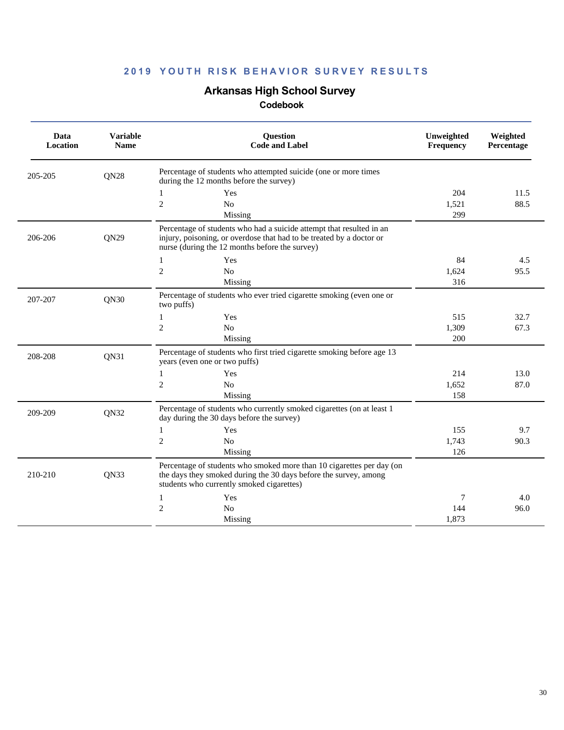# **Arkansas High School Survey**

| Data<br><b>Location</b> | <b>Variable</b><br><b>Name</b> | Question<br><b>Code and Label</b>                                                                                                                                                              | Unweighted<br>Frequency | Weighted<br>Percentage |
|-------------------------|--------------------------------|------------------------------------------------------------------------------------------------------------------------------------------------------------------------------------------------|-------------------------|------------------------|
| 205-205                 | QN28                           | Percentage of students who attempted suicide (one or more times<br>during the 12 months before the survey)                                                                                     |                         |                        |
|                         |                                | Yes<br>1                                                                                                                                                                                       | 204                     | 11.5                   |
|                         |                                | $\overline{2}$<br>N <sub>o</sub>                                                                                                                                                               | 1,521                   | 88.5                   |
|                         |                                | Missing                                                                                                                                                                                        | 299                     |                        |
| 206-206                 | QN29                           | Percentage of students who had a suicide attempt that resulted in an<br>injury, poisoning, or overdose that had to be treated by a doctor or<br>nurse (during the 12 months before the survey) |                         |                        |
|                         |                                | Yes<br>1                                                                                                                                                                                       | 84                      | 4.5                    |
|                         |                                | $\mathfrak{2}$<br>No                                                                                                                                                                           | 1,624                   | 95.5                   |
|                         |                                | Missing                                                                                                                                                                                        | 316                     |                        |
| 207-207                 | QN30                           | Percentage of students who ever tried cigarette smoking (even one or<br>two puffs)                                                                                                             |                         |                        |
|                         |                                | Yes<br>$\mathbf{1}$                                                                                                                                                                            | 515                     | 32.7                   |
|                         |                                | $\overline{2}$<br>N <sub>o</sub>                                                                                                                                                               | 1,309                   | 67.3                   |
|                         |                                | Missing                                                                                                                                                                                        | 200                     |                        |
| 208-208                 | QN31                           | Percentage of students who first tried cigarette smoking before age 13<br>years (even one or two puffs)                                                                                        |                         |                        |
|                         |                                | Yes<br>1                                                                                                                                                                                       | 214                     | 13.0                   |
|                         |                                | $\overline{2}$<br>N <sub>o</sub>                                                                                                                                                               | 1.652                   | 87.0                   |
|                         |                                | Missing                                                                                                                                                                                        | 158                     |                        |
| 209-209                 | QN32                           | Percentage of students who currently smoked cigarettes (on at least 1<br>day during the 30 days before the survey)                                                                             |                         |                        |
|                         |                                | Yes<br>1                                                                                                                                                                                       | 155                     | 9.7                    |
|                         |                                | $\mathfrak{2}$<br>N <sub>o</sub>                                                                                                                                                               | 1,743                   | 90.3                   |
|                         |                                | Missing                                                                                                                                                                                        | 126                     |                        |
| 210-210                 | <b>ON33</b>                    | Percentage of students who smoked more than 10 cigarettes per day (on<br>the days they smoked during the 30 days before the survey, among<br>students who currently smoked cigarettes)         |                         |                        |
|                         |                                | Yes<br>1                                                                                                                                                                                       | 7                       | 4.0                    |
|                         |                                | $\mathfrak{2}$<br>N <sub>o</sub>                                                                                                                                                               | 144                     | 96.0                   |
|                         |                                | Missing                                                                                                                                                                                        | 1,873                   |                        |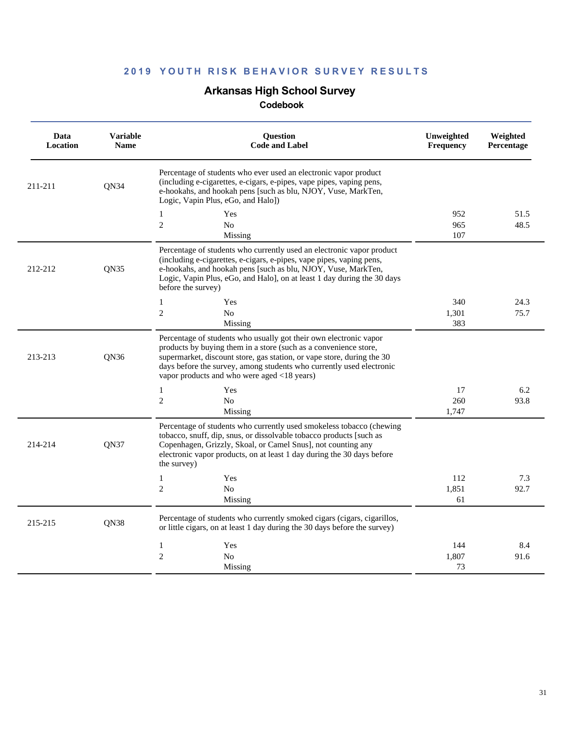# **Arkansas High School Survey**

| Data<br>Location | <b>Variable</b><br><b>Name</b> | <b>Ouestion</b><br><b>Code and Label</b>                                                                                                                                                                                                                                                                                               | Unweighted<br><b>Frequency</b> | Weighted<br>Percentage |
|------------------|--------------------------------|----------------------------------------------------------------------------------------------------------------------------------------------------------------------------------------------------------------------------------------------------------------------------------------------------------------------------------------|--------------------------------|------------------------|
| 211-211          | QN34                           | Percentage of students who ever used an electronic vapor product<br>(including e-cigarettes, e-cigars, e-pipes, vape pipes, vaping pens,<br>e-hookahs, and hookah pens [such as blu, NJOY, Vuse, MarkTen,<br>Logic, Vapin Plus, eGo, and Halo])                                                                                        |                                |                        |
|                  |                                | Yes<br>1                                                                                                                                                                                                                                                                                                                               | 952                            | 51.5                   |
|                  |                                | $\overline{2}$<br>N <sub>0</sub>                                                                                                                                                                                                                                                                                                       | 965                            | 48.5                   |
|                  |                                | Missing                                                                                                                                                                                                                                                                                                                                | 107                            |                        |
| 212-212          | QN35                           | Percentage of students who currently used an electronic vapor product<br>(including e-cigarettes, e-cigars, e-pipes, vape pipes, vaping pens,<br>e-hookahs, and hookah pens [such as blu, NJOY, Vuse, MarkTen,<br>Logic, Vapin Plus, eGo, and Halo], on at least 1 day during the 30 days<br>before the survey)                        |                                |                        |
|                  |                                | Yes<br>1                                                                                                                                                                                                                                                                                                                               | 340                            | 24.3                   |
|                  |                                | $\overline{2}$<br>N <sub>o</sub>                                                                                                                                                                                                                                                                                                       | 1,301                          | 75.7                   |
|                  |                                | Missing                                                                                                                                                                                                                                                                                                                                | 383                            |                        |
| 213-213          | QN36                           | Percentage of students who usually got their own electronic vapor<br>products by buying them in a store (such as a convenience store,<br>supermarket, discount store, gas station, or vape store, during the 30<br>days before the survey, among students who currently used electronic<br>vapor products and who were aged <18 years) |                                |                        |
|                  |                                | Yes<br>$\mathbf{1}$                                                                                                                                                                                                                                                                                                                    | 17                             | 6.2                    |
|                  |                                | $\overline{2}$<br>No                                                                                                                                                                                                                                                                                                                   | 260                            | 93.8                   |
|                  |                                | Missing                                                                                                                                                                                                                                                                                                                                | 1,747                          |                        |
| 214-214          | <b>ON37</b>                    | Percentage of students who currently used smokeless tobacco (chewing<br>tobacco, snuff, dip, snus, or dissolvable tobacco products [such as<br>Copenhagen, Grizzly, Skoal, or Camel Snus], not counting any<br>electronic vapor products, on at least 1 day during the 30 days before<br>the survey)                                   |                                |                        |
|                  |                                | Yes<br>$\mathbf{1}$                                                                                                                                                                                                                                                                                                                    | 112                            | 7.3                    |
|                  |                                | $\overline{2}$<br>N <sub>0</sub>                                                                                                                                                                                                                                                                                                       | 1,851                          | 92.7                   |
|                  |                                | Missing                                                                                                                                                                                                                                                                                                                                | 61                             |                        |
| 215-215          | QN38                           | Percentage of students who currently smoked cigars (cigars, cigarillos,<br>or little cigars, on at least 1 day during the 30 days before the survey)                                                                                                                                                                                   |                                |                        |
|                  |                                | $\mathbf{1}$<br>Yes                                                                                                                                                                                                                                                                                                                    | 144                            | 8.4                    |
|                  |                                | $\overline{2}$<br>No                                                                                                                                                                                                                                                                                                                   | 1,807                          | 91.6                   |
|                  |                                | Missing                                                                                                                                                                                                                                                                                                                                | 73                             |                        |
|                  |                                |                                                                                                                                                                                                                                                                                                                                        |                                |                        |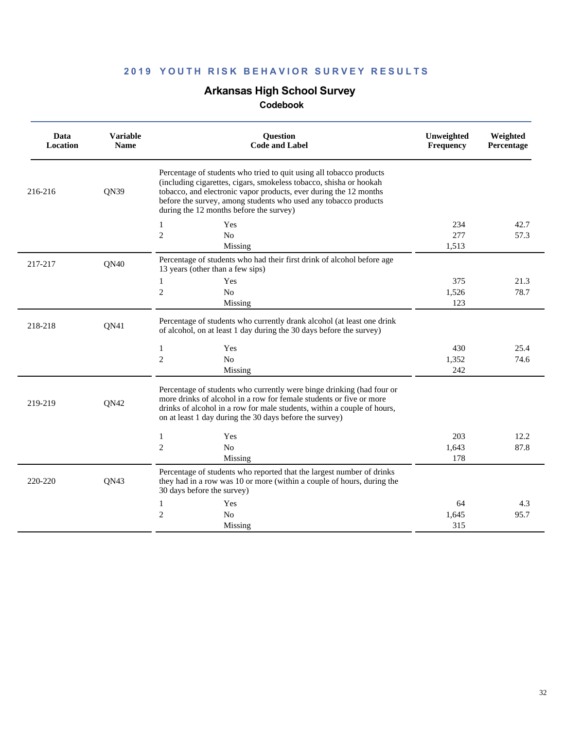### **Arkansas High School Survey**

| Data<br>Location | <b>Variable</b><br><b>Name</b> | <b>Ouestion</b><br><b>Code and Label</b>                                                                                                                                                                                                                                                                                     | Unweighted<br>Frequency | Weighted<br>Percentage |
|------------------|--------------------------------|------------------------------------------------------------------------------------------------------------------------------------------------------------------------------------------------------------------------------------------------------------------------------------------------------------------------------|-------------------------|------------------------|
| 216-216          | QN39                           | Percentage of students who tried to quit using all tobacco products<br>(including cigarettes, cigars, smokeless tobacco, shisha or hookah<br>tobacco, and electronic vapor products, ever during the 12 months<br>before the survey, among students who used any tobacco products<br>during the 12 months before the survey) |                         |                        |
|                  |                                | Yes<br>$\mathbf{1}$<br>$\overline{c}$<br>No                                                                                                                                                                                                                                                                                  | 234<br>277<br>1.513     | 42.7<br>57.3           |
| 217-217          | QN40                           | Missing<br>Percentage of students who had their first drink of alcohol before age<br>13 years (other than a few sips)                                                                                                                                                                                                        |                         |                        |
|                  |                                | 1<br>Yes<br>$\overline{c}$<br>N <sub>o</sub><br>Missing                                                                                                                                                                                                                                                                      | 375<br>1,526<br>123     | 21.3<br>78.7           |
| 218-218          | QN41                           | Percentage of students who currently drank alcohol (at least one drink<br>of alcohol, on at least 1 day during the 30 days before the survey)                                                                                                                                                                                |                         |                        |
|                  |                                | 1<br>Yes<br>$\overline{c}$<br>N <sub>o</sub><br>Missing                                                                                                                                                                                                                                                                      | 430<br>1,352<br>242     | 25.4<br>74.6           |
| 219-219          | QN42                           | Percentage of students who currently were binge drinking (had four or<br>more drinks of alcohol in a row for female students or five or more<br>drinks of alcohol in a row for male students, within a couple of hours,<br>on at least 1 day during the 30 days before the survey)                                           |                         |                        |
|                  |                                | Yes<br>1<br>$\overline{c}$<br>$\rm No$<br>Missing                                                                                                                                                                                                                                                                            | 203<br>1,643<br>178     | 12.2<br>87.8           |
| 220-220          | QN43                           | Percentage of students who reported that the largest number of drinks<br>they had in a row was 10 or more (within a couple of hours, during the<br>30 days before the survey)                                                                                                                                                |                         |                        |
|                  |                                | Yes<br>1<br>$\overline{c}$<br>No<br>Missing                                                                                                                                                                                                                                                                                  | 64<br>1,645<br>315      | 4.3<br>95.7            |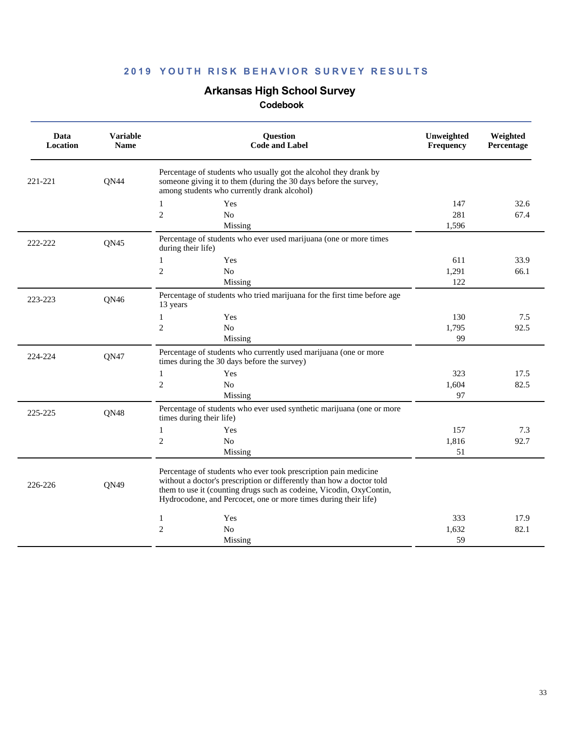# **Arkansas High School Survey**

| Data<br><b>Location</b> | <b>Variable</b><br><b>Name</b> | Question<br><b>Code and Label</b>                                                                                                                                                                                                                                                  | Unweighted<br>Frequency | Weighted<br>Percentage |  |
|-------------------------|--------------------------------|------------------------------------------------------------------------------------------------------------------------------------------------------------------------------------------------------------------------------------------------------------------------------------|-------------------------|------------------------|--|
| 221-221                 | QN44                           | Percentage of students who usually got the alcohol they drank by<br>someone giving it to them (during the 30 days before the survey,<br>among students who currently drank alcohol)                                                                                                |                         |                        |  |
|                         |                                | $\mathbf{1}$<br>Yes                                                                                                                                                                                                                                                                | 147                     | 32.6                   |  |
|                         |                                | $\overline{2}$<br>N <sub>o</sub><br>Missing                                                                                                                                                                                                                                        | 281<br>1,596            | 67.4                   |  |
| 222-222                 | QN45                           | Percentage of students who ever used marijuana (one or more times<br>during their life)                                                                                                                                                                                            |                         |                        |  |
|                         |                                | Yes<br>1                                                                                                                                                                                                                                                                           | 611                     | 33.9                   |  |
|                         |                                | $\overline{2}$<br>No                                                                                                                                                                                                                                                               | 1,291                   | 66.1                   |  |
|                         |                                | Missing                                                                                                                                                                                                                                                                            | 122                     |                        |  |
| 223-223                 | QN46                           | Percentage of students who tried marijuana for the first time before age<br>13 years                                                                                                                                                                                               |                         |                        |  |
|                         |                                | $\mathbf{1}$<br>Yes                                                                                                                                                                                                                                                                | 130                     | 7.5                    |  |
|                         |                                | $\overline{2}$<br>$\rm No$                                                                                                                                                                                                                                                         | 1,795                   | 92.5                   |  |
|                         |                                | Missing                                                                                                                                                                                                                                                                            | 99                      |                        |  |
| 224-224                 | QN47                           | Percentage of students who currently used marijuana (one or more<br>times during the 30 days before the survey)                                                                                                                                                                    |                         |                        |  |
|                         |                                | $\mathbf{1}$<br>Yes                                                                                                                                                                                                                                                                | 323                     | 17.5                   |  |
|                         |                                | $\overline{2}$<br>$\rm No$                                                                                                                                                                                                                                                         | 1,604                   | 82.5                   |  |
|                         |                                | Missing                                                                                                                                                                                                                                                                            | 97                      |                        |  |
| 225-225                 | QN48                           | Percentage of students who ever used synthetic marijuana (one or more<br>times during their life)                                                                                                                                                                                  |                         |                        |  |
|                         |                                | $\mathbf{1}$<br>Yes                                                                                                                                                                                                                                                                | 157                     | 7.3                    |  |
|                         |                                | $\overline{c}$<br>$\rm No$                                                                                                                                                                                                                                                         | 1,816                   | 92.7                   |  |
|                         |                                | Missing                                                                                                                                                                                                                                                                            | 51                      |                        |  |
| 226-226                 | QN49                           | Percentage of students who ever took prescription pain medicine<br>without a doctor's prescription or differently than how a doctor told<br>them to use it (counting drugs such as codeine, Vicodin, OxyContin,<br>Hydrocodone, and Percocet, one or more times during their life) |                         |                        |  |
|                         |                                | Yes<br>$\mathbf{1}$                                                                                                                                                                                                                                                                | 333                     | 17.9                   |  |
|                         |                                | $\mathfrak{2}$<br>$\rm No$                                                                                                                                                                                                                                                         | 1,632                   | 82.1                   |  |
|                         |                                | Missing                                                                                                                                                                                                                                                                            | 59                      |                        |  |
|                         |                                |                                                                                                                                                                                                                                                                                    |                         |                        |  |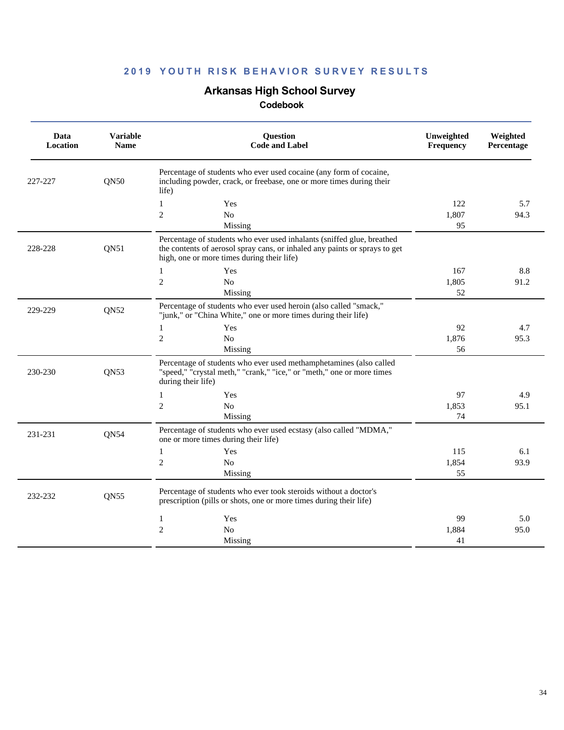# **Arkansas High School Survey**

| Data<br>Location | <b>Variable</b><br><b>Name</b> | Question<br><b>Code and Label</b>                                                                                                                                                                  | Unweighted<br>Frequency | Weighted<br>Percentage |
|------------------|--------------------------------|----------------------------------------------------------------------------------------------------------------------------------------------------------------------------------------------------|-------------------------|------------------------|
| 227-227          | QN50                           | Percentage of students who ever used cocaine (any form of cocaine,<br>including powder, crack, or freebase, one or more times during their<br>life)                                                |                         |                        |
|                  |                                | $\mathbf{1}$<br>Yes<br>$\mathfrak{2}$<br>No<br>Missing                                                                                                                                             | 122<br>1,807<br>95      | 5.7<br>94.3            |
| 228-228          | QN51                           | Percentage of students who ever used inhalants (sniffed glue, breathed<br>the contents of aerosol spray cans, or inhaled any paints or sprays to get<br>high, one or more times during their life) |                         |                        |
|                  |                                | Yes<br>1<br>$\overline{2}$<br>No<br>Missing                                                                                                                                                        | 167<br>1,805<br>52      | 8.8<br>91.2            |
| 229-229          | QN52                           | Percentage of students who ever used heroin (also called "smack,"<br>"junk," or "China White," one or more times during their life)                                                                |                         |                        |
|                  |                                | Yes<br>1<br>$\overline{2}$<br>N <sub>o</sub><br>Missing                                                                                                                                            | 92<br>1,876<br>56       | 4.7<br>95.3            |
| 230-230          | QN53                           | Percentage of students who ever used methamphetamines (also called<br>"speed," "crystal meth," "crank," "ice," or "meth," one or more times<br>during their life)                                  |                         |                        |
|                  |                                | Yes<br>$\mathbf{1}$<br>$\overline{2}$<br>N <sub>o</sub><br>Missing                                                                                                                                 | 97<br>1,853<br>74       | 4.9<br>95.1            |
| 231-231          | <b>QN54</b>                    | Percentage of students who ever used ecstasy (also called "MDMA,"<br>one or more times during their life)                                                                                          |                         |                        |
|                  |                                | Yes<br>$\mathbf{1}$<br>$\overline{2}$<br>N <sub>o</sub><br>Missing                                                                                                                                 | 115<br>1,854<br>55      | 6.1<br>93.9            |
| 232-232          | QN55                           | Percentage of students who ever took steroids without a doctor's<br>prescription (pills or shots, one or more times during their life)                                                             |                         |                        |
|                  |                                | $\mathbf{1}$<br>Yes<br>$\overline{2}$<br>No<br>Missing                                                                                                                                             | 99<br>1.884<br>41       | 5.0<br>95.0            |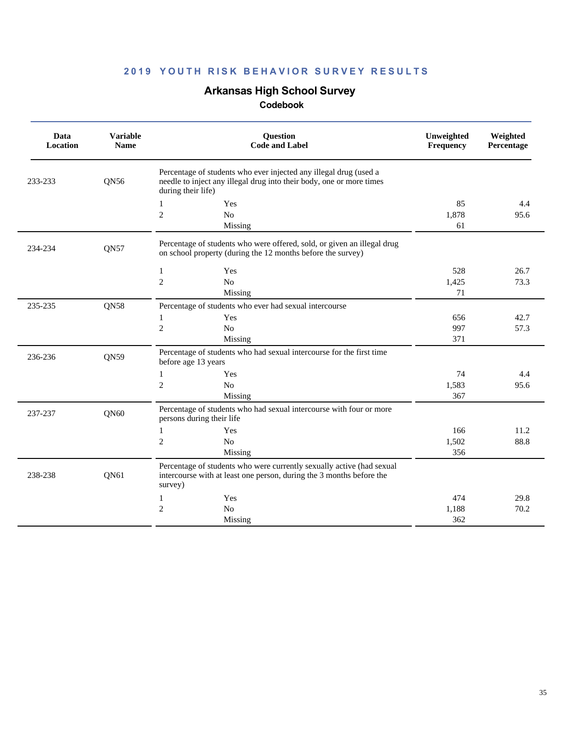# **Arkansas High School Survey**

| Data<br>Location | <b>Variable</b><br><b>Name</b> | Question<br><b>Code and Label</b>                                                                                                                               | Unweighted<br><b>Frequency</b> | Weighted<br>Percentage |
|------------------|--------------------------------|-----------------------------------------------------------------------------------------------------------------------------------------------------------------|--------------------------------|------------------------|
| 233-233          | QN56                           | Percentage of students who ever injected any illegal drug (used a<br>needle to inject any illegal drug into their body, one or more times<br>during their life) |                                |                        |
|                  |                                | Yes<br>1                                                                                                                                                        | 85                             | 4.4                    |
|                  |                                | $\mathfrak{2}$<br>N <sub>o</sub>                                                                                                                                | 1,878                          | 95.6                   |
|                  |                                | Missing                                                                                                                                                         | 61                             |                        |
| 234-234          | <b>QN57</b>                    | Percentage of students who were offered, sold, or given an illegal drug<br>on school property (during the 12 months before the survey)                          |                                |                        |
|                  |                                | $\mathbf{1}$<br>Yes                                                                                                                                             | 528                            | 26.7                   |
|                  |                                | $\overline{c}$<br>No                                                                                                                                            | 1,425                          | 73.3                   |
|                  |                                | Missing                                                                                                                                                         | 71                             |                        |
| 235-235          | QN58                           | Percentage of students who ever had sexual intercourse                                                                                                          |                                |                        |
|                  |                                | $\mathbf{1}$<br>Yes                                                                                                                                             | 656                            | 42.7                   |
|                  |                                | $\mathfrak{2}$<br>N <sub>o</sub>                                                                                                                                | 997                            | 57.3                   |
|                  |                                | Missing                                                                                                                                                         | 371                            |                        |
| 236-236          | QN59                           | Percentage of students who had sexual intercourse for the first time<br>before age 13 years                                                                     |                                |                        |
|                  |                                | $\mathbf{1}$<br>Yes                                                                                                                                             | 74                             | 4.4                    |
|                  |                                | $\overline{c}$<br>No                                                                                                                                            | 1,583                          | 95.6                   |
|                  |                                | Missing                                                                                                                                                         | 367                            |                        |
| 237-237          | QN60                           | Percentage of students who had sexual intercourse with four or more<br>persons during their life                                                                |                                |                        |
|                  |                                | Yes<br>1                                                                                                                                                        | 166                            | 11.2                   |
|                  |                                | $\mathfrak{2}$<br>$\rm No$                                                                                                                                      | 1,502                          | 88.8                   |
|                  |                                | Missing                                                                                                                                                         | 356                            |                        |
| 238-238          | QN61                           | Percentage of students who were currently sexually active (had sexual<br>intercourse with at least one person, during the 3 months before the<br>survey)        |                                |                        |
|                  |                                | $\mathbf{1}$<br>Yes                                                                                                                                             | 474                            | 29.8                   |
|                  |                                | $\mathfrak{2}$<br>N <sub>o</sub>                                                                                                                                | 1,188                          | 70.2                   |
|                  |                                | Missing                                                                                                                                                         | 362                            |                        |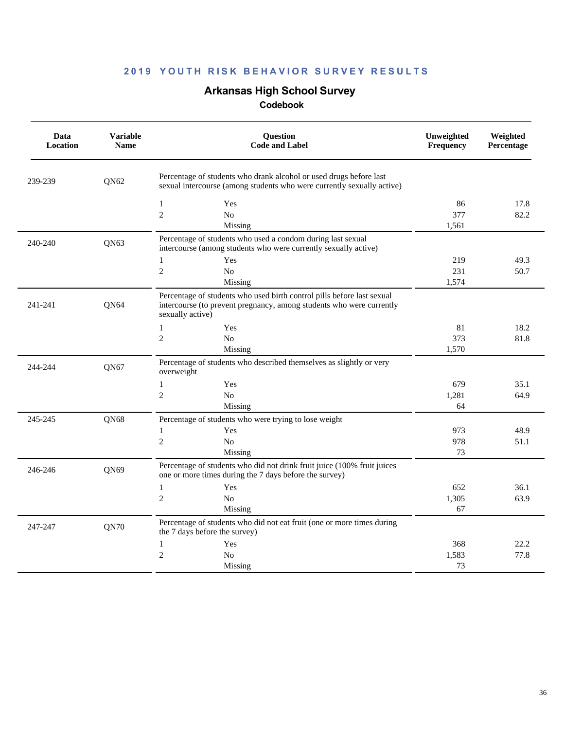# **Arkansas High School Survey**

| Percentage of students who drank alcohol or used drugs before last<br>239-239<br>QN62<br>sexual intercourse (among students who were currently sexually active)<br>$\mathbf{1}$<br>17.8<br>Yes<br>86<br>$\sqrt{2}$<br>No<br>82.2<br>377<br>Missing<br>1,561<br>Percentage of students who used a condom during last sexual<br>240-240<br>QN63<br>intercourse (among students who were currently sexually active)<br>$\mathbf{1}$<br>219<br>49.3<br>Yes<br>$\overline{2}$<br>N <sub>0</sub><br>231<br>50.7<br>1,574<br>Missing<br>Percentage of students who used birth control pills before last sexual<br>QN64<br>241-241<br>intercourse (to prevent pregnancy, among students who were currently<br>sexually active)<br>18.2<br>$\mathbf{1}$<br>Yes<br>81<br>$\overline{2}$<br>373<br>No<br>81.8<br>1,570<br>Missing<br>Percentage of students who described themselves as slightly or very<br>244-244<br>QN67<br>overweight<br>$\mathbf{1}$<br>Yes<br>679<br>35.1<br>$\overline{c}$<br>$\rm No$<br>1,281<br>64.9<br>Missing<br>64<br>245-245<br>QN68<br>Percentage of students who were trying to lose weight<br>Yes<br>973<br>48.9<br>$\mathbf{1}$<br>$\overline{2}$<br>N <sub>o</sub><br>978<br>51.1<br>73<br>Missing<br>Percentage of students who did not drink fruit juice (100% fruit juices<br>246-246<br>QN69<br>one or more times during the 7 days before the survey)<br>$\mathbf{1}$<br>36.1<br>Yes<br>652<br>$\overline{c}$<br>No<br>1,305<br>63.9<br>Missing<br>67<br>Percentage of students who did not eat fruit (one or more times during<br>QN70<br>247-247<br>the 7 days before the survey)<br>22.2<br>$\mathbf{1}$<br>Yes<br>368<br>$\overline{c}$<br>1,583<br>77.8<br>N <sub>o</sub><br>Missing<br>73 | Data<br>Location | <b>Variable</b><br><b>Name</b> | Question<br><b>Code and Label</b> | Unweighted<br>Frequency | Weighted<br>Percentage |
|------------------------------------------------------------------------------------------------------------------------------------------------------------------------------------------------------------------------------------------------------------------------------------------------------------------------------------------------------------------------------------------------------------------------------------------------------------------------------------------------------------------------------------------------------------------------------------------------------------------------------------------------------------------------------------------------------------------------------------------------------------------------------------------------------------------------------------------------------------------------------------------------------------------------------------------------------------------------------------------------------------------------------------------------------------------------------------------------------------------------------------------------------------------------------------------------------------------------------------------------------------------------------------------------------------------------------------------------------------------------------------------------------------------------------------------------------------------------------------------------------------------------------------------------------------------------------------------------------------------------------------------------------------------------------------------------------------------------------|------------------|--------------------------------|-----------------------------------|-------------------------|------------------------|
|                                                                                                                                                                                                                                                                                                                                                                                                                                                                                                                                                                                                                                                                                                                                                                                                                                                                                                                                                                                                                                                                                                                                                                                                                                                                                                                                                                                                                                                                                                                                                                                                                                                                                                                              |                  |                                |                                   |                         |                        |
|                                                                                                                                                                                                                                                                                                                                                                                                                                                                                                                                                                                                                                                                                                                                                                                                                                                                                                                                                                                                                                                                                                                                                                                                                                                                                                                                                                                                                                                                                                                                                                                                                                                                                                                              |                  |                                |                                   |                         |                        |
|                                                                                                                                                                                                                                                                                                                                                                                                                                                                                                                                                                                                                                                                                                                                                                                                                                                                                                                                                                                                                                                                                                                                                                                                                                                                                                                                                                                                                                                                                                                                                                                                                                                                                                                              |                  |                                |                                   |                         |                        |
|                                                                                                                                                                                                                                                                                                                                                                                                                                                                                                                                                                                                                                                                                                                                                                                                                                                                                                                                                                                                                                                                                                                                                                                                                                                                                                                                                                                                                                                                                                                                                                                                                                                                                                                              |                  |                                |                                   |                         |                        |
|                                                                                                                                                                                                                                                                                                                                                                                                                                                                                                                                                                                                                                                                                                                                                                                                                                                                                                                                                                                                                                                                                                                                                                                                                                                                                                                                                                                                                                                                                                                                                                                                                                                                                                                              |                  |                                |                                   |                         |                        |
|                                                                                                                                                                                                                                                                                                                                                                                                                                                                                                                                                                                                                                                                                                                                                                                                                                                                                                                                                                                                                                                                                                                                                                                                                                                                                                                                                                                                                                                                                                                                                                                                                                                                                                                              |                  |                                |                                   |                         |                        |
|                                                                                                                                                                                                                                                                                                                                                                                                                                                                                                                                                                                                                                                                                                                                                                                                                                                                                                                                                                                                                                                                                                                                                                                                                                                                                                                                                                                                                                                                                                                                                                                                                                                                                                                              |                  |                                |                                   |                         |                        |
|                                                                                                                                                                                                                                                                                                                                                                                                                                                                                                                                                                                                                                                                                                                                                                                                                                                                                                                                                                                                                                                                                                                                                                                                                                                                                                                                                                                                                                                                                                                                                                                                                                                                                                                              |                  |                                |                                   |                         |                        |
|                                                                                                                                                                                                                                                                                                                                                                                                                                                                                                                                                                                                                                                                                                                                                                                                                                                                                                                                                                                                                                                                                                                                                                                                                                                                                                                                                                                                                                                                                                                                                                                                                                                                                                                              |                  |                                |                                   |                         |                        |
|                                                                                                                                                                                                                                                                                                                                                                                                                                                                                                                                                                                                                                                                                                                                                                                                                                                                                                                                                                                                                                                                                                                                                                                                                                                                                                                                                                                                                                                                                                                                                                                                                                                                                                                              |                  |                                |                                   |                         |                        |
|                                                                                                                                                                                                                                                                                                                                                                                                                                                                                                                                                                                                                                                                                                                                                                                                                                                                                                                                                                                                                                                                                                                                                                                                                                                                                                                                                                                                                                                                                                                                                                                                                                                                                                                              |                  |                                |                                   |                         |                        |
|                                                                                                                                                                                                                                                                                                                                                                                                                                                                                                                                                                                                                                                                                                                                                                                                                                                                                                                                                                                                                                                                                                                                                                                                                                                                                                                                                                                                                                                                                                                                                                                                                                                                                                                              |                  |                                |                                   |                         |                        |
|                                                                                                                                                                                                                                                                                                                                                                                                                                                                                                                                                                                                                                                                                                                                                                                                                                                                                                                                                                                                                                                                                                                                                                                                                                                                                                                                                                                                                                                                                                                                                                                                                                                                                                                              |                  |                                |                                   |                         |                        |
|                                                                                                                                                                                                                                                                                                                                                                                                                                                                                                                                                                                                                                                                                                                                                                                                                                                                                                                                                                                                                                                                                                                                                                                                                                                                                                                                                                                                                                                                                                                                                                                                                                                                                                                              |                  |                                |                                   |                         |                        |
|                                                                                                                                                                                                                                                                                                                                                                                                                                                                                                                                                                                                                                                                                                                                                                                                                                                                                                                                                                                                                                                                                                                                                                                                                                                                                                                                                                                                                                                                                                                                                                                                                                                                                                                              |                  |                                |                                   |                         |                        |
|                                                                                                                                                                                                                                                                                                                                                                                                                                                                                                                                                                                                                                                                                                                                                                                                                                                                                                                                                                                                                                                                                                                                                                                                                                                                                                                                                                                                                                                                                                                                                                                                                                                                                                                              |                  |                                |                                   |                         |                        |
|                                                                                                                                                                                                                                                                                                                                                                                                                                                                                                                                                                                                                                                                                                                                                                                                                                                                                                                                                                                                                                                                                                                                                                                                                                                                                                                                                                                                                                                                                                                                                                                                                                                                                                                              |                  |                                |                                   |                         |                        |
|                                                                                                                                                                                                                                                                                                                                                                                                                                                                                                                                                                                                                                                                                                                                                                                                                                                                                                                                                                                                                                                                                                                                                                                                                                                                                                                                                                                                                                                                                                                                                                                                                                                                                                                              |                  |                                |                                   |                         |                        |
|                                                                                                                                                                                                                                                                                                                                                                                                                                                                                                                                                                                                                                                                                                                                                                                                                                                                                                                                                                                                                                                                                                                                                                                                                                                                                                                                                                                                                                                                                                                                                                                                                                                                                                                              |                  |                                |                                   |                         |                        |
|                                                                                                                                                                                                                                                                                                                                                                                                                                                                                                                                                                                                                                                                                                                                                                                                                                                                                                                                                                                                                                                                                                                                                                                                                                                                                                                                                                                                                                                                                                                                                                                                                                                                                                                              |                  |                                |                                   |                         |                        |
|                                                                                                                                                                                                                                                                                                                                                                                                                                                                                                                                                                                                                                                                                                                                                                                                                                                                                                                                                                                                                                                                                                                                                                                                                                                                                                                                                                                                                                                                                                                                                                                                                                                                                                                              |                  |                                |                                   |                         |                        |
|                                                                                                                                                                                                                                                                                                                                                                                                                                                                                                                                                                                                                                                                                                                                                                                                                                                                                                                                                                                                                                                                                                                                                                                                                                                                                                                                                                                                                                                                                                                                                                                                                                                                                                                              |                  |                                |                                   |                         |                        |
|                                                                                                                                                                                                                                                                                                                                                                                                                                                                                                                                                                                                                                                                                                                                                                                                                                                                                                                                                                                                                                                                                                                                                                                                                                                                                                                                                                                                                                                                                                                                                                                                                                                                                                                              |                  |                                |                                   |                         |                        |
|                                                                                                                                                                                                                                                                                                                                                                                                                                                                                                                                                                                                                                                                                                                                                                                                                                                                                                                                                                                                                                                                                                                                                                                                                                                                                                                                                                                                                                                                                                                                                                                                                                                                                                                              |                  |                                |                                   |                         |                        |
|                                                                                                                                                                                                                                                                                                                                                                                                                                                                                                                                                                                                                                                                                                                                                                                                                                                                                                                                                                                                                                                                                                                                                                                                                                                                                                                                                                                                                                                                                                                                                                                                                                                                                                                              |                  |                                |                                   |                         |                        |
|                                                                                                                                                                                                                                                                                                                                                                                                                                                                                                                                                                                                                                                                                                                                                                                                                                                                                                                                                                                                                                                                                                                                                                                                                                                                                                                                                                                                                                                                                                                                                                                                                                                                                                                              |                  |                                |                                   |                         |                        |
|                                                                                                                                                                                                                                                                                                                                                                                                                                                                                                                                                                                                                                                                                                                                                                                                                                                                                                                                                                                                                                                                                                                                                                                                                                                                                                                                                                                                                                                                                                                                                                                                                                                                                                                              |                  |                                |                                   |                         |                        |
|                                                                                                                                                                                                                                                                                                                                                                                                                                                                                                                                                                                                                                                                                                                                                                                                                                                                                                                                                                                                                                                                                                                                                                                                                                                                                                                                                                                                                                                                                                                                                                                                                                                                                                                              |                  |                                |                                   |                         |                        |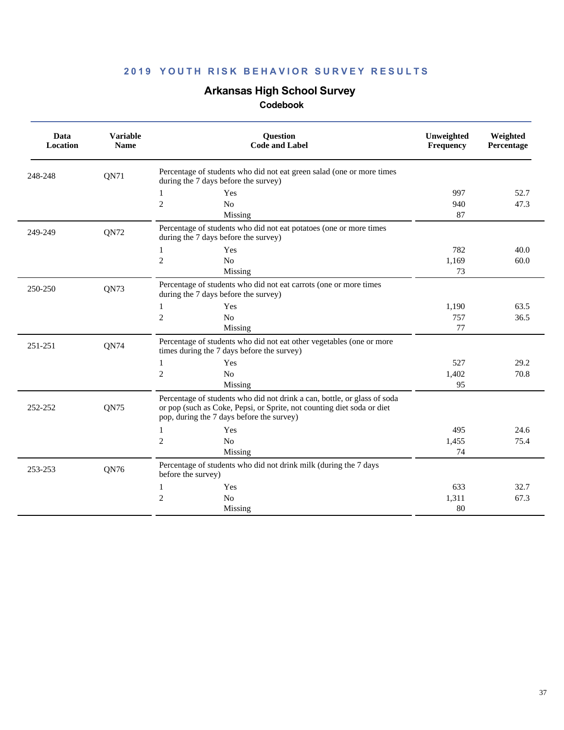# **Arkansas High School Survey**

| Data<br>Location | <b>Variable</b><br><b>Name</b> | Question<br><b>Code and Label</b>                                                                                                                                                               | Unweighted<br><b>Frequency</b> | Weighted<br>Percentage |
|------------------|--------------------------------|-------------------------------------------------------------------------------------------------------------------------------------------------------------------------------------------------|--------------------------------|------------------------|
| 248-248          | QN71                           | Percentage of students who did not eat green salad (one or more times<br>during the 7 days before the survey)                                                                                   |                                |                        |
|                  |                                | Yes<br>1                                                                                                                                                                                        | 997                            | 52.7                   |
|                  |                                | $\overline{c}$<br>N <sub>o</sub>                                                                                                                                                                | 940                            | 47.3                   |
|                  |                                | Missing                                                                                                                                                                                         | 87                             |                        |
| 249-249          | QN72                           | Percentage of students who did not eat potatoes (one or more times<br>during the 7 days before the survey)                                                                                      |                                |                        |
|                  |                                | Yes<br>1                                                                                                                                                                                        | 782                            | 40.0                   |
|                  |                                | $\sqrt{2}$<br>No                                                                                                                                                                                | 1,169                          | 60.0                   |
|                  |                                | Missing                                                                                                                                                                                         | 73                             |                        |
| 250-250          | QN73                           | Percentage of students who did not eat carrots (one or more times<br>during the 7 days before the survey)                                                                                       |                                |                        |
|                  |                                | Yes<br>1                                                                                                                                                                                        | 1,190                          | 63.5                   |
|                  |                                | $\overline{c}$<br>No                                                                                                                                                                            | 757                            | 36.5                   |
|                  |                                | Missing                                                                                                                                                                                         | 77                             |                        |
| 251-251          | QN74                           | Percentage of students who did not eat other vegetables (one or more<br>times during the 7 days before the survey)                                                                              |                                |                        |
|                  |                                | Yes<br>$\mathbf{1}$                                                                                                                                                                             | 527                            | 29.2                   |
|                  |                                | $\overline{2}$<br>N <sub>0</sub>                                                                                                                                                                | 1,402                          | 70.8                   |
|                  |                                | Missing                                                                                                                                                                                         | 95                             |                        |
| 252-252          | QN75                           | Percentage of students who did not drink a can, bottle, or glass of soda<br>or pop (such as Coke, Pepsi, or Sprite, not counting diet soda or diet<br>pop, during the 7 days before the survey) |                                |                        |
|                  |                                | 1<br>Yes                                                                                                                                                                                        | 495                            | 24.6                   |
|                  |                                | $\mathfrak{2}$<br>No                                                                                                                                                                            | 1,455                          | 75.4                   |
|                  |                                | Missing                                                                                                                                                                                         | 74                             |                        |
| 253-253          | QN76                           | Percentage of students who did not drink milk (during the 7 days<br>before the survey)                                                                                                          |                                |                        |
|                  |                                | Yes<br>1                                                                                                                                                                                        | 633                            | 32.7                   |
|                  |                                | $\mathfrak{2}$<br>N <sub>0</sub>                                                                                                                                                                | 1,311                          | 67.3                   |
|                  |                                | Missing                                                                                                                                                                                         | 80                             |                        |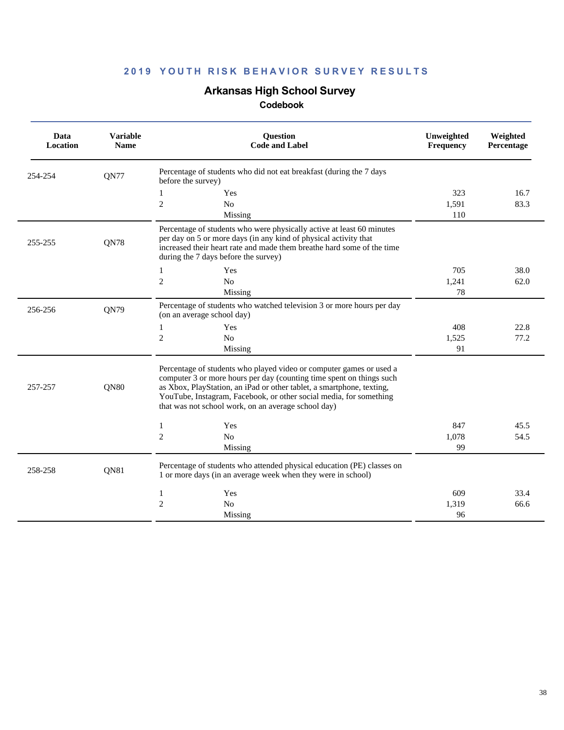# **Arkansas High School Survey**

| Data<br>Location | <b>Variable</b><br><b>Name</b> | <b>Question</b><br><b>Code and Label</b>                                                                                                                                                                                                                                                                                                          | Unweighted<br>Frequency | Weighted<br>Percentage |
|------------------|--------------------------------|---------------------------------------------------------------------------------------------------------------------------------------------------------------------------------------------------------------------------------------------------------------------------------------------------------------------------------------------------|-------------------------|------------------------|
| 254-254          | QN77                           | Percentage of students who did not eat breakfast (during the 7 days<br>before the survey)                                                                                                                                                                                                                                                         |                         |                        |
|                  |                                | 1<br>Yes                                                                                                                                                                                                                                                                                                                                          | 323                     | 16.7                   |
|                  |                                | $\mathfrak{2}$<br>No                                                                                                                                                                                                                                                                                                                              | 1,591                   | 83.3                   |
|                  |                                | Missing                                                                                                                                                                                                                                                                                                                                           | 110                     |                        |
| 255-255          | QN78                           | Percentage of students who were physically active at least 60 minutes<br>per day on 5 or more days (in any kind of physical activity that<br>increased their heart rate and made them breathe hard some of the time<br>during the 7 days before the survey)                                                                                       |                         |                        |
|                  |                                | $\mathbf{1}$<br>Yes                                                                                                                                                                                                                                                                                                                               | 705                     | 38.0                   |
|                  |                                | $\overline{c}$<br>No                                                                                                                                                                                                                                                                                                                              | 1.241                   | 62.0                   |
|                  |                                | Missing                                                                                                                                                                                                                                                                                                                                           | 78                      |                        |
| 256-256          | QN79                           | Percentage of students who watched television 3 or more hours per day<br>(on an average school day)                                                                                                                                                                                                                                               |                         |                        |
|                  |                                | 1<br>Yes                                                                                                                                                                                                                                                                                                                                          | 408                     | 22.8                   |
|                  |                                | $\overline{2}$<br>No                                                                                                                                                                                                                                                                                                                              | 1,525                   | 77.2                   |
|                  |                                | Missing                                                                                                                                                                                                                                                                                                                                           | 91                      |                        |
| 257-257          | QN80                           | Percentage of students who played video or computer games or used a<br>computer 3 or more hours per day (counting time spent on things such<br>as Xbox, PlayStation, an iPad or other tablet, a smartphone, texting,<br>YouTube, Instagram, Facebook, or other social media, for something<br>that was not school work, on an average school day) |                         |                        |
|                  |                                | $\mathbf{1}$<br>Yes                                                                                                                                                                                                                                                                                                                               | 847                     | 45.5                   |
|                  |                                | $\mathfrak{2}$<br>No                                                                                                                                                                                                                                                                                                                              | 1,078                   | 54.5                   |
|                  |                                | Missing                                                                                                                                                                                                                                                                                                                                           | 99                      |                        |
| 258-258          | QN81                           | Percentage of students who attended physical education (PE) classes on<br>1 or more days (in an average week when they were in school)                                                                                                                                                                                                            |                         |                        |
|                  |                                | Yes<br>1                                                                                                                                                                                                                                                                                                                                          | 609                     | 33.4                   |
|                  |                                | $\mathbf{2}$<br>N <sub>0</sub>                                                                                                                                                                                                                                                                                                                    | 1,319                   | 66.6                   |
|                  |                                | Missing                                                                                                                                                                                                                                                                                                                                           | 96                      |                        |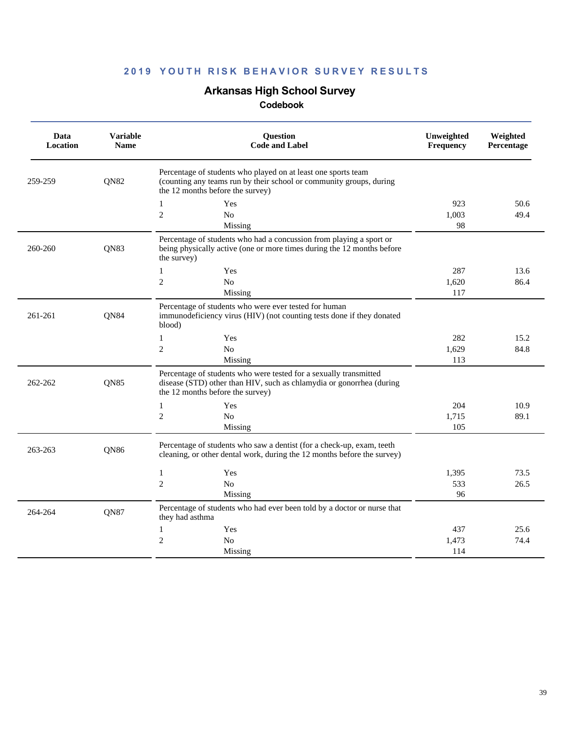# **Arkansas High School Survey**

| Data<br>Location | <b>Variable</b><br><b>Name</b> | <b>Question</b><br><b>Code and Label</b>                                                                                                                                      | Unweighted<br>Frequency | Weighted<br>Percentage |
|------------------|--------------------------------|-------------------------------------------------------------------------------------------------------------------------------------------------------------------------------|-------------------------|------------------------|
| 259-259          | <b>QN82</b>                    | Percentage of students who played on at least one sports team<br>(counting any teams run by their school or community groups, during<br>the 12 months before the survey)      |                         |                        |
|                  |                                | Yes<br>$\mathbf{1}$                                                                                                                                                           | 923                     | 50.6                   |
|                  |                                | $\overline{c}$<br>N <sub>0</sub>                                                                                                                                              | 1,003                   | 49.4                   |
|                  |                                | Missing                                                                                                                                                                       | 98                      |                        |
| 260-260          | QN83                           | Percentage of students who had a concussion from playing a sport or<br>being physically active (one or more times during the 12 months before<br>the survey)                  |                         |                        |
|                  |                                | 1<br>Yes                                                                                                                                                                      | 287                     | 13.6                   |
|                  |                                | $\overline{c}$<br>No                                                                                                                                                          | 1,620                   | 86.4                   |
|                  |                                | Missing                                                                                                                                                                       | 117                     |                        |
| 261-261          | QN84                           | Percentage of students who were ever tested for human<br>immunodeficiency virus (HIV) (not counting tests done if they donated<br>blood)                                      |                         |                        |
|                  |                                | $\mathbf{1}$<br>Yes                                                                                                                                                           | 282                     | 15.2                   |
|                  |                                | $\mathbf{2}$<br>No                                                                                                                                                            | 1,629                   | 84.8                   |
|                  |                                | Missing                                                                                                                                                                       | 113                     |                        |
| 262-262          | <b>QN85</b>                    | Percentage of students who were tested for a sexually transmitted<br>disease (STD) other than HIV, such as chlamydia or gonorrhea (during<br>the 12 months before the survey) |                         |                        |
|                  |                                | $\mathbf{1}$<br>Yes                                                                                                                                                           | 204                     | 10.9                   |
|                  |                                | $\overline{c}$<br>No                                                                                                                                                          | 1.715                   | 89.1                   |
|                  |                                | Missing                                                                                                                                                                       | 105                     |                        |
| 263-263          | QN86                           | Percentage of students who saw a dentist (for a check-up, exam, teeth<br>cleaning, or other dental work, during the 12 months before the survey)                              |                         |                        |
|                  |                                | $\mathbf{1}$<br>Yes                                                                                                                                                           | 1,395                   | 73.5                   |
|                  |                                | $\overline{c}$<br>N <sub>0</sub>                                                                                                                                              | 533                     | 26.5                   |
|                  |                                | Missing                                                                                                                                                                       | 96                      |                        |
| 264-264          | <b>QN87</b>                    | Percentage of students who had ever been told by a doctor or nurse that<br>they had asthma                                                                                    |                         |                        |
|                  |                                | Yes<br>1                                                                                                                                                                      | 437                     | 25.6                   |
|                  |                                | $\overline{c}$<br>N <sub>0</sub>                                                                                                                                              | 1,473                   | 74.4                   |
|                  |                                | Missing                                                                                                                                                                       | 114                     |                        |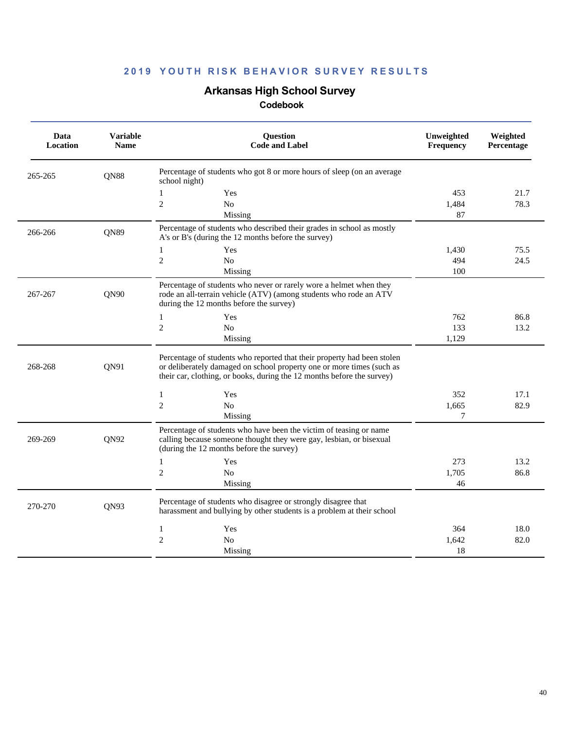### **Arkansas High School Survey**

| Data<br>Location | <b>Variable</b><br><b>Name</b> | <b>Question</b><br><b>Code and Label</b>                                                                                                                                                                                   | Unweighted<br>Frequency | Weighted<br>Percentage |
|------------------|--------------------------------|----------------------------------------------------------------------------------------------------------------------------------------------------------------------------------------------------------------------------|-------------------------|------------------------|
| 265-265          | QN88                           | Percentage of students who got 8 or more hours of sleep (on an average<br>school night)                                                                                                                                    |                         |                        |
|                  |                                | Yes<br>$\mathbf{1}$                                                                                                                                                                                                        | 453                     | 21.7                   |
|                  |                                | $\overline{c}$<br>No                                                                                                                                                                                                       | 1,484                   | 78.3                   |
|                  |                                | Missing                                                                                                                                                                                                                    | 87                      |                        |
| 266-266          | QN89                           | Percentage of students who described their grades in school as mostly<br>A's or B's (during the 12 months before the survey)                                                                                               |                         |                        |
|                  |                                | $\mathbf{1}$<br>Yes                                                                                                                                                                                                        | 1,430                   | 75.5                   |
|                  |                                | $\overline{2}$<br>N <sub>0</sub>                                                                                                                                                                                           | 494                     | 24.5                   |
|                  |                                | Missing                                                                                                                                                                                                                    | 100                     |                        |
| 267-267          | QN90                           | Percentage of students who never or rarely wore a helmet when they<br>rode an all-terrain vehicle (ATV) (among students who rode an ATV<br>during the 12 months before the survey)                                         |                         |                        |
|                  |                                | 1<br>Yes                                                                                                                                                                                                                   | 762                     | 86.8                   |
|                  |                                | $\overline{2}$<br>N <sub>0</sub>                                                                                                                                                                                           | 133                     | 13.2                   |
|                  |                                | Missing                                                                                                                                                                                                                    | 1,129                   |                        |
| 268-268          | QN91                           | Percentage of students who reported that their property had been stolen<br>or deliberately damaged on school property one or more times (such as<br>their car, clothing, or books, during the 12 months before the survey) |                         |                        |
|                  |                                | $\mathbf{1}$<br>Yes                                                                                                                                                                                                        | 352                     | 17.1                   |
|                  |                                | $\overline{c}$<br>N <sub>0</sub>                                                                                                                                                                                           | 1,665                   | 82.9                   |
|                  |                                | Missing                                                                                                                                                                                                                    | 7                       |                        |
| 269-269          | QN92                           | Percentage of students who have been the victim of teasing or name<br>calling because someone thought they were gay, lesbian, or bisexual<br>(during the 12 months before the survey)                                      |                         |                        |
|                  |                                | Yes<br>$\mathbf{1}$                                                                                                                                                                                                        | 273                     | 13.2                   |
|                  |                                | $\mathfrak{2}$<br>N <sub>0</sub>                                                                                                                                                                                           | 1,705                   | 86.8                   |
|                  |                                | Missing                                                                                                                                                                                                                    | 46                      |                        |
| 270-270          | QN93                           | Percentage of students who disagree or strongly disagree that<br>harassment and bullying by other students is a problem at their school                                                                                    |                         |                        |
|                  |                                | 1<br>Yes                                                                                                                                                                                                                   | 364                     | 18.0                   |
|                  |                                | $\overline{2}$<br>N <sub>0</sub>                                                                                                                                                                                           | 1,642                   | 82.0                   |
|                  |                                | Missing                                                                                                                                                                                                                    | 18                      |                        |
|                  |                                |                                                                                                                                                                                                                            |                         |                        |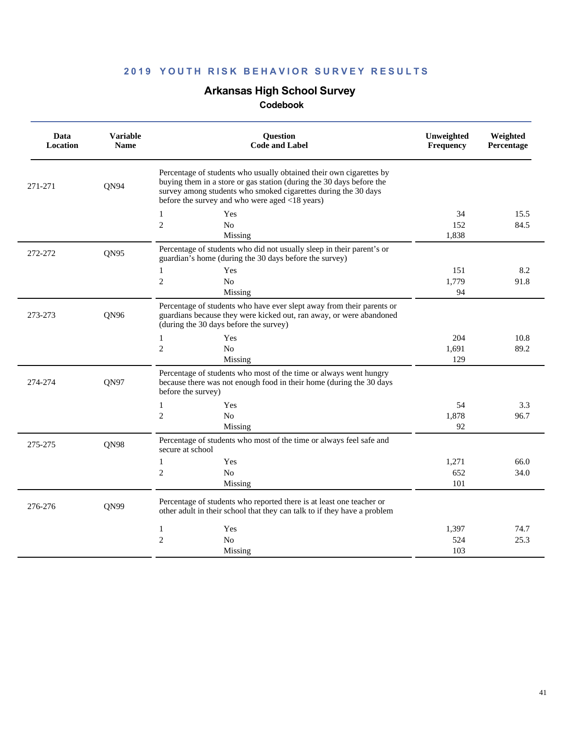# **Arkansas High School Survey**

| Data<br>Location | <b>Variable</b><br><b>Name</b> | <b>Question</b><br><b>Code and Label</b>                                                                                                                                                                                                                        | Unweighted<br>Frequency | Weighted<br>Percentage |
|------------------|--------------------------------|-----------------------------------------------------------------------------------------------------------------------------------------------------------------------------------------------------------------------------------------------------------------|-------------------------|------------------------|
| 271-271          | QN94                           | Percentage of students who usually obtained their own cigarettes by<br>buying them in a store or gas station (during the 30 days before the<br>survey among students who smoked cigarettes during the 30 days<br>before the survey and who were aged <18 years) |                         |                        |
|                  |                                | 1<br>Yes                                                                                                                                                                                                                                                        | 34                      | 15.5                   |
|                  |                                | $\overline{c}$<br>N <sub>o</sub><br>Missing                                                                                                                                                                                                                     | 152<br>1,838            | 84.5                   |
| 272-272          | QN95                           | Percentage of students who did not usually sleep in their parent's or<br>guardian's home (during the 30 days before the survey)                                                                                                                                 |                         |                        |
|                  |                                | 1<br>Yes                                                                                                                                                                                                                                                        | 151                     | 8.2                    |
|                  |                                | $\mathfrak{2}$<br>N <sub>o</sub>                                                                                                                                                                                                                                | 1.779                   | 91.8                   |
|                  |                                | Missing                                                                                                                                                                                                                                                         | 94                      |                        |
| 273-273          | QN96                           | Percentage of students who have ever slept away from their parents or<br>guardians because they were kicked out, ran away, or were abandoned<br>(during the 30 days before the survey)                                                                          |                         |                        |
|                  |                                | Yes<br>1                                                                                                                                                                                                                                                        | 204                     | 10.8                   |
|                  |                                | $\overline{c}$<br>N <sub>o</sub>                                                                                                                                                                                                                                | 1.691                   | 89.2                   |
|                  |                                | Missing                                                                                                                                                                                                                                                         | 129                     |                        |
| 274-274          | QN97                           | Percentage of students who most of the time or always went hungry<br>because there was not enough food in their home (during the 30 days<br>before the survey)                                                                                                  |                         |                        |
|                  |                                | $\mathbf{1}$<br>Yes                                                                                                                                                                                                                                             | 54                      | 3.3                    |
|                  |                                | 2<br>N <sub>0</sub>                                                                                                                                                                                                                                             | 1,878                   | 96.7                   |
|                  |                                | Missing                                                                                                                                                                                                                                                         | 92                      |                        |
| 275-275          | <b>QN98</b>                    | Percentage of students who most of the time or always feel safe and<br>secure at school                                                                                                                                                                         |                         |                        |
|                  |                                | Yes<br>$\mathbf{1}$                                                                                                                                                                                                                                             | 1,271                   | 66.0                   |
|                  |                                | $\overline{c}$<br>No                                                                                                                                                                                                                                            | 652<br>101              | 34.0                   |
|                  |                                | Missing                                                                                                                                                                                                                                                         |                         |                        |
| 276-276          | QN99                           | Percentage of students who reported there is at least one teacher or<br>other adult in their school that they can talk to if they have a problem                                                                                                                |                         |                        |
|                  |                                | Yes<br>1                                                                                                                                                                                                                                                        | 1,397                   | 74.7                   |
|                  |                                | $\overline{c}$<br>N <sub>o</sub>                                                                                                                                                                                                                                | 524                     | 25.3                   |
|                  |                                | Missing                                                                                                                                                                                                                                                         | 103                     |                        |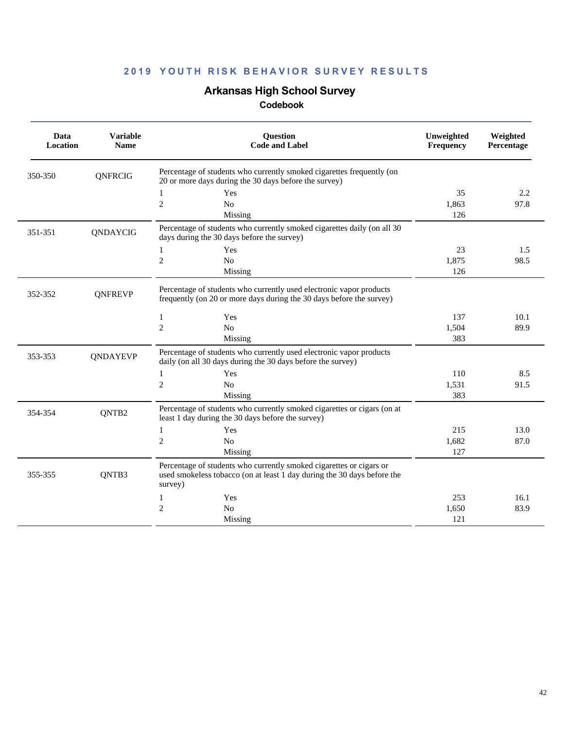# **Arkansas High School Survey**

|         | Data<br>Location | <b>Variable</b><br><b>Name</b> | Question<br><b>Code and Label</b>                                                                                                                         | Unweighted<br>Frequency | Weighted<br>Percentage |  |
|---------|------------------|--------------------------------|-----------------------------------------------------------------------------------------------------------------------------------------------------------|-------------------------|------------------------|--|
| 350-350 |                  | QNFRCIG                        | Percentage of students who currently smoked cigarettes frequently (on<br>20 or more days during the 30 days before the survey)                            |                         |                        |  |
|         |                  |                                | Yes<br>1                                                                                                                                                  | 35                      | 2.2                    |  |
|         |                  |                                | $\mathbf{2}$<br>N <sub>o</sub>                                                                                                                            | 1,863                   | 97.8                   |  |
|         |                  |                                | Missing                                                                                                                                                   | 126                     |                        |  |
| 351-351 |                  | QNDAYCIG                       | Percentage of students who currently smoked cigarettes daily (on all 30<br>days during the 30 days before the survey)                                     |                         |                        |  |
|         |                  |                                | Yes<br>1                                                                                                                                                  | 23                      | 1.5                    |  |
|         |                  |                                | $\overline{c}$<br>No                                                                                                                                      | 1,875                   | 98.5                   |  |
|         |                  |                                | Missing                                                                                                                                                   | 126                     |                        |  |
| 352-352 |                  | <b>QNFREVP</b>                 | Percentage of students who currently used electronic vapor products<br>frequently (on 20 or more days during the 30 days before the survey)               |                         |                        |  |
|         |                  |                                | $\mathbf{1}$<br>Yes                                                                                                                                       | 137                     | 10.1                   |  |
|         |                  |                                | $\mathfrak{2}$<br>N <sub>o</sub>                                                                                                                          | 1,504                   | 89.9                   |  |
|         |                  |                                | Missing                                                                                                                                                   | 383                     |                        |  |
| 353-353 |                  | <b>ONDAYEVP</b>                | Percentage of students who currently used electronic vapor products<br>daily (on all 30 days during the 30 days before the survey)                        |                         |                        |  |
|         |                  |                                | $\mathbf{1}$<br>Yes                                                                                                                                       | 110                     | 8.5                    |  |
|         |                  |                                | $\mathbf{2}$<br>No                                                                                                                                        | 1,531                   | 91.5                   |  |
|         |                  |                                | Missing                                                                                                                                                   | 383                     |                        |  |
| 354-354 |                  | QNTB2                          | Percentage of students who currently smoked cigarettes or cigars (on at<br>least 1 day during the 30 days before the survey)                              |                         |                        |  |
|         |                  |                                | Yes<br>1                                                                                                                                                  | 215                     | 13.0                   |  |
|         |                  |                                | $\overline{c}$<br>N <sub>0</sub>                                                                                                                          | 1,682                   | 87.0                   |  |
|         |                  |                                | Missing                                                                                                                                                   | 127                     |                        |  |
| 355-355 |                  | QNTB3                          | Percentage of students who currently smoked cigarettes or cigars or<br>used smokeless tobacco (on at least 1 day during the 30 days before the<br>survey) |                         |                        |  |
|         |                  |                                | Yes<br>1                                                                                                                                                  | 253                     | 16.1                   |  |
|         |                  |                                | $\mathbf{2}$<br>N <sub>o</sub>                                                                                                                            | 1,650                   | 83.9                   |  |
|         |                  |                                | Missing                                                                                                                                                   | 121                     |                        |  |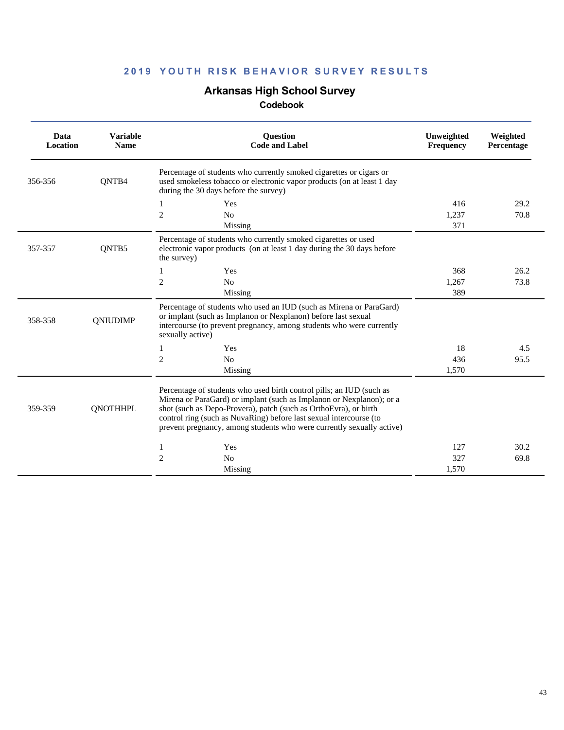# **Arkansas High School Survey**

| Data<br>Location | <b>Variable</b><br><b>Name</b> | Question<br><b>Code and Label</b>                                                                                                                                                                                                                                                                                                                               | Unweighted<br>Frequency | Weighted<br>Percentage |
|------------------|--------------------------------|-----------------------------------------------------------------------------------------------------------------------------------------------------------------------------------------------------------------------------------------------------------------------------------------------------------------------------------------------------------------|-------------------------|------------------------|
| 356-356          | ONTB4                          | Percentage of students who currently smoked cigarettes or cigars or<br>used smokeless tobacco or electronic vapor products (on at least 1 day<br>during the 30 days before the survey)                                                                                                                                                                          |                         |                        |
|                  |                                | Yes<br>2<br>N <sub>o</sub><br>Missing                                                                                                                                                                                                                                                                                                                           | 416<br>1,237<br>371     | 29.2<br>70.8           |
| 357-357          | QNTB5                          | Percentage of students who currently smoked cigarettes or used<br>electronic vapor products (on at least 1 day during the 30 days before<br>the survey)                                                                                                                                                                                                         |                         |                        |
|                  |                                | Yes<br>$\overline{c}$<br>N <sub>o</sub><br>Missing                                                                                                                                                                                                                                                                                                              | 368<br>1,267<br>389     | 26.2<br>73.8           |
| 358-358          | QNIUDIMP                       | Percentage of students who used an IUD (such as Mirena or ParaGard)<br>or implant (such as Implanon or Nexplanon) before last sexual<br>intercourse (to prevent pregnancy, among students who were currently<br>sexually active)                                                                                                                                |                         |                        |
|                  |                                | Yes<br>1<br>2<br>N <sub>o</sub><br>Missing                                                                                                                                                                                                                                                                                                                      | 18<br>436<br>1.570      | 4.5<br>95.5            |
| 359-359          | <b>QNOTHHPL</b>                | Percentage of students who used birth control pills; an IUD (such as<br>Mirena or ParaGard) or implant (such as Implanon or Nexplanon); or a<br>shot (such as Depo-Provera), patch (such as OrthoEvra), or birth<br>control ring (such as NuvaRing) before last sexual intercourse (to<br>prevent pregnancy, among students who were currently sexually active) |                         |                        |
|                  |                                | Yes<br>1<br>2<br>N <sub>0</sub><br>Missing                                                                                                                                                                                                                                                                                                                      | 127<br>327<br>1,570     | 30.2<br>69.8           |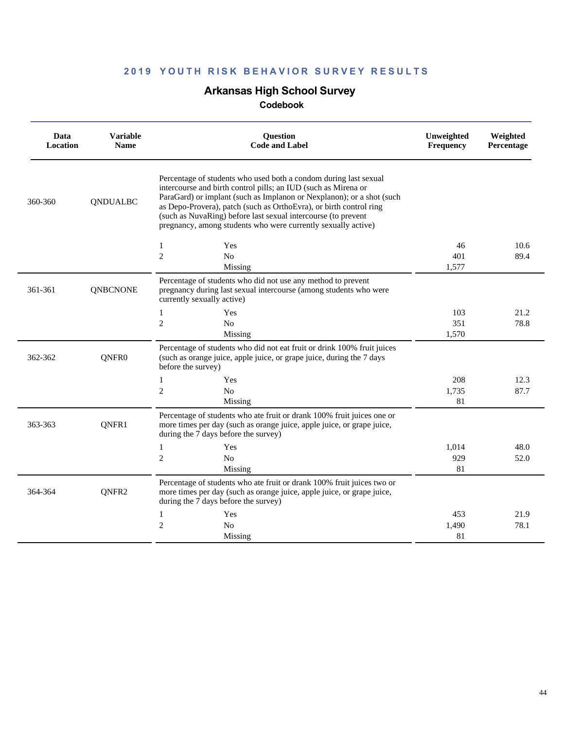# **Arkansas High School Survey**

| Data<br>Location | <b>Variable</b><br><b>Name</b> | <b>Ouestion</b><br><b>Code and Label</b>                                                                                                                                                                                                                                                                                                                                                                            | Unweighted<br><b>Frequency</b> | Weighted<br>Percentage |
|------------------|--------------------------------|---------------------------------------------------------------------------------------------------------------------------------------------------------------------------------------------------------------------------------------------------------------------------------------------------------------------------------------------------------------------------------------------------------------------|--------------------------------|------------------------|
| 360-360          | <b>QNDUALBC</b>                | Percentage of students who used both a condom during last sexual<br>intercourse and birth control pills; an IUD (such as Mirena or<br>ParaGard) or implant (such as Implanon or Nexplanon); or a shot (such<br>as Depo-Provera), patch (such as OrthoEvra), or birth control ring<br>(such as NuvaRing) before last sexual intercourse (to prevent<br>pregnancy, among students who were currently sexually active) |                                |                        |
|                  |                                | Yes<br>1                                                                                                                                                                                                                                                                                                                                                                                                            | 46                             | 10.6                   |
|                  |                                | $\overline{c}$<br>No                                                                                                                                                                                                                                                                                                                                                                                                | 401                            | 89.4                   |
|                  |                                | Missing                                                                                                                                                                                                                                                                                                                                                                                                             | 1,577                          |                        |
| 361-361          | <b>QNBCNONE</b>                | Percentage of students who did not use any method to prevent<br>pregnancy during last sexual intercourse (among students who were<br>currently sexually active)                                                                                                                                                                                                                                                     |                                |                        |
|                  |                                | $\mathbf{1}$<br>Yes                                                                                                                                                                                                                                                                                                                                                                                                 | 103                            | 21.2                   |
|                  |                                | $\overline{c}$<br>No                                                                                                                                                                                                                                                                                                                                                                                                | 351                            | 78.8                   |
|                  |                                | Missing                                                                                                                                                                                                                                                                                                                                                                                                             | 1,570                          |                        |
| 362-362          | QNFR <sub>0</sub>              | Percentage of students who did not eat fruit or drink 100% fruit juices<br>(such as orange juice, apple juice, or grape juice, during the 7 days<br>before the survey)                                                                                                                                                                                                                                              |                                |                        |
|                  |                                | 1<br>Yes                                                                                                                                                                                                                                                                                                                                                                                                            | 208                            | 12.3                   |
|                  |                                | $\overline{2}$<br>N <sub>o</sub>                                                                                                                                                                                                                                                                                                                                                                                    | 1,735                          | 87.7                   |
|                  |                                | Missing                                                                                                                                                                                                                                                                                                                                                                                                             | 81                             |                        |
| 363-363          | QNFR1                          | Percentage of students who ate fruit or drank 100% fruit juices one or<br>more times per day (such as orange juice, apple juice, or grape juice,<br>during the 7 days before the survey)                                                                                                                                                                                                                            |                                |                        |
|                  |                                | $\mathbf{1}$<br>Yes                                                                                                                                                                                                                                                                                                                                                                                                 | 1,014                          | 48.0                   |
|                  |                                | $\overline{c}$<br>N <sub>o</sub>                                                                                                                                                                                                                                                                                                                                                                                    | 929                            | 52.0                   |
|                  |                                | Missing                                                                                                                                                                                                                                                                                                                                                                                                             | 81                             |                        |
| 364-364          | QNFR2                          | Percentage of students who ate fruit or drank 100% fruit juices two or<br>more times per day (such as orange juice, apple juice, or grape juice,<br>during the 7 days before the survey)                                                                                                                                                                                                                            |                                |                        |
|                  |                                | $\mathbf{1}$<br>Yes                                                                                                                                                                                                                                                                                                                                                                                                 | 453                            | 21.9                   |
|                  |                                | 2<br>N <sub>0</sub>                                                                                                                                                                                                                                                                                                                                                                                                 | 1,490                          | 78.1                   |
|                  |                                | Missing                                                                                                                                                                                                                                                                                                                                                                                                             | 81                             |                        |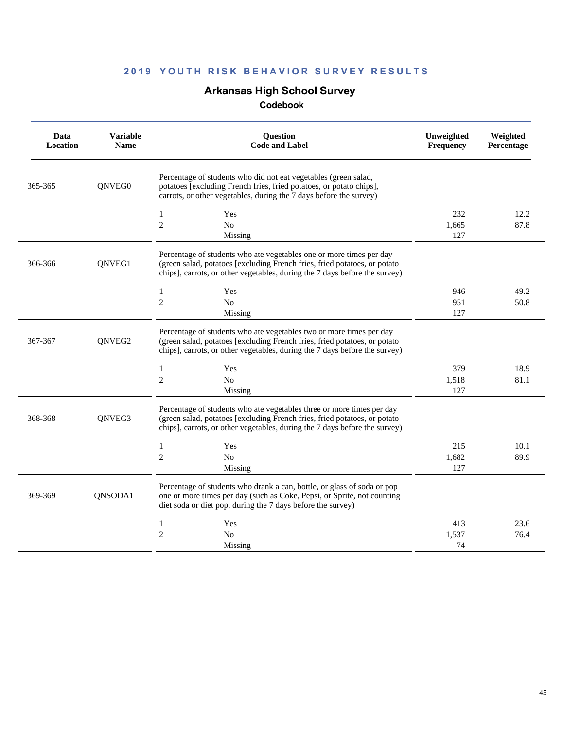# **Arkansas High School Survey**

| Data<br>Location | <b>Variable</b><br><b>Name</b> | <b>Ouestion</b><br><b>Code and Label</b>                                                                                                                                                                                         | Unweighted<br><b>Frequency</b> | Weighted<br>Percentage |
|------------------|--------------------------------|----------------------------------------------------------------------------------------------------------------------------------------------------------------------------------------------------------------------------------|--------------------------------|------------------------|
| 365-365          | QNVEG0                         | Percentage of students who did not eat vegetables (green salad,<br>potatoes [excluding French fries, fried potatoes, or potato chips],<br>carrots, or other vegetables, during the 7 days before the survey)                     |                                |                        |
|                  |                                | Yes<br>1<br>$\overline{c}$<br>No<br>Missing                                                                                                                                                                                      | 232<br>1,665<br>127            | 12.2<br>87.8           |
| 366-366          | QNVEG1                         | Percentage of students who ate vegetables one or more times per day<br>(green salad, potatoes [excluding French fries, fried potatoes, or potato<br>chips], carrots, or other vegetables, during the 7 days before the survey)   |                                |                        |
|                  |                                | Yes<br>1<br>$\overline{c}$<br>No<br>Missing                                                                                                                                                                                      | 946<br>951<br>127              | 49.2<br>50.8           |
| 367-367          | QNVEG2                         | Percentage of students who ate vegetables two or more times per day<br>(green salad, potatoes [excluding French fries, fried potatoes, or potato<br>chips], carrots, or other vegetables, during the 7 days before the survey)   |                                |                        |
|                  |                                | $\mathbf{1}$<br>Yes<br>$\overline{c}$<br>$\rm No$<br>Missing                                                                                                                                                                     | 379<br>1,518<br>127            | 18.9<br>81.1           |
| 368-368          | QNVEG3                         | Percentage of students who ate vegetables three or more times per day<br>(green salad, potatoes [excluding French fries, fried potatoes, or potato<br>chips], carrots, or other vegetables, during the 7 days before the survey) |                                |                        |
|                  |                                | $\mathbf{1}$<br>Yes<br>$\mathbf{2}$<br>No<br>Missing                                                                                                                                                                             | 215<br>1,682<br>127            | 10.1<br>89.9           |
| 369-369          | QNSODA1                        | Percentage of students who drank a can, bottle, or glass of soda or pop<br>one or more times per day (such as Coke, Pepsi, or Sprite, not counting<br>diet soda or diet pop, during the 7 days before the survey)                |                                |                        |
|                  |                                | $\mathbf{1}$<br>Yes<br>$\overline{c}$<br>N <sub>0</sub><br>Missing                                                                                                                                                               | 413<br>1,537<br>74             | 23.6<br>76.4           |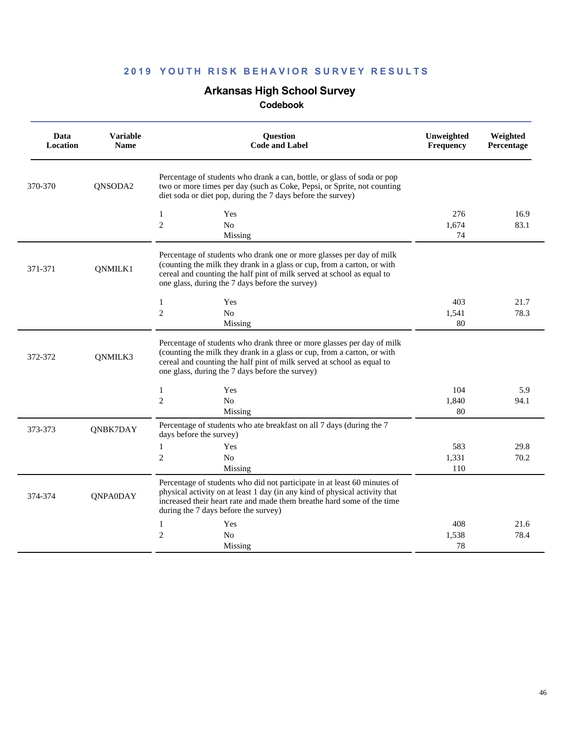# **Arkansas High School Survey**

| Data<br>Location | <b>Variable</b><br><b>Name</b> | <b>Ouestion</b><br><b>Code and Label</b>                                                                                                                                                                                                                                       | Unweighted<br>Frequency | Weighted<br>Percentage |
|------------------|--------------------------------|--------------------------------------------------------------------------------------------------------------------------------------------------------------------------------------------------------------------------------------------------------------------------------|-------------------------|------------------------|
| 370-370          | QNSODA2                        | Percentage of students who drank a can, bottle, or glass of soda or pop<br>two or more times per day (such as Coke, Pepsi, or Sprite, not counting<br>diet soda or diet pop, during the 7 days before the survey)                                                              |                         |                        |
|                  |                                | $\mathbf{1}$<br>Yes<br>$\overline{c}$<br>N <sub>0</sub><br>Missing                                                                                                                                                                                                             | 276<br>1,674<br>74      | 16.9<br>83.1           |
| 371-371          | QNMILK1                        | Percentage of students who drank one or more glasses per day of milk<br>(counting the milk they drank in a glass or cup, from a carton, or with<br>cereal and counting the half pint of milk served at school as equal to<br>one glass, during the 7 days before the survey)   |                         |                        |
|                  |                                | $\mathbf{1}$<br>Yes<br>$\mathbf{2}$<br>No<br>Missing                                                                                                                                                                                                                           | 403<br>1,541<br>80      | 21.7<br>78.3           |
| 372-372          | QNMILK3                        | Percentage of students who drank three or more glasses per day of milk<br>(counting the milk they drank in a glass or cup, from a carton, or with<br>cereal and counting the half pint of milk served at school as equal to<br>one glass, during the 7 days before the survey) |                         |                        |
|                  |                                | $\mathbf{1}$<br>Yes<br>$\mathfrak{2}$<br>No                                                                                                                                                                                                                                    | 104<br>1,840            | 5.9<br>94.1            |
| 373-373          | QNBK7DAY                       | Missing<br>Percentage of students who ate breakfast on all 7 days (during the 7<br>days before the survey)                                                                                                                                                                     | 80                      |                        |
|                  |                                | $\mathbf{1}$<br>Yes<br>$\mathfrak{2}$<br>No<br>Missing                                                                                                                                                                                                                         | 583<br>1,331<br>110     | 29.8<br>70.2           |
| 374-374          | <b>QNPA0DAY</b>                | Percentage of students who did not participate in at least 60 minutes of<br>physical activity on at least 1 day (in any kind of physical activity that<br>increased their heart rate and made them breathe hard some of the time<br>during the 7 days before the survey)       |                         |                        |
|                  |                                | $\mathbf{1}$<br>Yes                                                                                                                                                                                                                                                            | 408                     | 21.6                   |
|                  |                                | $\mathfrak{2}$<br>N <sub>0</sub>                                                                                                                                                                                                                                               | 1,538<br>78             | 78.4                   |
|                  |                                | Missing                                                                                                                                                                                                                                                                        |                         |                        |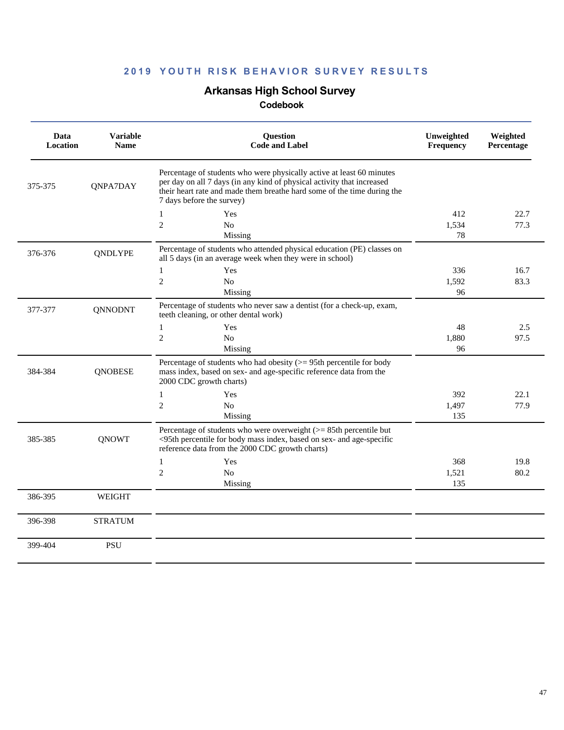# **Arkansas High School Survey**

| Data<br>Location | <b>Variable</b><br><b>Name</b> | <b>Question</b><br><b>Code and Label</b>                                                                                                                                                                                                                | Unweighted<br>Frequency | Weighted<br>Percentage |
|------------------|--------------------------------|---------------------------------------------------------------------------------------------------------------------------------------------------------------------------------------------------------------------------------------------------------|-------------------------|------------------------|
| 375-375          | QNPA7DAY                       | Percentage of students who were physically active at least 60 minutes<br>per day on all 7 days (in any kind of physical activity that increased<br>their heart rate and made them breathe hard some of the time during the<br>7 days before the survey) |                         |                        |
|                  |                                | Yes<br>1                                                                                                                                                                                                                                                | 412                     | 22.7                   |
|                  |                                | $\overline{2}$<br>No<br>Missing                                                                                                                                                                                                                         | 1,534<br>78             | 77.3                   |
| 376-376          | <b>QNDLYPE</b>                 | Percentage of students who attended physical education (PE) classes on<br>all 5 days (in an average week when they were in school)                                                                                                                      |                         |                        |
|                  |                                | Yes<br>1                                                                                                                                                                                                                                                | 336                     | 16.7                   |
|                  |                                | $\overline{c}$<br>N <sub>0</sub>                                                                                                                                                                                                                        | 1,592                   | 83.3                   |
|                  |                                | Missing                                                                                                                                                                                                                                                 | 96                      |                        |
| 377-377          | <b>QNNODNT</b>                 | Percentage of students who never saw a dentist (for a check-up, exam,<br>teeth cleaning, or other dental work)                                                                                                                                          |                         |                        |
|                  |                                | $\mathbf{1}$<br>Yes                                                                                                                                                                                                                                     | 48                      | 2.5                    |
|                  |                                | $\overline{c}$<br>N <sub>0</sub>                                                                                                                                                                                                                        | 1,880                   | 97.5                   |
|                  |                                | Missing                                                                                                                                                                                                                                                 | 96                      |                        |
| 384-384          | <b>ONOBESE</b>                 | Percentage of students who had obesity $(>= 95$ th percentile for body<br>mass index, based on sex- and age-specific reference data from the<br>2000 CDC growth charts)                                                                                 |                         |                        |
|                  |                                | $\mathbf{1}$<br>Yes                                                                                                                                                                                                                                     | 392                     | 22.1                   |
|                  |                                | $\overline{2}$<br>No                                                                                                                                                                                                                                    | 1,497                   | 77.9                   |
|                  |                                | Missing                                                                                                                                                                                                                                                 | 135                     |                        |
| 385-385          | <b>QNOWT</b>                   | Percentage of students who were overweight $(>= 85$ th percentile but<br><95th percentile for body mass index, based on sex- and age-specific<br>reference data from the 2000 CDC growth charts)                                                        |                         |                        |
|                  |                                | $\mathbf{1}$<br>Yes                                                                                                                                                                                                                                     | 368                     | 19.8                   |
|                  |                                | $\overline{2}$<br>N <sub>0</sub>                                                                                                                                                                                                                        | 1,521                   | 80.2                   |
|                  |                                | Missing                                                                                                                                                                                                                                                 | 135                     |                        |
| 386-395          | <b>WEIGHT</b>                  |                                                                                                                                                                                                                                                         |                         |                        |
| 396-398          | <b>STRATUM</b>                 |                                                                                                                                                                                                                                                         |                         |                        |
| 399-404          | <b>PSU</b>                     |                                                                                                                                                                                                                                                         |                         |                        |